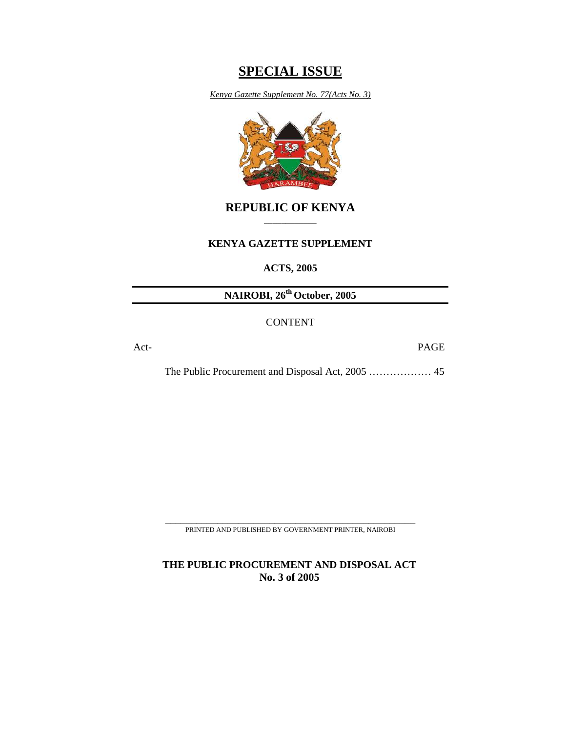# **SPECIAL ISSUE**

*Kenya Gazette Supplement No. 77(Acts No. 3)*



# **REPUBLIC OF KENYA**  \_\_\_\_\_\_\_\_\_\_\_\_

## **KENYA GAZETTE SUPPLEMENT**

**ACTS, 2005** 

**NAIROBI, 26th October, 2005** 

CONTENT

Act- PAGE

The Public Procurement and Disposal Act, 2005 ……………… 45

\_\_\_\_\_\_\_\_\_\_\_\_\_\_\_\_\_\_\_\_\_\_\_\_\_\_\_\_\_\_\_\_\_\_\_\_\_\_\_\_\_\_\_\_\_\_\_\_ PRINTED AND PUBLISHED BY GOVERNMENT PRINTER, NAIROBI

**THE PUBLIC PROCUREMENT AND DISPOSAL ACT No. 3 of 2005**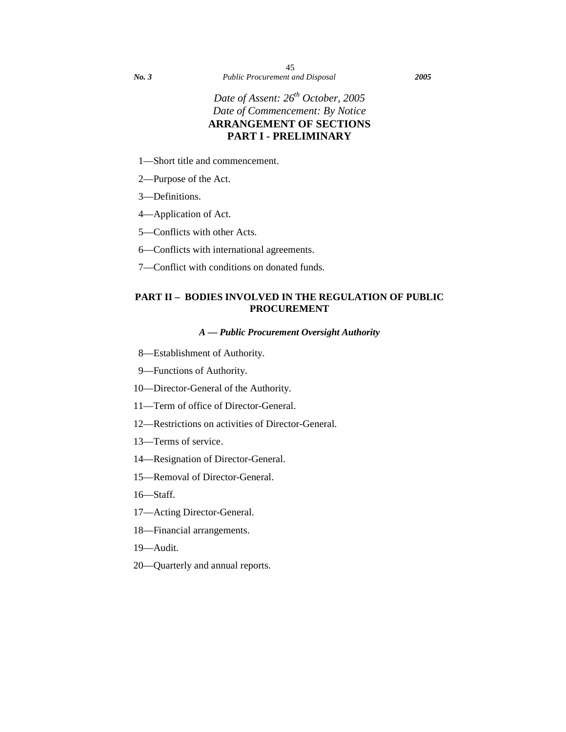# *Date of Assent: 26th October, 2005 Date of Commencement: By Notice*  **ARRANGEMENT OF SECTIONS PART I - PRELIMINARY**

- 1—Short title and commencement.
- 2—Purpose of the Act.
- 3—Definitions.
- 4—Application of Act.
- 5—Conflicts with other Acts.
- 6—Conflicts with international agreements.
- 7—Conflict with conditions on donated funds.

# **PART II – BODIES INVOLVED IN THE REGULATION OF PUBLIC PROCUREMENT**

## *A — Public Procurement Oversight Authority*

- 8—Establishment of Authority.
- 9—Functions of Authority.
- 10—Director-General of the Authority.
- 11—Term of office of Director-General.
- 12—Restrictions on activities of Director-General.
- 13—Terms of service.
- 14—Resignation of Director-General.
- 15—Removal of Director-General.
- 16—Staff.
- 17—Acting Director-General.
- 18—Financial arrangements.
- 19—Audit.
- 20—Quarterly and annual reports.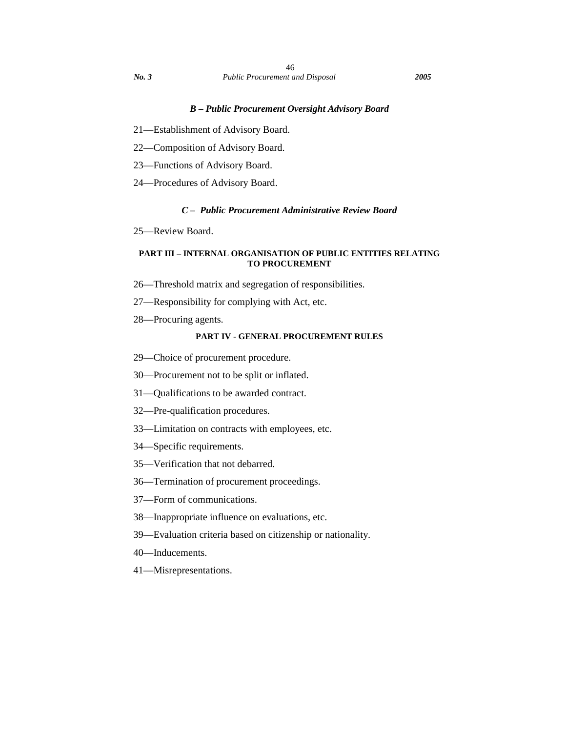### *B – Public Procurement Oversight Advisory Board*

- 21—Establishment of Advisory Board.
- 22—Composition of Advisory Board.
- 23—Functions of Advisory Board.
- 24—Procedures of Advisory Board.

## *C – Public Procurement Administrative Review Board*

25—Review Board.

### **PART III – INTERNAL ORGANISATION OF PUBLIC ENTITIES RELATING TO PROCUREMENT**

- 26—Threshold matrix and segregation of responsibilities.
- 27—Responsibility for complying with Act, etc.
- 28—Procuring agents.

## **PART IV - GENERAL PROCUREMENT RULES**

- 29—Choice of procurement procedure.
- 30—Procurement not to be split or inflated.
- 31—Qualifications to be awarded contract.
- 32—Pre-qualification procedures.
- 33—Limitation on contracts with employees, etc.
- 34—Specific requirements.
- 35—Verification that not debarred.
- 36—Termination of procurement proceedings.
- 37—Form of communications.
- 38—Inappropriate influence on evaluations, etc.
- 39—Evaluation criteria based on citizenship or nationality.
- 40—Inducements.
- 41—Misrepresentations.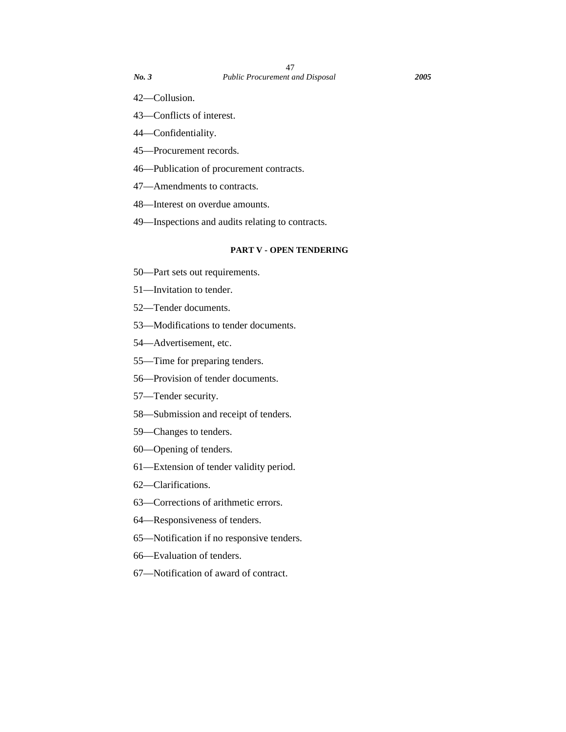- 42—Collusion.
- 43—Conflicts of interest.
- 44—Confidentiality.
- 45—Procurement records.
- 46—Publication of procurement contracts.
- 47—Amendments to contracts.
- 48—Interest on overdue amounts.
- 49—Inspections and audits relating to contracts.

## **PART V - OPEN TENDERING**

- 50—Part sets out requirements.
- 51—Invitation to tender.
- 52—Tender documents.
- 53—Modifications to tender documents.
- 54—Advertisement, etc.
- 55—Time for preparing tenders.
- 56—Provision of tender documents.
- 57—Tender security.
- 58—Submission and receipt of tenders.
- 59—Changes to tenders.
- 60—Opening of tenders.
- 61—Extension of tender validity period.
- 62—Clarifications.
- 63—Corrections of arithmetic errors.
- 64—Responsiveness of tenders.
- 65—Notification if no responsive tenders.
- 66—Evaluation of tenders.
- 67—Notification of award of contract.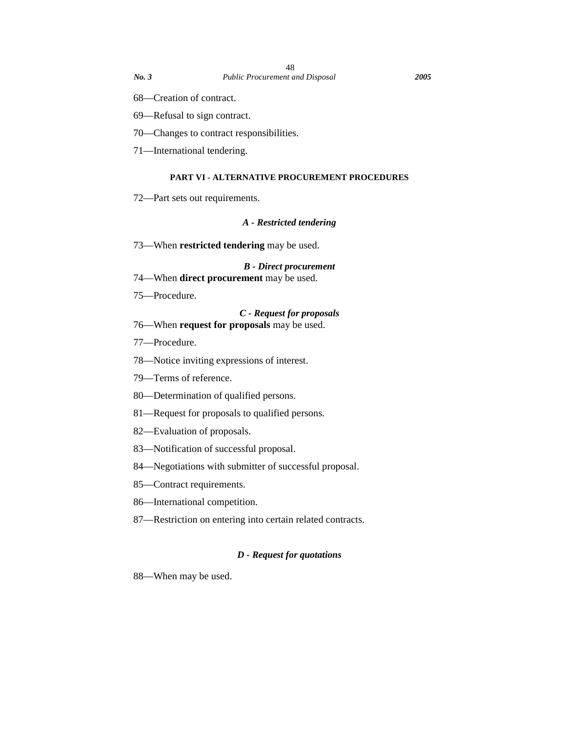- 69—Refusal to sign contract.
- 70—Changes to contract responsibilities.
- 71—International tendering.

## **PART VI - ALTERNATIVE PROCUREMENT PROCEDURES**

72—Part sets out requirements.

#### *A - Restricted tendering*

73—When **restricted tendering** may be used.

*B - Direct procurement* 

- 74—When **direct procurement** may be used.
- 75—Procedure.

### *C - Request for proposals*

## 76—When **request for proposals** may be used.

- 77—Procedure.
- 78—Notice inviting expressions of interest.
- 79—Terms of reference.
- 80—Determination of qualified persons.
- 81—Request for proposals to qualified persons.
- 82—Evaluation of proposals.
- 83—Notification of successful proposal.
- 84—Negotiations with submitter of successful proposal.
- 85—Contract requirements.
- 86—International competition.
- 87—Restriction on entering into certain related contracts.

## *D - Request for quotations*

88—When may be used.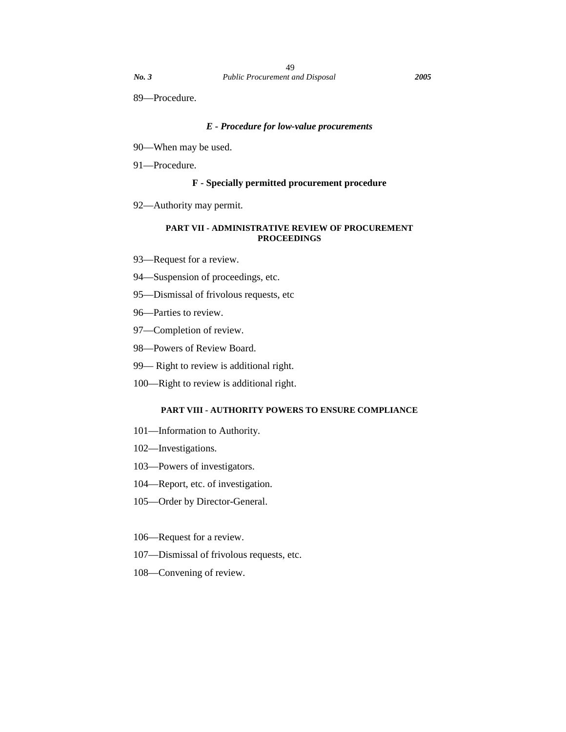# *E - Procedure for low-value procurements*

- 90—When may be used.
- 91—Procedure.

### **F - Specially permitted procurement procedure**

92—Authority may permit.

### **PART VII - ADMINISTRATIVE REVIEW OF PROCUREMENT PROCEEDINGS**

- 93—Request for a review.
- 94—Suspension of proceedings, etc.
- 95—Dismissal of frivolous requests, etc
- 96—Parties to review.
- 97—Completion of review.
- 98—Powers of Review Board.
- 99— Right to review is additional right.
- 100—Right to review is additional right.

### **PART VIII - AUTHORITY POWERS TO ENSURE COMPLIANCE**

- 101—Information to Authority.
- 102—Investigations.
- 103—Powers of investigators.
- 104—Report, etc. of investigation.
- 105—Order by Director-General.
- 106—Request for a review.
- 107—Dismissal of frivolous requests, etc.
- 108—Convening of review.

89—Procedure.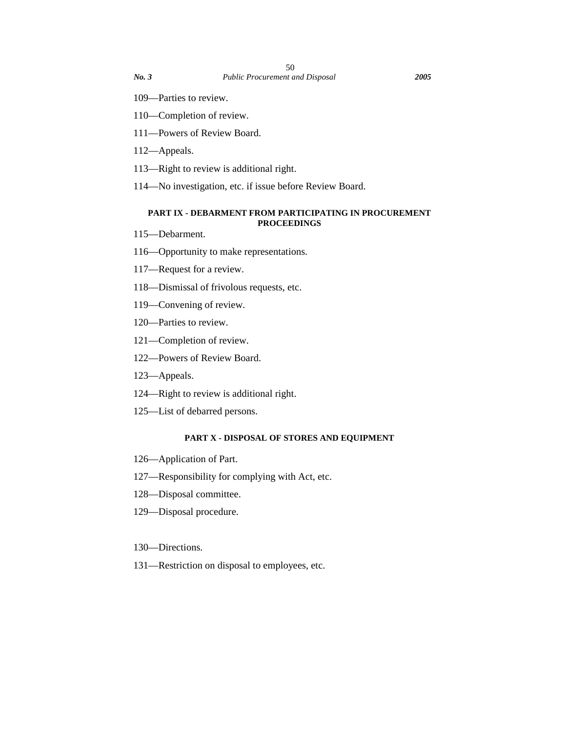- 109—Parties to review.
- 110—Completion of review.
- 111—Powers of Review Board.
- 112—Appeals.
- 113—Right to review is additional right.
- 114—No investigation, etc. if issue before Review Board.

### **PART IX - DEBARMENT FROM PARTICIPATING IN PROCUREMENT PROCEEDINGS**

- 115—Debarment.
- 116—Opportunity to make representations.
- 117—Request for a review.
- 118—Dismissal of frivolous requests, etc.
- 119—Convening of review.
- 120—Parties to review.
- 121—Completion of review.
- 122—Powers of Review Board.
- 123—Appeals.
- 124—Right to review is additional right.
- 125—List of debarred persons.

## **PART X - DISPOSAL OF STORES AND EQUIPMENT**

- 126—Application of Part.
- 127—Responsibility for complying with Act, etc.
- 128—Disposal committee.
- 129—Disposal procedure.

### 130—Directions.

131—Restriction on disposal to employees, etc.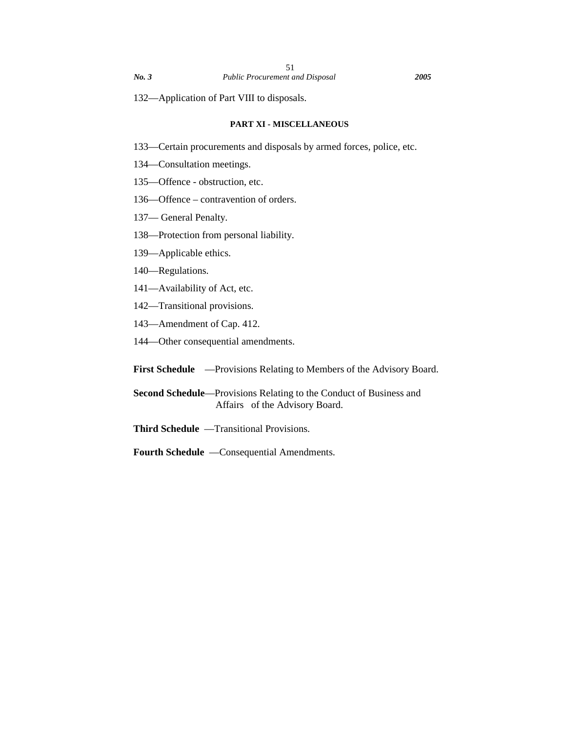#### **PART XI - MISCELLANEOUS**

133—Certain procurements and disposals by armed forces, police, etc.

- 134—Consultation meetings.
- 135—Offence obstruction, etc.
- 136—Offence contravention of orders.
- 137— General Penalty.
- 138—Protection from personal liability.
- 139—Applicable ethics.
- 140—Regulations.
- 141—Availability of Act, etc.
- 142—Transitional provisions.
- 143—Amendment of Cap. 412.
- 144—Other consequential amendments.
- First Schedule —Provisions Relating to Members of the Advisory Board.
- **Second Schedule**—Provisions Relating to the Conduct of Business and Affairs of the Advisory Board.
- **Third Schedule** —Transitional Provisions.
- **Fourth Schedule** —Consequential Amendments.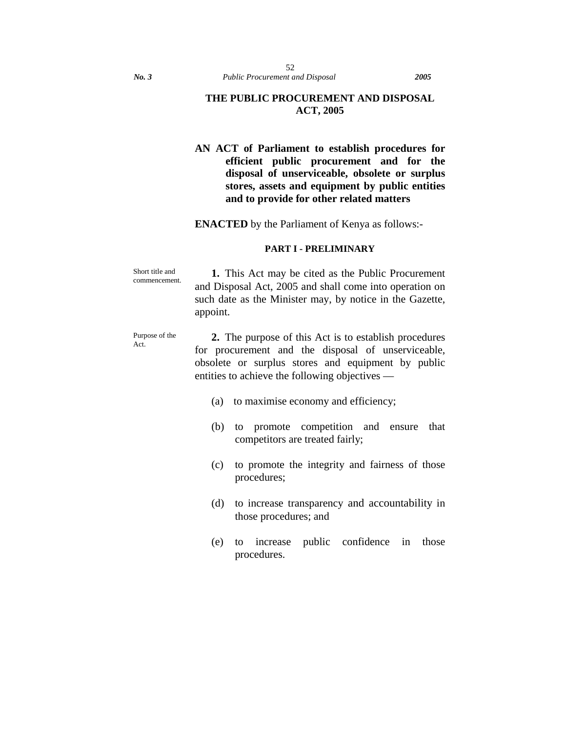## **THE PUBLIC PROCUREMENT AND DISPOSAL ACT, 2005**

# **AN ACT of Parliament to establish procedures for efficient public procurement and for the disposal of unserviceable, obsolete or surplus stores, assets and equipment by public entities and to provide for other related matters**

**ENACTED** by the Parliament of Kenya as follows:-

### **PART I - PRELIMINARY**

Short title and commencement. **1.** This Act may be cited as the Public Procurement and Disposal Act, 2005 and shall come into operation on such date as the Minister may, by notice in the Gazette, appoint.

Purpose of the Act.

**2.** The purpose of this Act is to establish procedures for procurement and the disposal of unserviceable, obsolete or surplus stores and equipment by public entities to achieve the following objectives —

- (a) to maximise economy and efficiency;
- (b) to promote competition and ensure that competitors are treated fairly;
- (c) to promote the integrity and fairness of those procedures;
- (d) to increase transparency and accountability in those procedures; and
- (e) to increase public confidence in those procedures.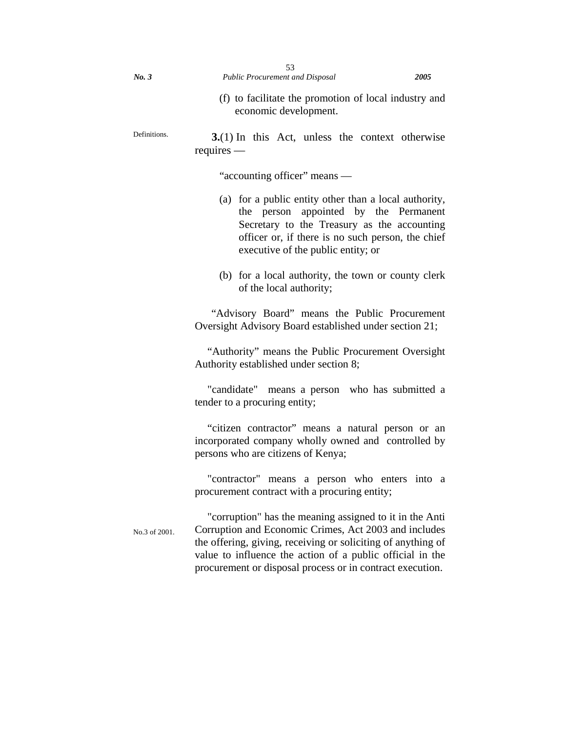| No. 3 | <b>Public Procurement and Disposal</b> | 2005 |
|-------|----------------------------------------|------|

- 
- (f) to facilitate the promotion of local industry and economic development.

Definitions. **3.**(1) In this Act, unless the context otherwise requires —

"accounting officer" means —

- (a) for a public entity other than a local authority, the person appointed by the Permanent Secretary to the Treasury as the accounting officer or, if there is no such person, the chief executive of the public entity; or
- (b) for a local authority, the town or county clerk of the local authority;

"Advisory Board" means the Public Procurement Oversight Advisory Board established under section 21;

"Authority" means the Public Procurement Oversight Authority established under section 8;

"candidate" means a person who has submitted a tender to a procuring entity;

"citizen contractor" means a natural person or an incorporated company wholly owned and controlled by persons who are citizens of Kenya;

"contractor" means a person who enters into a procurement contract with a procuring entity;

No.3 of 2001. "corruption" has the meaning assigned to it in the Anti Corruption and Economic Crimes, Act 2003 and includes the offering, giving, receiving or soliciting of anything of value to influence the action of a public official in the procurement or disposal process or in contract execution.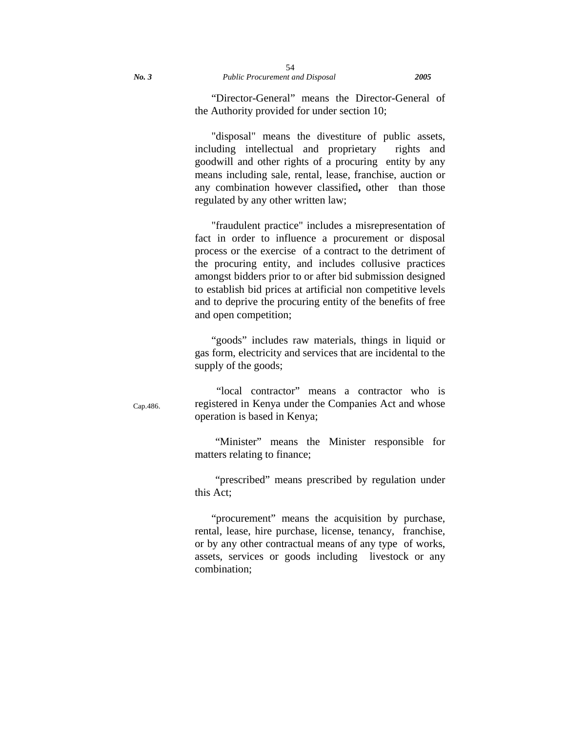"Director-General" means the Director-General of the Authority provided for under section 10;

"disposal" means the divestiture of public assets, including intellectual and proprietary rights and goodwill and other rights of a procuring entity by any means including sale, rental, lease, franchise, auction or any combination however classified**,** other than those regulated by any other written law;

"fraudulent practice" includes a misrepresentation of fact in order to influence a procurement or disposal process or the exercise of a contract to the detriment of the procuring entity, and includes collusive practices amongst bidders prior to or after bid submission designed to establish bid prices at artificial non competitive levels and to deprive the procuring entity of the benefits of free and open competition;

"goods" includes raw materials, things in liquid or gas form, electricity and services that are incidental to the supply of the goods;

 "local contractor" means a contractor who is registered in Kenya under the Companies Act and whose operation is based in Kenya;

"Minister" means the Minister responsible for matters relating to finance;

"prescribed" means prescribed by regulation under this Act;

"procurement" means the acquisition by purchase, rental, lease, hire purchase, license, tenancy, franchise, or by any other contractual means of any type of works, assets, services or goods including livestock or any combination;

Cap.486.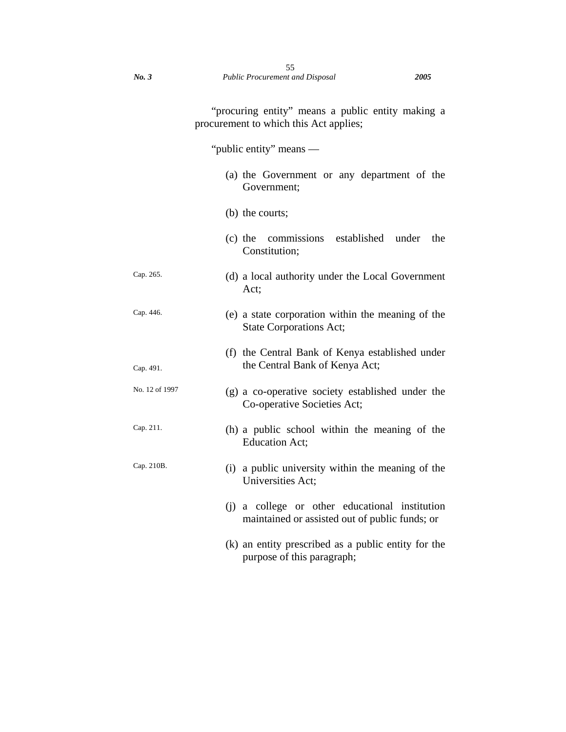"procuring entity" means a public entity making a procurement to which this Act applies;

"public entity" means —

|                | (a) the Government or any department of the<br>Government;                                       |  |
|----------------|--------------------------------------------------------------------------------------------------|--|
|                | (b) the courts;                                                                                  |  |
|                | commissions established under<br>the<br>$(c)$ the<br>Constitution;                               |  |
| Cap. 265.      | (d) a local authority under the Local Government<br>Act;                                         |  |
| Cap. 446.      | (e) a state corporation within the meaning of the<br><b>State Corporations Act;</b>              |  |
| Cap. 491.      | (f) the Central Bank of Kenya established under<br>the Central Bank of Kenya Act;                |  |
| No. 12 of 1997 | (g) a co-operative society established under the<br>Co-operative Societies Act;                  |  |
| Cap. 211.      | (h) a public school within the meaning of the<br><b>Education Act;</b>                           |  |
| Cap. 210B.     | (i) a public university within the meaning of the<br>Universities Act;                           |  |
|                | (i) a college or other educational institution<br>maintained or assisted out of public funds; or |  |
|                | (k) an entity prescribed as a public entity for the                                              |  |

purpose of this paragraph;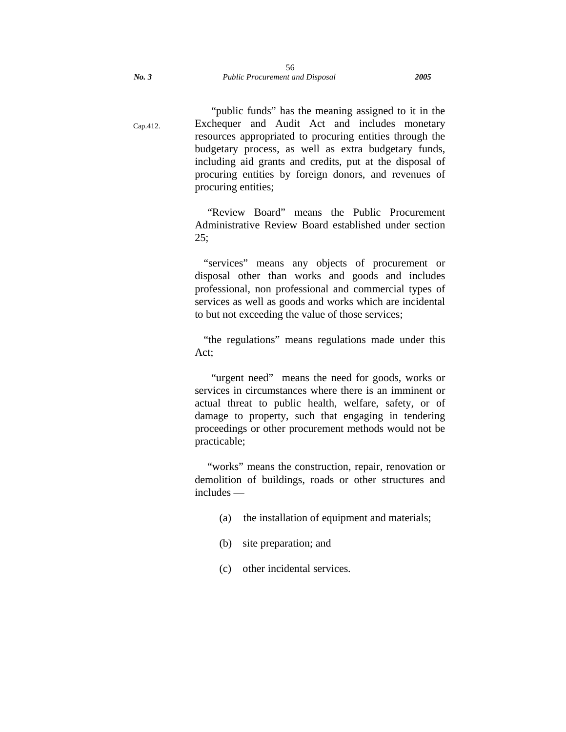"public funds" has the meaning assigned to it in the Exchequer and Audit Act and includes monetary resources appropriated to procuring entities through the budgetary process, as well as extra budgetary funds, including aid grants and credits, put at the disposal of procuring entities by foreign donors, and revenues of procuring entities;

"Review Board" means the Public Procurement Administrative Review Board established under section  $25:$ 

"services" means any objects of procurement or disposal other than works and goods and includes professional, non professional and commercial types of services as well as goods and works which are incidental to but not exceeding the value of those services;

"the regulations" means regulations made under this Act;

"urgent need" means the need for goods, works or services in circumstances where there is an imminent or actual threat to public health, welfare, safety, or of damage to property, such that engaging in tendering proceedings or other procurement methods would not be practicable;

"works" means the construction, repair, renovation or demolition of buildings, roads or other structures and includes —

- (a) the installation of equipment and materials;
- (b) site preparation; and
- (c) other incidental services.

Cap.412.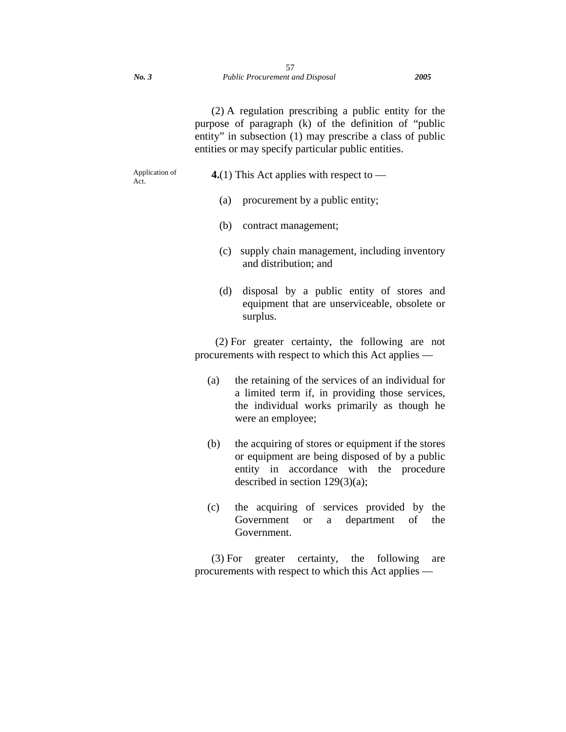(2) A regulation prescribing a public entity for the purpose of paragraph (k) of the definition of "public entity" in subsection (1) may prescribe a class of public entities or may specify particular public entities.

Application of Act.

- **4.**(1) This Act applies with respect to
	- (a) procurement by a public entity;
	- (b) contract management;
	- (c) supply chain management, including inventory and distribution; and
	- (d) disposal by a public entity of stores and equipment that are unserviceable, obsolete or surplus.

(2) For greater certainty, the following are not procurements with respect to which this Act applies —

- (a) the retaining of the services of an individual for a limited term if, in providing those services, the individual works primarily as though he were an employee;
- (b) the acquiring of stores or equipment if the stores or equipment are being disposed of by a public entity in accordance with the procedure described in section 129(3)(a);
- (c) the acquiring of services provided by the Government or a department of the Government.

(3) For greater certainty, the following are procurements with respect to which this Act applies —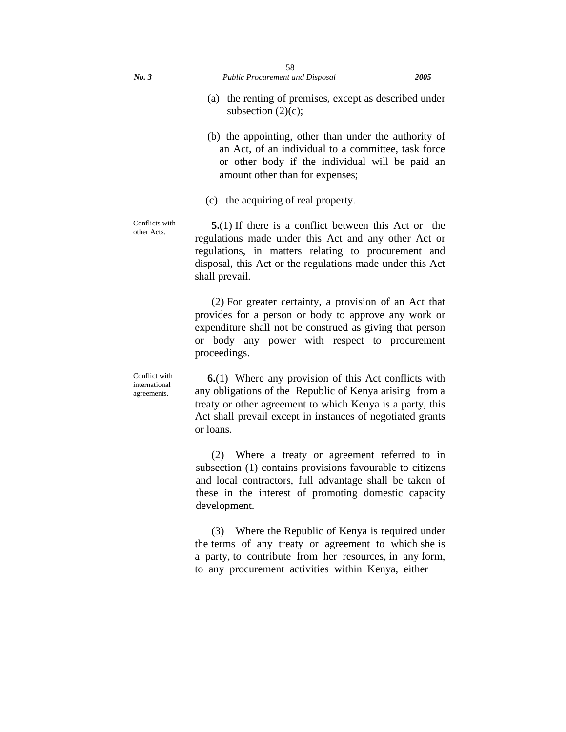- (b) the appointing, other than under the authority of an Act, of an individual to a committee, task force or other body if the individual will be paid an amount other than for expenses;
- (c) the acquiring of real property.

Conflicts with other Acts.

Conflict with international agreements.

**5.**(1) If there is a conflict between this Act or the regulations made under this Act and any other Act or regulations, in matters relating to procurement and disposal, this Act or the regulations made under this Act shall prevail.

(2) For greater certainty, a provision of an Act that provides for a person or body to approve any work or expenditure shall not be construed as giving that person or body any power with respect to procurement proceedings.

**6.**(1)Where any provision of this Act conflicts with any obligations of the Republic of Kenya arising from a treaty or other agreement to which Kenya is a party, this Act shall prevail except in instances of negotiated grants or loans.

(2) Where a treaty or agreement referred to in subsection (1) contains provisions favourable to citizens and local contractors, full advantage shall be taken of these in the interest of promoting domestic capacity development.

(3) Where the Republic of Kenya is required under the terms of any treaty or agreement to which she is a party, to contribute from her resources, in any form, to any procurement activities within Kenya, either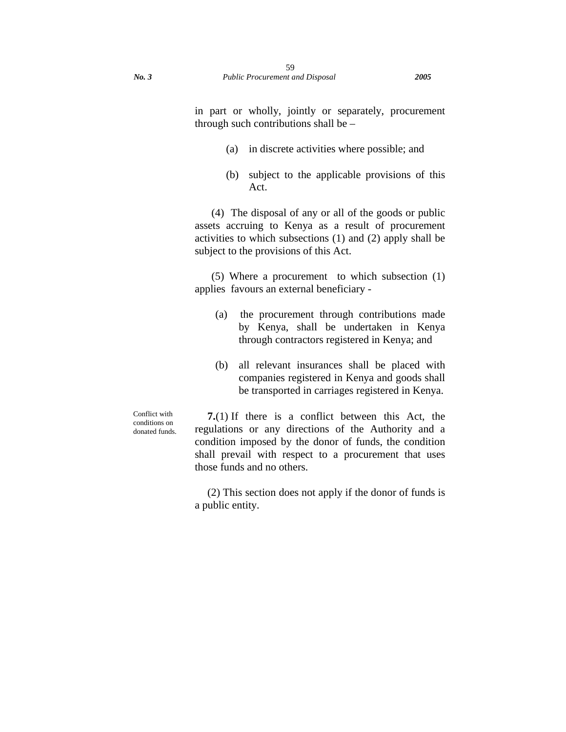- (a) in discrete activities where possible; and
- (b) subject to the applicable provisions of this Act.

(4) The disposal of any or all of the goods or public assets accruing to Kenya as a result of procurement activities to which subsections (1) and (2) apply shall be subject to the provisions of this Act.

(5) Where a procurementto which subsection (1) applies favours an external beneficiary -

- (a) the procurement through contributions made by Kenya, shall be undertaken in Kenya through contractors registered in Kenya; and
- (b) all relevant insurances shall be placed with companies registered in Kenya and goods shall be transported in carriages registered in Kenya.

Conflict with conditions on donated funds.

**7.**(1) If there is a conflict between this Act, the regulations or any directions of the Authority and a condition imposed by the donor of funds, the condition shall prevail with respect to a procurement that uses those funds and no others.

(2) This section does not apply if the donor of funds is a public entity.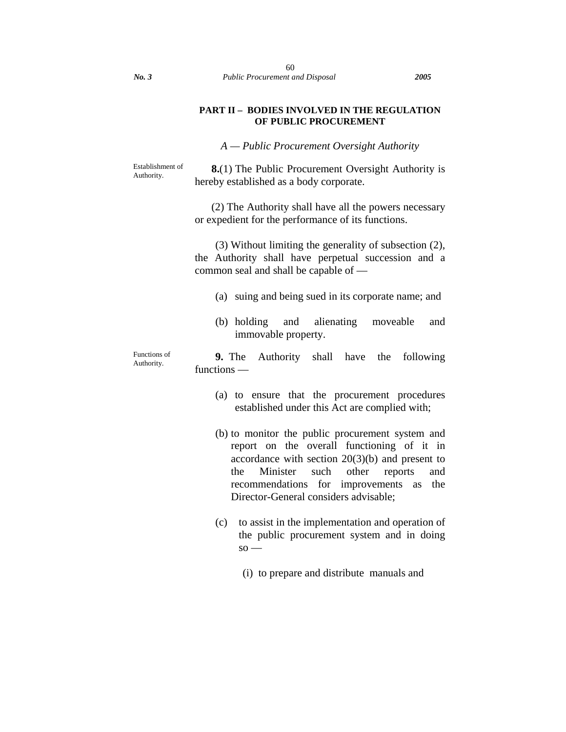### **PART II – BODIES INVOLVED IN THE REGULATION OF PUBLIC PROCUREMENT**

*A — Public Procurement Oversight Authority* 

Establishment of Authority.

**8.**(1) The Public Procurement Oversight Authority is hereby established as a body corporate.

(2) The Authority shall have all the powers necessary or expedient for the performance of its functions.

(3) Without limiting the generality of subsection (2), the Authority shall have perpetual succession and a common seal and shall be capable of —

- (a) suing and being sued in its corporate name; and
- (b) holding and alienating moveable and immovable property.

Functions of Authority. **9.** The Authority shall have the following functions —

- (a) to ensure that the procurement procedures established under this Act are complied with;
- (b) to monitor the public procurement system and report on the overall functioning of it in accordance with section 20(3)(b) and present to the Minister such other reports and recommendations for improvements as the Director-General considers advisable;
- (c) to assist in the implementation and operation of the public procurement system and in doing  $so -$ 
	- (i) to prepare and distribute manuals and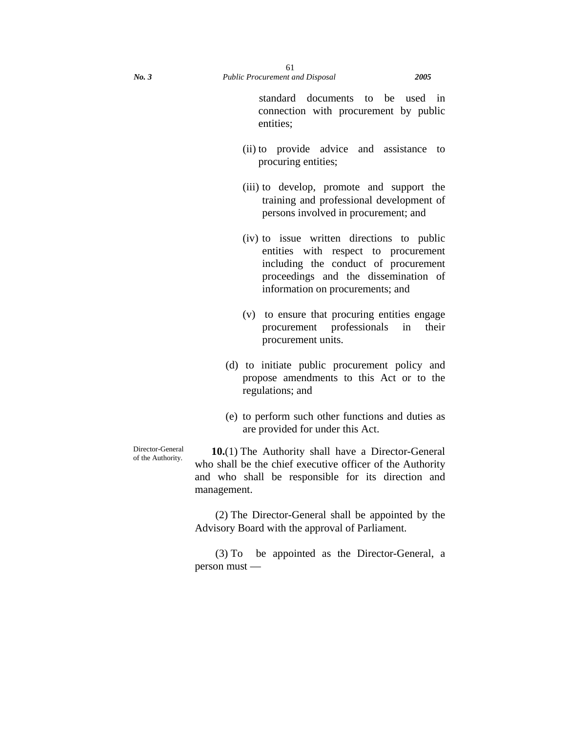standard documents to be used in connection with procurement by public entities;

- (ii) to provide advice and assistance to procuring entities;
- (iii) to develop, promote and support the training and professional development of persons involved in procurement; and
- (iv) to issue written directions to public entities with respect to procurement including the conduct of procurement proceedings and the dissemination of information on procurements; and
- (v) to ensure that procuring entities engage procurement professionals in their procurement units.
- (d) to initiate public procurement policy and propose amendments to this Act or to the regulations; and
- (e) to perform such other functions and duties as are provided for under this Act.

Director-General of the Authority.

**10.**(1) The Authority shall have a Director-General who shall be the chief executive officer of the Authority and who shall be responsible for its direction and management.

(2) The Director-General shall be appointed by the Advisory Board with the approval of Parliament.

(3) To be appointed as the Director-General, a person must —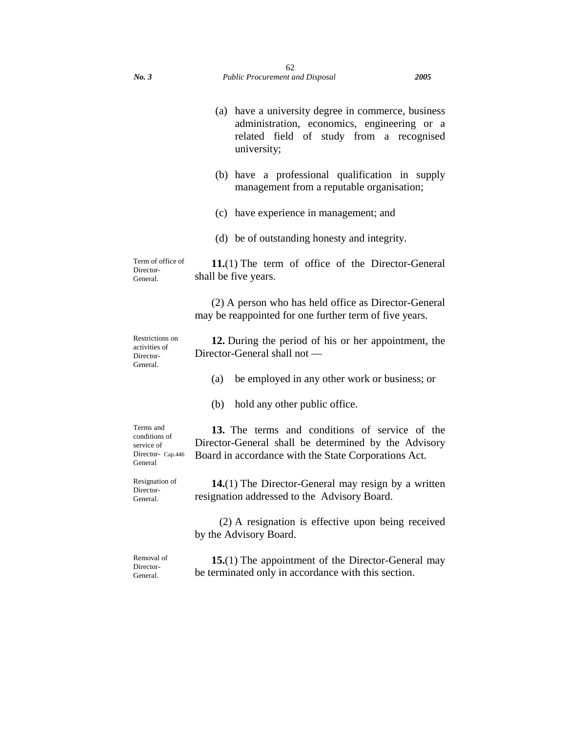|                                                                          | (a) have a university degree in commerce, business<br>administration, economics, engineering or a<br>related field of study from a recognised<br>university;   |
|--------------------------------------------------------------------------|----------------------------------------------------------------------------------------------------------------------------------------------------------------|
|                                                                          | (b) have a professional qualification in supply<br>management from a reputable organisation;                                                                   |
|                                                                          | (c) have experience in management; and                                                                                                                         |
|                                                                          | (d) be of outstanding honesty and integrity.                                                                                                                   |
| Term of office of<br>Director-<br>General.                               | $11(1)$ The term of office of the Director-General<br>shall be five years.                                                                                     |
|                                                                          | (2) A person who has held office as Director-General<br>may be reappointed for one further term of five years.                                                 |
| Restrictions on<br>activities of<br>Director-<br>General.                | 12. During the period of his or her appointment, the<br>Director-General shall not —                                                                           |
|                                                                          | be employed in any other work or business; or<br>(a)                                                                                                           |
|                                                                          | hold any other public office.<br>(b)                                                                                                                           |
| Terms and<br>conditions of<br>service of<br>Director- Cap.446<br>General | 13. The terms and conditions of service of the<br>Director-General shall be determined by the Advisory<br>Board in accordance with the State Corporations Act. |
| Resignation of<br>Director-<br>General.                                  | <b>14.</b> (1) The Director-General may resign by a written<br>resignation addressed to the Advisory Board.                                                    |
|                                                                          | (2) A resignation is effective upon being received<br>by the Advisory Board.                                                                                   |

Removal of Director-General.

**15.**(1) The appointment of the Director-General may be terminated only in accordance with this section.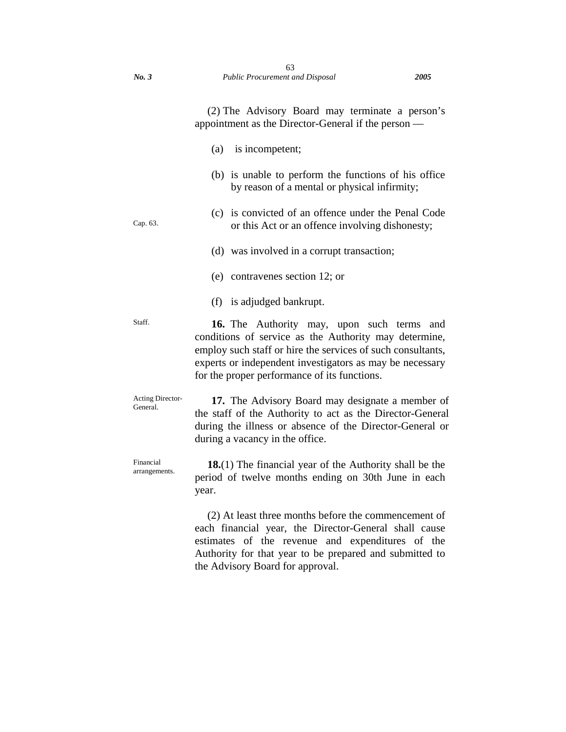(2) The Advisory Board may terminate a person's appointment as the Director-General if the person —

- (a) is incompetent;
- (b) is unable to perform the functions of his office by reason of a mental or physical infirmity;
- Cap. 63.

(c) is convicted of an offence under the Penal Code or this Act or an offence involving dishonesty;

(d) was involved in a corrupt transaction;

- (e) contravenes section 12; or
- (f) is adjudged bankrupt.

Staff. **16.** The Authority may, upon such terms and conditions of service as the Authority may determine, employ such staff or hire the services of such consultants, experts or independent investigators as may be necessary for the proper performance of its functions.

Acting Director-General. **17.** The Advisory Board may designate a member of the staff of the Authority to act as the Director-General during the illness or absence of the Director-General or during a vacancy in the office.

Financial arrangements. **18.**(1) The financial year of the Authority shall be the period of twelve months ending on 30th June in each year.

> (2) At least three months before the commencement of each financial year, the Director-General shall cause estimates of the revenue and expenditures of the Authority for that year to be prepared and submitted to the Advisory Board for approval.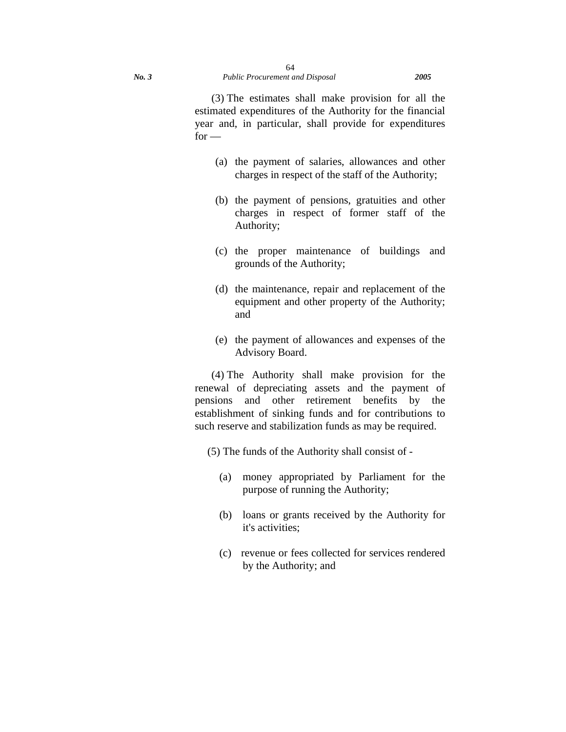(3) The estimates shall make provision for all the estimated expenditures of the Authority for the financial year and, in particular, shall provide for expenditures  $for -$ 

- (a) the payment of salaries, allowances and other charges in respect of the staff of the Authority;
- (b) the payment of pensions, gratuities and other charges in respect of former staff of the Authority;
- (c) the proper maintenance of buildings and grounds of the Authority;
- (d) the maintenance, repair and replacement of the equipment and other property of the Authority; and
- (e) the payment of allowances and expenses of the Advisory Board.

(4) The Authority shall make provision for the renewal of depreciating assets and the payment of pensions and other retirement benefits by the establishment of sinking funds and for contributions to such reserve and stabilization funds as may be required.

(5) The funds of the Authority shall consist of -

- (a) money appropriated by Parliament for the purpose of running the Authority;
- (b) loans or grants received by the Authority for it's activities;
- (c) revenue or fees collected for services rendered by the Authority; and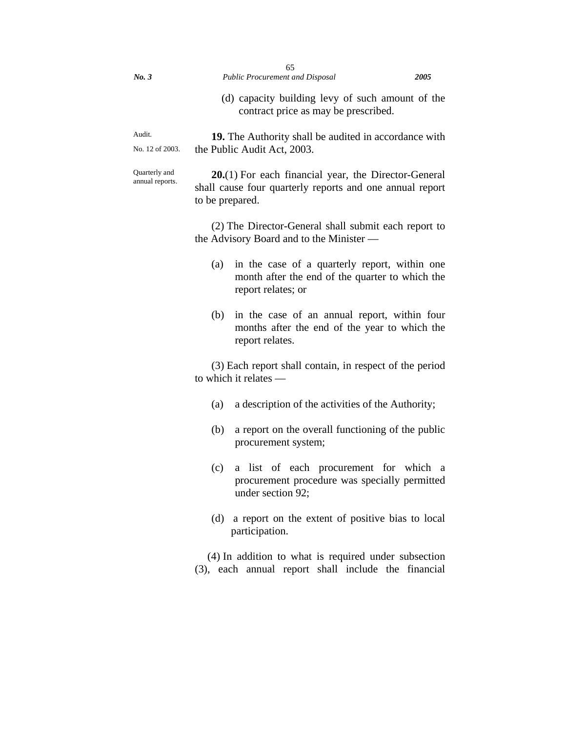| No.3                             | 65<br><b>Public Procurement and Disposal</b>                                                                                                                                                                                             | 2005 |  |
|----------------------------------|------------------------------------------------------------------------------------------------------------------------------------------------------------------------------------------------------------------------------------------|------|--|
|                                  | (d) capacity building levy of such amount of the<br>contract price as may be prescribed.                                                                                                                                                 |      |  |
| Audit.<br>No. 12 of 2003.        | <b>19.</b> The Authority shall be audited in accordance with<br>the Public Audit Act, 2003.                                                                                                                                              |      |  |
| Quarterly and<br>annual reports. | $20(1)$ For each financial year, the Director-General<br>shall cause four quarterly reports and one annual report<br>to be prepared.<br>(2) The Director-General shall submit each report to<br>the Advisory Board and to the Minister — |      |  |
|                                  |                                                                                                                                                                                                                                          |      |  |
|                                  | in the case of a quarterly report, within one<br>(a)<br>month after the end of the quarter to which the<br>report relates; or                                                                                                            |      |  |
|                                  | (b)<br>in the case of an annual report, within four<br>months after the end of the year to which the<br>report relates.                                                                                                                  |      |  |
|                                  | (3) Each report shall contain, in respect of the period<br>to which it relates $-$                                                                                                                                                       |      |  |
|                                  | a description of the activities of the Authority;<br>(a)                                                                                                                                                                                 |      |  |
|                                  | (b)<br>a report on the overall functioning of the public<br>procurement system;                                                                                                                                                          |      |  |
|                                  | a list of each procurement for which a<br>(c)<br>procurement procedure was specially permitted<br>under section 92;                                                                                                                      |      |  |
|                                  | a report on the extent of positive bias to local<br>(d)<br>participation.                                                                                                                                                                |      |  |
|                                  | (4) In addition to what is required under subsection<br>(3), each annual report shall include the financial                                                                                                                              |      |  |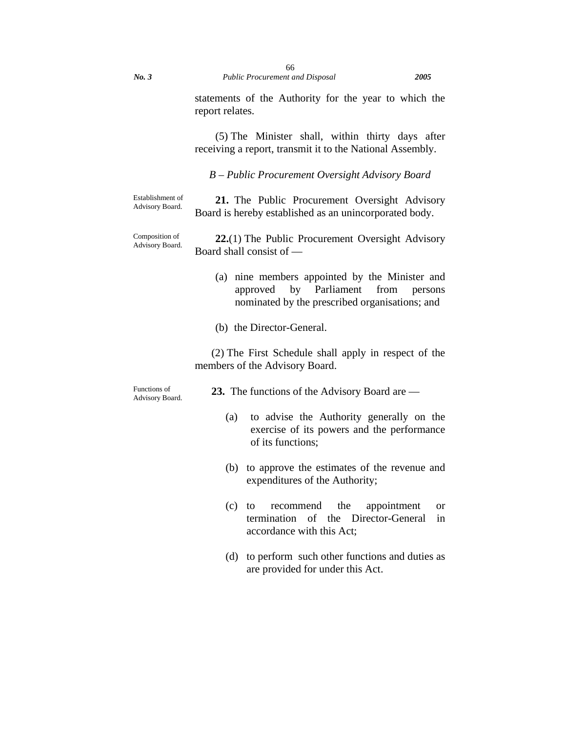statements of the Authority for the year to which the report relates.

(5) The Minister shall, within thirty days after receiving a report, transmit it to the National Assembly.

*B – Public Procurement Oversight Advisory Board* 

| Establishment of<br>Advisory Board. | 21. The Public Procurement Oversight Advisory          |  |  |  |
|-------------------------------------|--------------------------------------------------------|--|--|--|
|                                     | Board is hereby established as an unincorporated body. |  |  |  |

Composition of Advisory Board. **22.**(1) The Public Procurement Oversight Advisory Board shall consist of —

- (a) nine members appointed by the Minister and approved by Parliament from persons nominated by the prescribed organisations; and
- (b) the Director-General.

(2) The First Schedule shall apply in respect of the members of the Advisory Board.

| Functions of<br>Advisory Board. | 23. The functions of the Advisory Board are —                                                                       |  |
|---------------------------------|---------------------------------------------------------------------------------------------------------------------|--|
|                                 | to advise the Authority generally on the<br>(a)<br>exercise of its powers and the performance<br>of its functions;  |  |
|                                 | (b) to approve the estimates of the revenue and<br>expenditures of the Authority;                                   |  |
|                                 | recommend the<br>appointment<br>to<br>$\left( c \right)$<br><sub>or</sub><br>termination of the Director-General in |  |

accordance with this Act;

(d) to perform such other functions and duties as are provided for under this Act.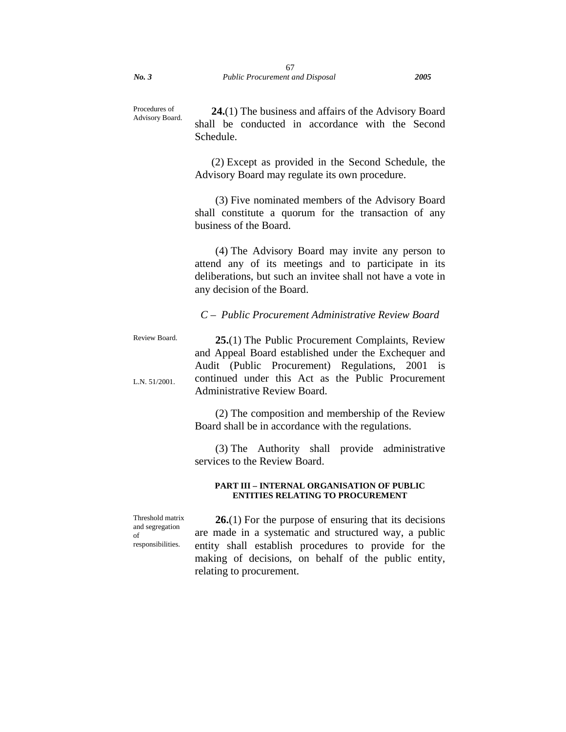Procedures of Advisory Board.

**24.**(1) The business and affairs of the Advisory Board shall be conducted in accordance with the Second Schedule.

(2) Except as provided in the Second Schedule, the Advisory Board may regulate its own procedure.

(3) Five nominated members of the Advisory Board shall constitute a quorum for the transaction of any business of the Board.

(4) The Advisory Board may invite any person to attend any of its meetings and to participate in its deliberations, but such an invitee shall not have a vote in any decision of the Board.

*C – Public Procurement Administrative Review Board*

Review Board.

L.N. 51/2001.

**25.**(1) The Public Procurement Complaints, Review and Appeal Board established under the Exchequer and Audit (Public Procurement) Regulations, 2001 is continued under this Act as the Public Procurement Administrative Review Board.

(2) The composition and membership of the Review Board shall be in accordance with the regulations.

(3) The Authority shall provide administrative services to the Review Board.

#### **PART III – INTERNAL ORGANISATION OF PUBLIC ENTITIES RELATING TO PROCUREMENT**

Threshold matrix and segregation of responsibilities.

**26.**(1) For the purpose of ensuring that its decisions are made in a systematic and structured way, a public entity shall establish procedures to provide for the making of decisions, on behalf of the public entity, relating to procurement.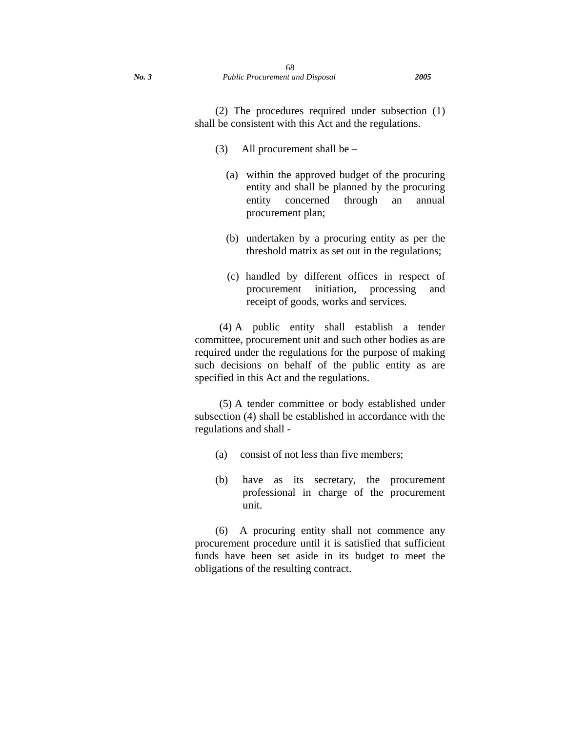(2) The procedures required under subsection (1) shall be consistent with this Act and the regulations.

- (3) All procurement shall be
	- (a) within the approved budget of the procuring entity and shall be planned by the procuring entity concerned through an annual procurement plan;
	- (b) undertaken by a procuring entity as per the threshold matrix as set out in the regulations;
	- (c) handled by different offices in respect of procurement initiation, processing and receipt of goods, works and services.

(4) A public entity shall establish a tender committee, procurement unit and such other bodies as are required under the regulations for the purpose of making such decisions on behalf of the public entity as are specified in this Act and the regulations.

(5) A tender committee or body established under subsection (4) shall be established in accordance with the regulations and shall -

- (a) consist of not less than five members;
- (b) have as its secretary, the procurement professional in charge of the procurement unit.

(6) A procuring entity shall not commence any procurement procedure until it is satisfied that sufficient funds have been set aside in its budget to meet the obligations of the resulting contract.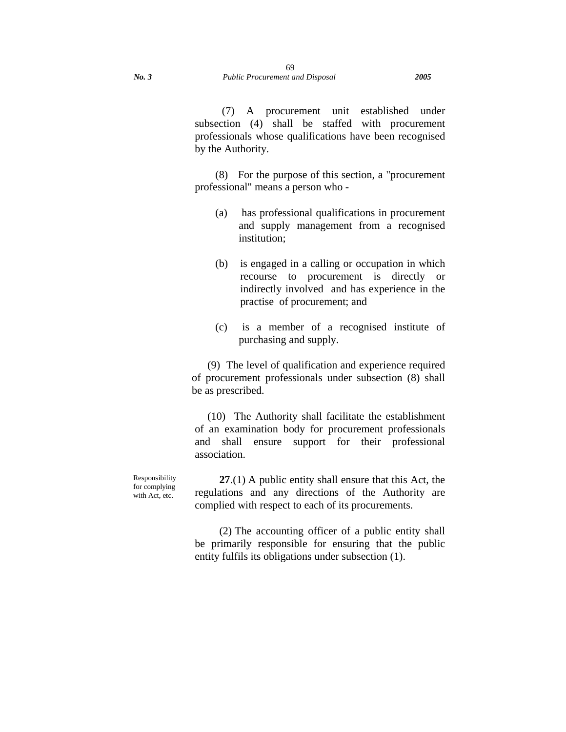(7) A procurement unit established under subsection (4) shall be staffed with procurement professionals whose qualifications have been recognised by the Authority.

(8) For the purpose of this section, a "procurement professional" means a person who -

- (a) has professional qualifications in procurement and supply management from a recognised institution;
- (b) is engaged in a calling or occupation in which recourse to procurement is directly or indirectly involved and has experience in the practise of procurement; and
- (c) is a member of a recognised institute of purchasing and supply.

(9) The level of qualification and experience required of procurement professionals under subsection (8) shall be as prescribed.

(10) The Authority shall facilitate the establishment of an examination body for procurement professionals and shall ensure support for their professional association.

**27**.(1) A public entity shall ensure that this Act, the regulations and any directions of the Authority are complied with respect to each of its procurements.

(2) The accounting officer of a public entity shall be primarily responsible for ensuring that the public entity fulfils its obligations under subsection (1).

Responsibility for complying with Act, etc.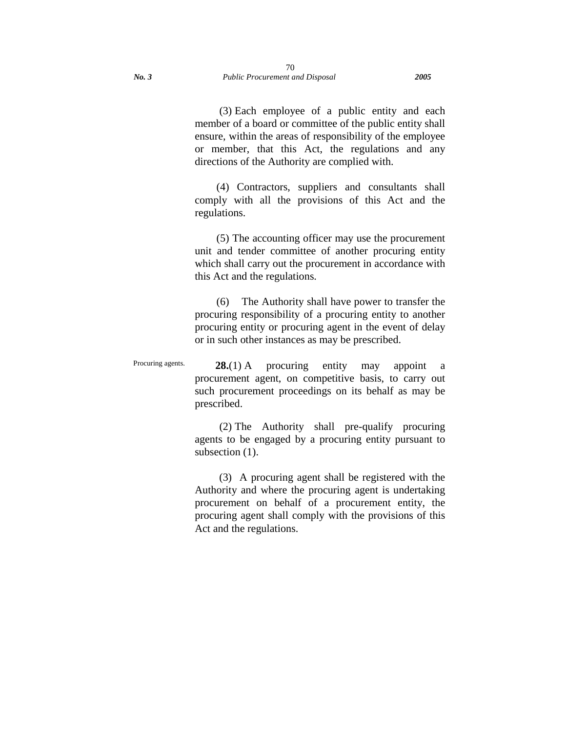(3) Each employee of a public entity and each member of a board or committee of the public entity shall ensure, within the areas of responsibility of the employee or member, that this Act, the regulations and any directions of the Authority are complied with.

 (4) Contractors, suppliers and consultants shall comply with all the provisions of this Act and the regulations.

 (5) The accounting officer may use the procurement unit and tender committee of another procuring entity which shall carry out the procurement in accordance with this Act and the regulations.

 (6) The Authority shall have power to transfer the procuring responsibility of a procuring entity to another procuring entity or procuring agent in the event of delay or in such other instances as may be prescribed.

Procuring agents. **28.**(1) A procuring entity may appoint a procurement agent, on competitive basis, to carry out such procurement proceedings on its behalf as may be prescribed.

> (2) The Authority shall pre-qualify procuring agents to be engaged by a procuring entity pursuant to subsection  $(1)$ .

> (3) A procuring agent shall be registered with the Authority and where the procuring agent is undertaking procurement on behalf of a procurement entity, the procuring agent shall comply with the provisions of this Act and the regulations.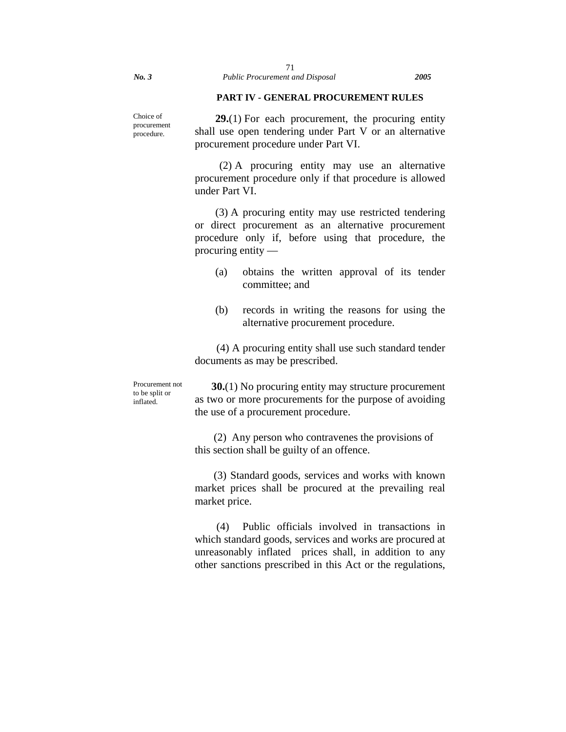### **PART IV - GENERAL PROCUREMENT RULES**

procurement procedure. **29.**(1) For each procurement, the procuring entity shall use open tendering under Part V or an alternative procurement procedure under Part VI.

> (2) A procuring entity may use an alternative procurement procedure only if that procedure is allowed under Part VI.

> (3) A procuring entity may use restricted tendering or direct procurement as an alternative procurement procedure only if, before using that procedure, the procuring entity —

- (a) obtains the written approval of its tender committee; and
- (b) records in writing the reasons for using the alternative procurement procedure.

 (4) A procuring entity shall use such standard tender documents as may be prescribed.

Procurement not to be split or inflated.

**30.**(1) No procuring entity may structure procurement as two or more procurements for the purpose of avoiding the use of a procurement procedure.

 (2) Any person who contravenes the provisions of this section shall be guilty of an offence.

 (3) Standard goods, services and works with known market prices shall be procured at the prevailing real market price.

 (4) Public officials involved in transactions in which standard goods, services and works are procured at unreasonably inflated prices shall, in addition to any other sanctions prescribed in this Act or the regulations,

Choice of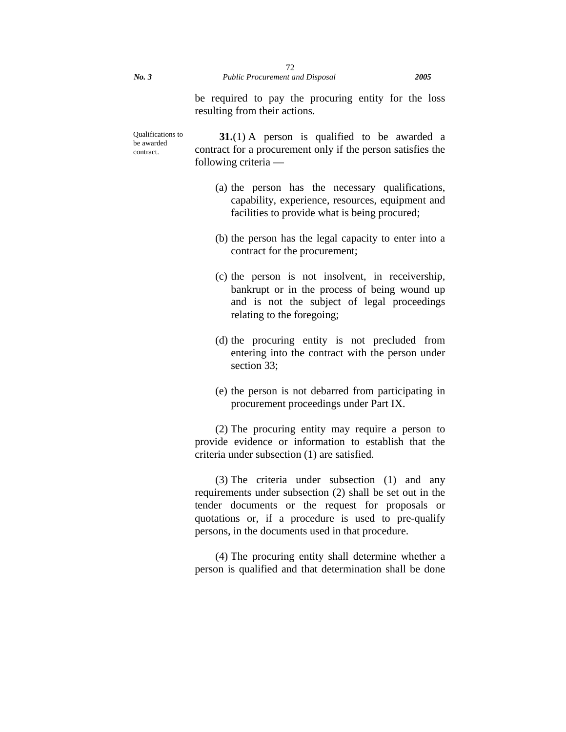be required to pay the procuring entity for the loss resulting from their actions.

Qualifications to be awarded contract.

**31.**(1) A person is qualified to be awarded a contract for a procurement only if the person satisfies the following criteria —

- (a) the person has the necessary qualifications, capability, experience, resources, equipment and facilities to provide what is being procured;
- (b) the person has the legal capacity to enter into a contract for the procurement;
- (c) the person is not insolvent, in receivership, bankrupt or in the process of being wound up and is not the subject of legal proceedings relating to the foregoing;
- (d) the procuring entity is not precluded from entering into the contract with the person under section 33;
- (e) the person is not debarred from participating in procurement proceedings under Part IX.

(2) The procuring entity may require a person to provide evidence or information to establish that the criteria under subsection (1) are satisfied.

(3) The criteria under subsection (1) and any requirements under subsection (2) shall be set out in the tender documents or the request for proposals or quotations or, if a procedure is used to pre-qualify persons, in the documents used in that procedure.

(4) The procuring entity shall determine whether a person is qualified and that determination shall be done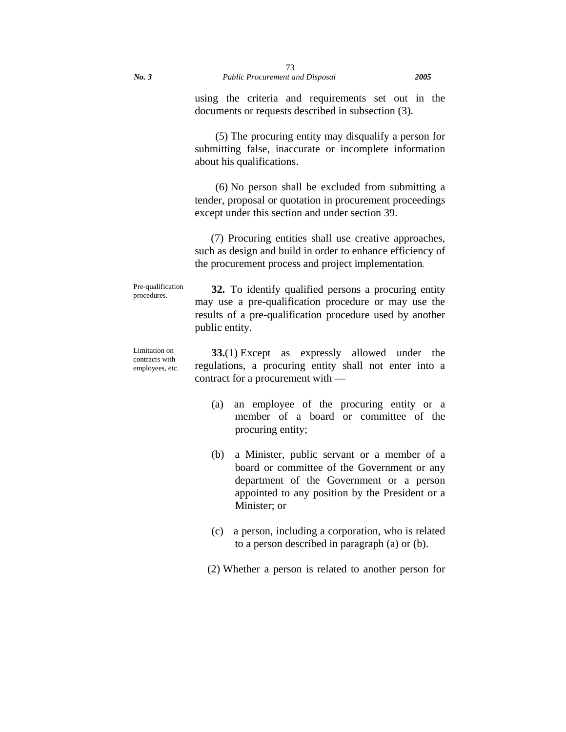using the criteria and requirements set out in the documents or requests described in subsection (3).

(5) The procuring entity may disqualify a person for submitting false, inaccurate or incomplete information about his qualifications.

(6) No person shall be excluded from submitting a tender, proposal or quotation in procurement proceedings except under this section and under section 39.

 (7) Procuring entities shall use creative approaches, such as design and build in order to enhance efficiency of the procurement process and project implementation*.*

Pre-qualification procedures. **32.** To identify qualified persons a procuring entity may use a pre-qualification procedure or may use the results of a pre-qualification procedure used by another public entity.

Limitation on contracts with employees, etc. **33.**(1) Except as expressly allowed under the regulations, a procuring entity shall not enter into a contract for a procurement with —

- (a) an employee of the procuring entity or a member of a board or committee of the procuring entity;
- (b) a Minister, public servant or a member of a board or committee of the Government or any department of the Government or a person appointed to any position by the President or a Minister; or
- (c) a person, including a corporation, who is related to a person described in paragraph (a) or (b).

(2) Whether a person is related to another person for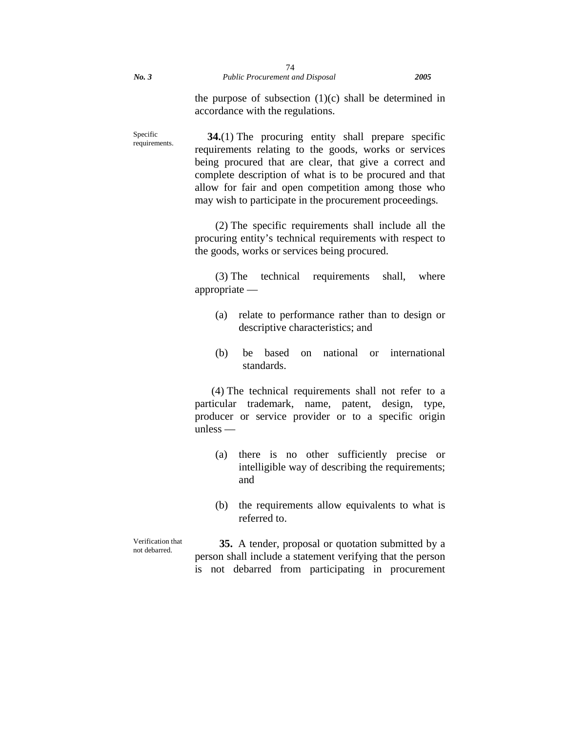the purpose of subsection  $(1)(c)$  shall be determined in accordance with the regulations.

Specific requirements. **34.**(1) The procuring entity shall prepare specific requirements relating to the goods, works or services being procured that are clear, that give a correct and complete description of what is to be procured and that allow for fair and open competition among those who may wish to participate in the procurement proceedings.

> (2) The specific requirements shall include all the procuring entity's technical requirements with respect to the goods, works or services being procured.

> (3) The technical requirements shall, where appropriate —

- (a) relate to performance rather than to design or descriptive characteristics; and
- (b) be based on national or international standards.

(4) The technical requirements shall not refer to a particular trademark, name, patent, design, type, producer or service provider or to a specific origin unless —

- (a) there is no other sufficiently precise or intelligible way of describing the requirements; and
- (b) the requirements allow equivalents to what is referred to.

Verification that not debarred.

**35.** A tender, proposal or quotation submitted by a person shall include a statement verifying that the person is not debarred from participating in procurement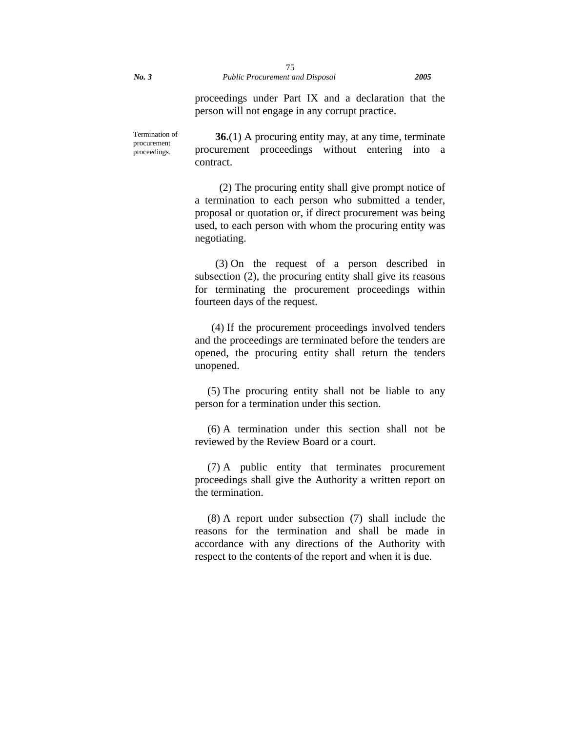proceedings under Part IX and a declaration that the person will not engage in any corrupt practice.

Termination of procurement proceedings. **36.**(1) A procuring entity may, at any time, terminate procurement proceedings without entering into a contract.

> (2) The procuring entity shall give prompt notice of a termination to each person who submitted a tender, proposal or quotation or, if direct procurement was being used, to each person with whom the procuring entity was negotiating.

> (3) On the request of a person described in subsection (2), the procuring entity shall give its reasons for terminating the procurement proceedings within fourteen days of the request.

> (4) If the procurement proceedings involved tenders and the proceedings are terminated before the tenders are opened, the procuring entity shall return the tenders unopened.

> (5) The procuring entity shall not be liable to any person for a termination under this section.

> (6) A termination under this section shall not be reviewed by the Review Board or a court.

> (7) A public entity that terminates procurement proceedings shall give the Authority a written report on the termination.

> (8) A report under subsection (7) shall include the reasons for the termination and shall be made in accordance with any directions of the Authority with respect to the contents of the report and when it is due.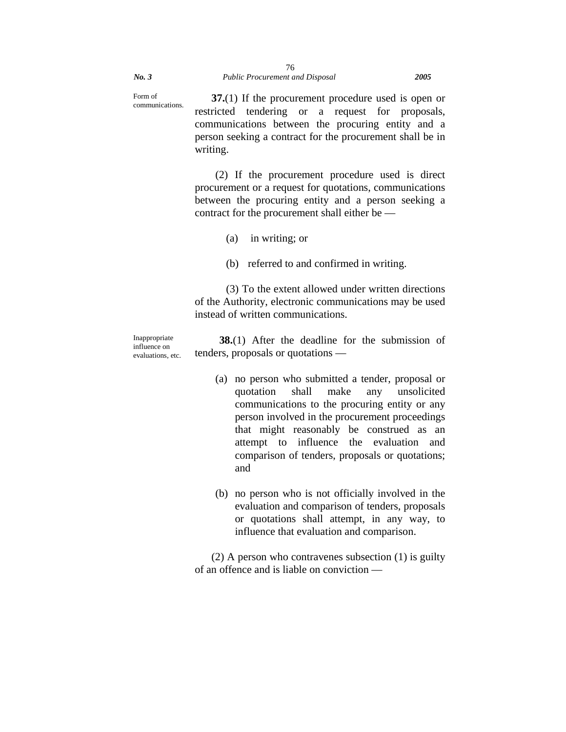Form of communications. **37.**(1) If the procurement procedure used is open or restricted tendering or a request for proposals, communications between the procuring entity and a person seeking a contract for the procurement shall be in writing.

> (2) If the procurement procedure used is direct procurement or a request for quotations, communications between the procuring entity and a person seeking a contract for the procurement shall either be —

- (a) in writing; or
- (b) referred to and confirmed in writing.

(3) To the extent allowed under written directions of the Authority, electronic communications may be used instead of written communications.

Inappropriate influence on evaluations, etc.

**38.**(1) After the deadline for the submission of tenders, proposals or quotations —

- (a) no person who submitted a tender, proposal or quotation shall make any unsolicited communications to the procuring entity or any person involved in the procurement proceedings that might reasonably be construed as an attempt to influence the evaluation and comparison of tenders, proposals or quotations; and
- (b) no person who is not officially involved in the evaluation and comparison of tenders, proposals or quotations shall attempt, in any way, to influence that evaluation and comparison.

(2) A person who contravenes subsection (1) is guilty of an offence and is liable on conviction —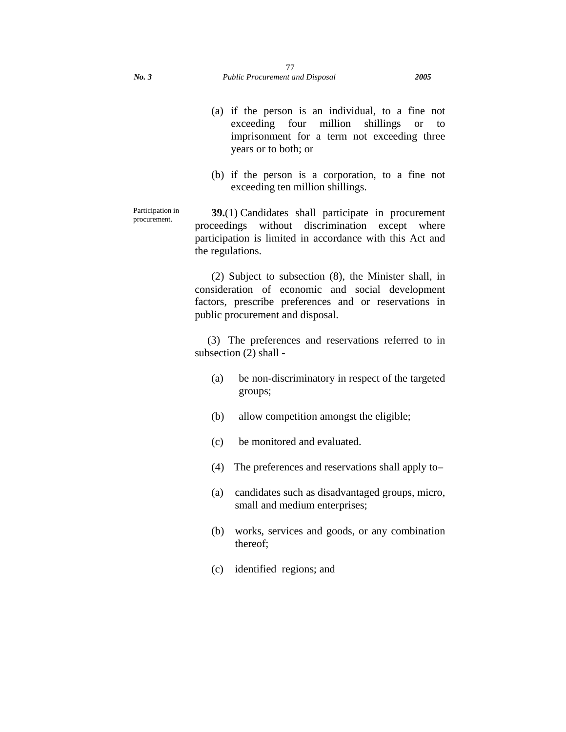- (a) if the person is an individual, to a fine not exceeding four million shillings or to imprisonment for a term not exceeding three years or to both; or
- (b) if the person is a corporation, to a fine not exceeding ten million shillings.

Participation in procurement. **39.**(1) Candidates shall participate in procurement proceedings without discrimination except where participation is limited in accordance with this Act and the regulations.

> (2) Subject to subsection (8), the Minister shall, in consideration of economic and social development factors, prescribe preferences and or reservations in public procurement and disposal.

> (3) The preferences and reservations referred to in subsection (2) shall -

- (a) be non-discriminatory in respect of the targeted groups;
- (b) allow competition amongst the eligible;
- (c) be monitored and evaluated.
- (4) The preferences and reservations shall apply to–
- (a) candidates such as disadvantaged groups, micro, small and medium enterprises;
- (b) works, services and goods, or any combination thereof;
- (c) identified regions; and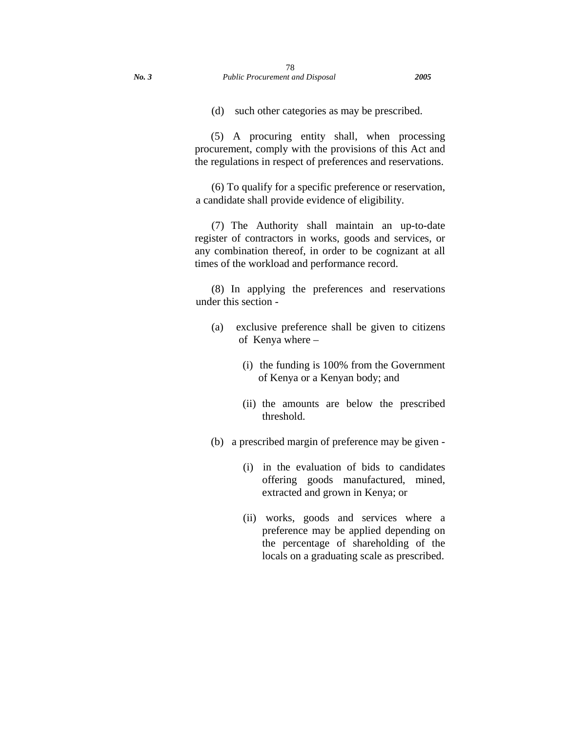(d) such other categories as may be prescribed.

 (5) A procuring entity shall, when processing procurement, comply with the provisions of this Act and the regulations in respect of preferences and reservations.

(6) To qualify for a specific preference or reservation, a candidate shall provide evidence of eligibility.

(7) The Authority shall maintain an up-to-date register of contractors in works, goods and services, or any combination thereof, in order to be cognizant at all times of the workload and performance record.

(8) In applying the preferences and reservations under this section -

- (a) exclusive preference shall be given to citizens of Kenya where –
	- (i) the funding is 100% from the Government of Kenya or a Kenyan body; and
	- (ii) the amounts are below the prescribed threshold.
- (b) a prescribed margin of preference may be given
	- (i) in the evaluation of bids to candidates offering goods manufactured, mined, extracted and grown in Kenya; or
	- (ii) works, goods and services where a preference may be applied depending on the percentage of shareholding of the locals on a graduating scale as prescribed.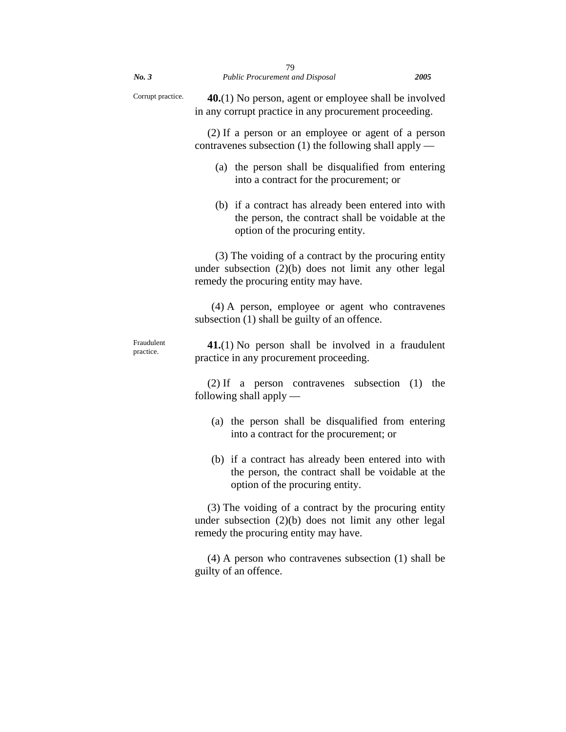| No. 3                   | 79<br><b>Public Procurement and Disposal</b>                                                                                                               | <i>2005</i> |
|-------------------------|------------------------------------------------------------------------------------------------------------------------------------------------------------|-------------|
| Corrupt practice.       | $40(1)$ No person, agent or employee shall be involved<br>in any corrupt practice in any procurement proceeding.                                           |             |
|                         | (2) If a person or an employee or agent of a person<br>contravenes subsection $(1)$ the following shall apply —                                            |             |
|                         | (a) the person shall be disqualified from entering<br>into a contract for the procurement; or                                                              |             |
|                         | (b) if a contract has already been entered into with<br>the person, the contract shall be voidable at the<br>option of the procuring entity.               |             |
|                         | (3) The voiding of a contract by the procuring entity<br>under subsection $(2)(b)$ does not limit any other legal<br>remedy the procuring entity may have. |             |
|                         | (4) A person, employee or agent who contravenes<br>subsection (1) shall be guilty of an offence.                                                           |             |
| Fraudulent<br>practice. | $41(1)$ No person shall be involved in a fraudulent<br>practice in any procurement proceeding.                                                             |             |
|                         | $(2)$ If a person contravenes subsection $(1)$<br>following shall apply $-$                                                                                | the         |
|                         | (a) the person shall be disqualified from entering<br>into a contract for the procurement; or                                                              |             |
|                         | (b) if a contract has already been entered into with<br>the person, the contract shall be voidable at the<br>option of the procuring entity.               |             |
|                         | (3) The voiding of a contract by the procuring entity<br>under subsection $(2)(b)$ does not limit any other legal<br>remedy the procuring entity may have. |             |
|                         | $(4)$ A person who contravenes subsection $(1)$ shall be<br>guilty of an offence.                                                                          |             |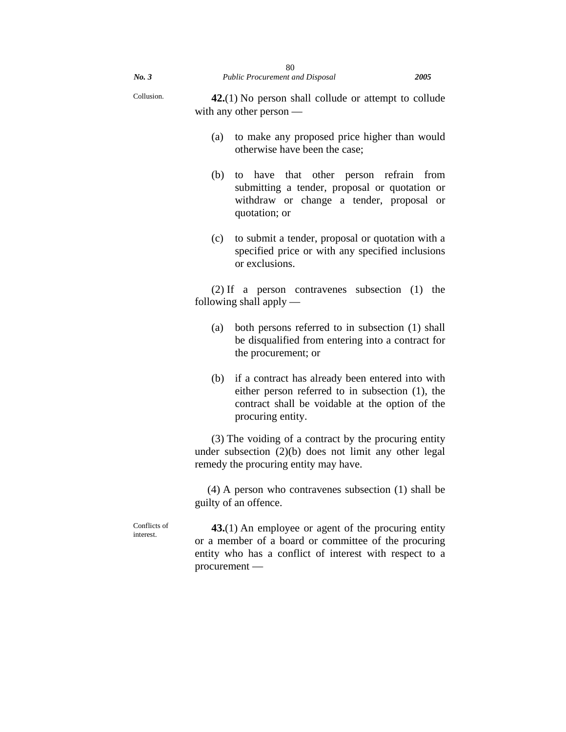| No.3                      | 80<br>Public Procurement and Disposal<br>2005                                                                                                                                            |  |  |  |
|---------------------------|------------------------------------------------------------------------------------------------------------------------------------------------------------------------------------------|--|--|--|
| Collusion.                | $42(1)$ No person shall collude or attempt to collude<br>with any other person $-$                                                                                                       |  |  |  |
|                           | to make any proposed price higher than would<br>(a)<br>otherwise have been the case;                                                                                                     |  |  |  |
|                           | (b)<br>to have that<br>other person refrain<br>from<br>submitting a tender, proposal or quotation or<br>withdraw or change a tender, proposal or<br>quotation; or                        |  |  |  |
|                           | (c)<br>to submit a tender, proposal or quotation with a<br>specified price or with any specified inclusions<br>or exclusions.                                                            |  |  |  |
|                           | $(2)$ If a person contravenes subsection $(1)$ the<br>following shall apply $-$                                                                                                          |  |  |  |
|                           | (a)<br>both persons referred to in subsection (1) shall<br>be disqualified from entering into a contract for<br>the procurement; or                                                      |  |  |  |
|                           | if a contract has already been entered into with<br>(b)<br>either person referred to in subsection (1), the<br>contract shall be voidable at the option of the<br>procuring entity.      |  |  |  |
|                           | (3) The voiding of a contract by the procuring entity<br>under subsection $(2)(b)$ does not limit any other legal<br>remedy the procuring entity may have.                               |  |  |  |
|                           | $(4)$ A person who contravenes subsection $(1)$ shall be<br>guilty of an offence.                                                                                                        |  |  |  |
| Conflicts of<br>interest. | 43.(1) An employee or agent of the procuring entity<br>or a member of a board or committee of the procuring<br>entity who has a conflict of interest with respect to a<br>$procurrent -$ |  |  |  |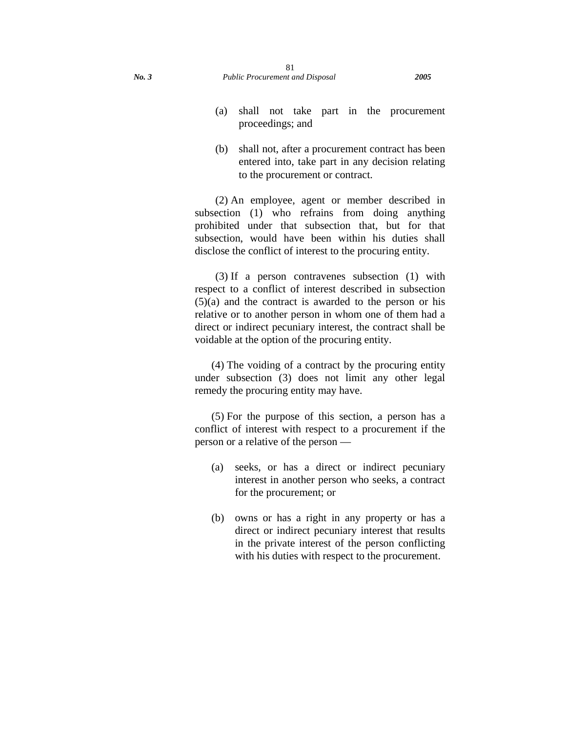- (a) shall not take part in the procurement proceedings; and
- (b) shall not, after a procurement contract has been entered into, take part in any decision relating to the procurement or contract.

(2) An employee, agent or member described in subsection (1) who refrains from doing anything prohibited under that subsection that, but for that subsection, would have been within his duties shall disclose the conflict of interest to the procuring entity.

(3) If a person contravenes subsection (1) with respect to a conflict of interest described in subsection  $(5)(a)$  and the contract is awarded to the person or his relative or to another person in whom one of them had a direct or indirect pecuniary interest, the contract shall be voidable at the option of the procuring entity.

(4) The voiding of a contract by the procuring entity under subsection (3) does not limit any other legal remedy the procuring entity may have.

(5) For the purpose of this section, a person has a conflict of interest with respect to a procurement if the person or a relative of the person —

- (a) seeks, or has a direct or indirect pecuniary interest in another person who seeks, a contract for the procurement; or
- (b) owns or has a right in any property or has a direct or indirect pecuniary interest that results in the private interest of the person conflicting with his duties with respect to the procurement.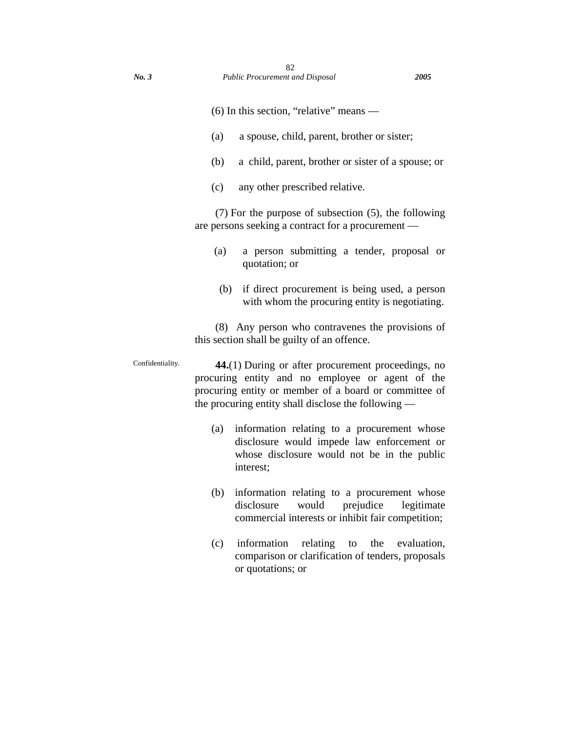- (6) In this section, "relative" means —
- (a) a spouse, child, parent, brother or sister;
- (b) a child, parent, brother or sister of a spouse; or
- (c) any other prescribed relative.

(7) For the purpose of subsection (5), the following are persons seeking a contract for a procurement —

- (a) a person submitting a tender, proposal or quotation; or
- (b) if direct procurement is being used, a person with whom the procuring entity is negotiating.

(8) Any person who contravenes the provisions of this section shall be guilty of an offence.

Confidentiality. **44.**(1) During or after procurement proceedings, no procuring entity and no employee or agent of the procuring entity or member of a board or committee of the procuring entity shall disclose the following —

- (a) information relating to a procurement whose disclosure would impede law enforcement or whose disclosure would not be in the public interest;
- (b) information relating to a procurement whose disclosure would prejudice legitimate commercial interests or inhibit fair competition;
- (c) information relating to the evaluation, comparison or clarification of tenders, proposals or quotations; or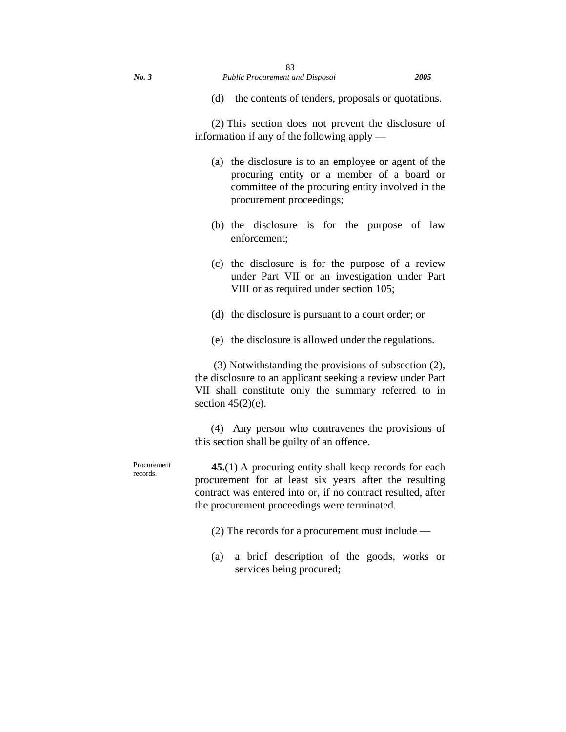(d) the contents of tenders, proposals or quotations.

(2) This section does not prevent the disclosure of information if any of the following apply —

- (a) the disclosure is to an employee or agent of the procuring entity or a member of a board or committee of the procuring entity involved in the procurement proceedings;
- (b) the disclosure is for the purpose of law enforcement;
- (c) the disclosure is for the purpose of a review under Part VII or an investigation under Part VIII or as required under section 105;
- (d) the disclosure is pursuant to a court order; or
- (e) the disclosure is allowed under the regulations.

 (3) Notwithstanding the provisions of subsection (2), the disclosure to an applicant seeking a review under Part VII shall constitute only the summary referred to in section  $45(2)(e)$ .

 (4) Any person who contravenes the provisions of this section shall be guilty of an offence.

**45.**(1) A procuring entity shall keep records for each procurement for at least six years after the resulting contract was entered into or, if no contract resulted, after the procurement proceedings were terminated.

- (2) The records for a procurement must include —
- (a) a brief description of the goods, works or services being procured;

Procurement records.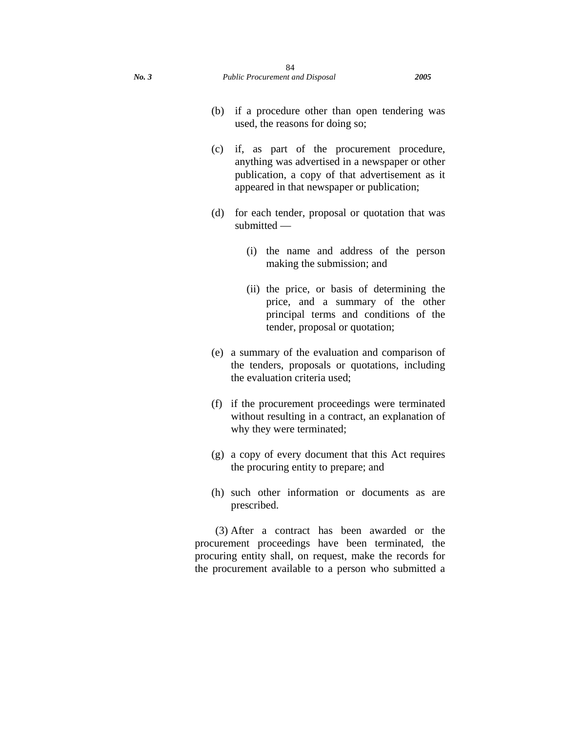- (b) if a procedure other than open tendering was used, the reasons for doing so;
- (c) if, as part of the procurement procedure, anything was advertised in a newspaper or other publication, a copy of that advertisement as it appeared in that newspaper or publication;
- (d) for each tender, proposal or quotation that was submitted —
	- (i) the name and address of the person making the submission; and
	- (ii) the price, or basis of determining the price, and a summary of the other principal terms and conditions of the tender, proposal or quotation;
- (e) a summary of the evaluation and comparison of the tenders, proposals or quotations, including the evaluation criteria used;
- (f) if the procurement proceedings were terminated without resulting in a contract, an explanation of why they were terminated;
- (g) a copy of every document that this Act requires the procuring entity to prepare; and
- (h) such other information or documents as are prescribed.

(3) After a contract has been awarded or the procurement proceedings have been terminated, the procuring entity shall, on request, make the records for the procurement available to a person who submitted a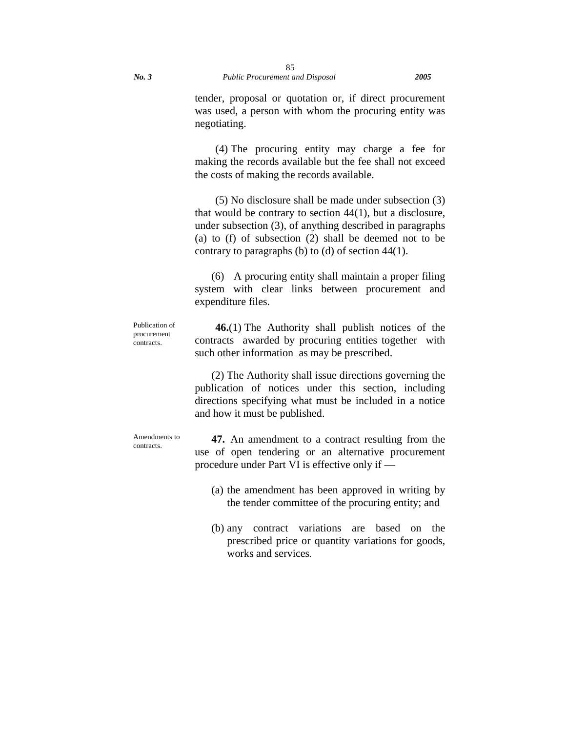tender, proposal or quotation or, if direct procurement was used, a person with whom the procuring entity was negotiating.

(4) The procuring entity may charge a fee for making the records available but the fee shall not exceed the costs of making the records available.

(5) No disclosure shall be made under subsection (3) that would be contrary to section 44(1), but a disclosure, under subsection (3), of anything described in paragraphs (a) to (f) of subsection (2) shall be deemed not to be contrary to paragraphs (b) to (d) of section 44(1).

(6) A procuring entity shall maintain a proper filing system with clear links between procurement and expenditure files.

Publication of procurement contracts.

**46.**(1) The Authority shall publish notices of the contracts awarded by procuring entities together with such other information as may be prescribed.

(2) The Authority shall issue directions governing the publication of notices under this section, including directions specifying what must be included in a notice and how it must be published.

Amendments to contracts.

**47.** An amendment to a contract resulting from the use of open tendering or an alternative procurement procedure under Part VI is effective only if —

- (a) the amendment has been approved in writing by the tender committee of the procuring entity; and
- (b) any contract variations are based on the prescribed price or quantity variations for goods, works and services*.*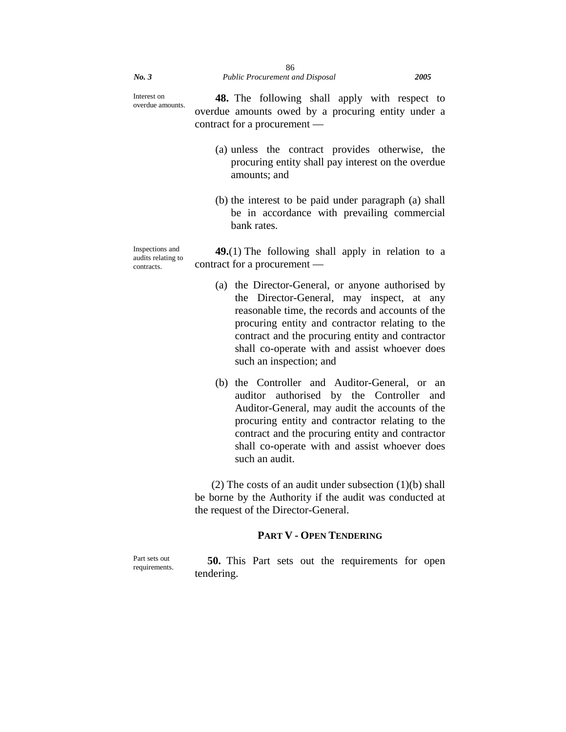Interest on overdue amounts.

**48.** The following shall apply with respect to overdue amounts owed by a procuring entity under a contract for a procurement —

- (a) unless the contract provides otherwise, the procuring entity shall pay interest on the overdue amounts; and
- (b) the interest to be paid under paragraph (a) shall be in accordance with prevailing commercial bank rates.

Inspections and audits relating to contracts. **49.**(1) The following shall apply in relation to a contract for a procurement —

- (a) the Director-General, or anyone authorised by the Director-General, may inspect, at any reasonable time, the records and accounts of the procuring entity and contractor relating to the contract and the procuring entity and contractor shall co-operate with and assist whoever does such an inspection; and
- (b) the Controller and Auditor-General, or an auditor authorised by the Controller and Auditor-General, may audit the accounts of the procuring entity and contractor relating to the contract and the procuring entity and contractor shall co-operate with and assist whoever does such an audit.

(2) The costs of an audit under subsection (1)(b) shall be borne by the Authority if the audit was conducted at the request of the Director-General.

## **PART V - OPEN TENDERING**

Part sets out requirements.

**50.** This Part sets out the requirements for open tendering.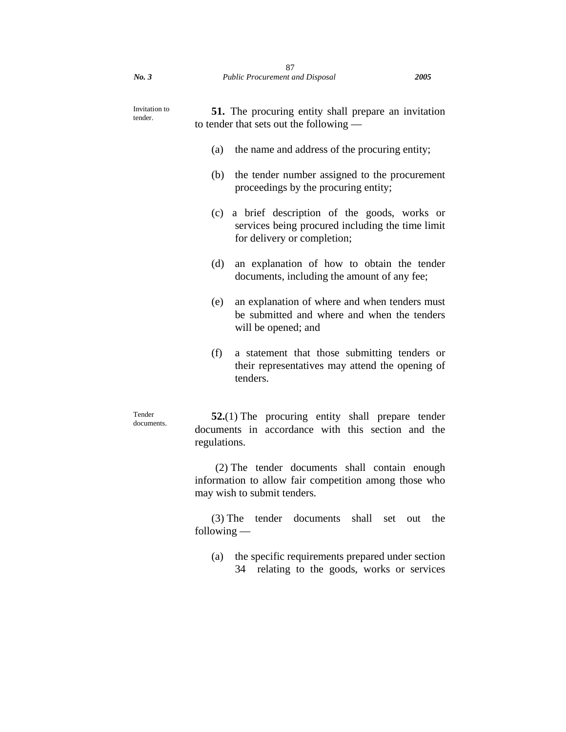| Invitation to<br>tender. | <b>51.</b> The procuring entity shall prepare an invitation<br>to tender that sets out the following —                               |  |  |  |
|--------------------------|--------------------------------------------------------------------------------------------------------------------------------------|--|--|--|
|                          | the name and address of the procuring entity;<br>(a)                                                                                 |  |  |  |
|                          | (b)<br>the tender number assigned to the procurement<br>proceedings by the procuring entity;                                         |  |  |  |
|                          | a brief description of the goods, works or<br>(c)<br>services being procured including the time limit<br>for delivery or completion; |  |  |  |
|                          | (d)<br>an explanation of how to obtain the tender<br>documents, including the amount of any fee;                                     |  |  |  |
|                          | (e)<br>an explanation of where and when tenders must<br>be submitted and where and when the tenders<br>will be opened; and           |  |  |  |
|                          | (f)<br>a statement that those submitting tenders or<br>their representatives may attend the opening of<br>tenders.                   |  |  |  |
| Tender<br>documents.     | $52(1)$ The procuring entity shall prepare tender<br>documents in accordance with this section and the<br>regulations.               |  |  |  |
|                          | (2) The tender documents shall contain enough                                                                                        |  |  |  |

information to allow fair competition among those who may wish to submit tenders.

(3) The tender documents shall set out the following —

(a) the specific requirements prepared under section 34 relating to the goods, works or services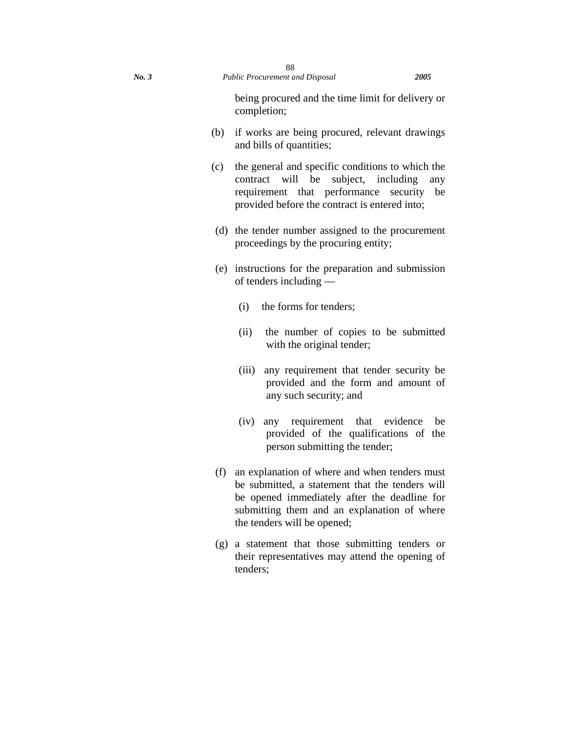being procured and the time limit for delivery or completion;

- (b) if works are being procured, relevant drawings and bills of quantities;
- (c) the general and specific conditions to which the contract will be subject, including any requirement that performance security be provided before the contract is entered into;
- (d) the tender number assigned to the procurement proceedings by the procuring entity;
- (e) instructions for the preparation and submission of tenders including —
	- (i) the forms for tenders;
	- (ii) the number of copies to be submitted with the original tender;
	- (iii) any requirement that tender security be provided and the form and amount of any such security; and
	- (iv) any requirement that evidence be provided of the qualifications of the person submitting the tender;
- (f) an explanation of where and when tenders must be submitted, a statement that the tenders will be opened immediately after the deadline for submitting them and an explanation of where the tenders will be opened;
- (g) a statement that those submitting tenders or their representatives may attend the opening of tenders;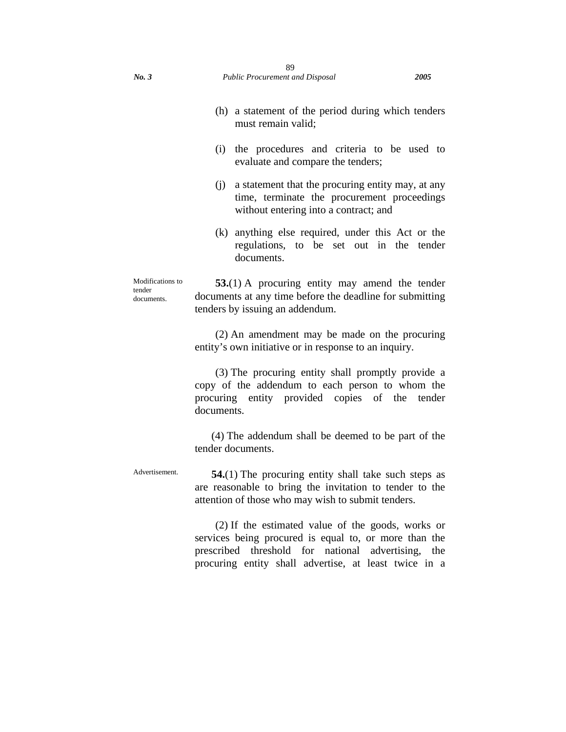- (i) the procedures and criteria to be used to evaluate and compare the tenders;
- (j) a statement that the procuring entity may, at any time, terminate the procurement proceedings without entering into a contract; and
- (k) anything else required, under this Act or the regulations, to be set out in the tender documents.

Modifications to **53.**(1) A procuring entity may amend the tender documents at any time before the deadline for submitting tenders by issuing an addendum.

> (2) An amendment may be made on the procuring entity's own initiative or in response to an inquiry.

> (3) The procuring entity shall promptly provide a copy of the addendum to each person to whom the procuring entity provided copies of the tender documents.

> (4) The addendum shall be deemed to be part of the tender documents.

Advertisement. **54.**(1) The procuring entity shall take such steps as are reasonable to bring the invitation to tender to the attention of those who may wish to submit tenders.

> (2) If the estimated value of the goods, works or services being procured is equal to, or more than the prescribed threshold for national advertising, the procuring entity shall advertise, at least twice in a

tender documents.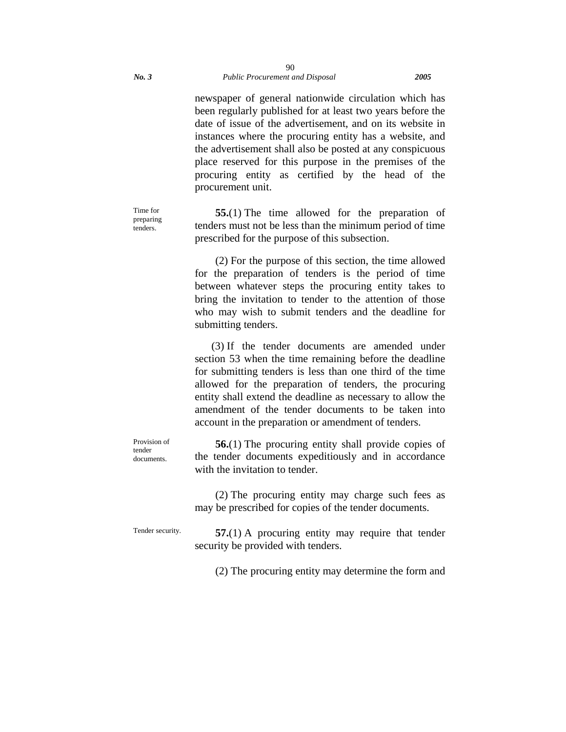newspaper of general nationwide circulation which has been regularly published for at least two years before the date of issue of the advertisement, and on its website in instances where the procuring entity has a website, and the advertisement shall also be posted at any conspicuous place reserved for this purpose in the premises of the procuring entity as certified by the head of the procurement unit.

Time for preparing tenders.

**55.**(1) The time allowed for the preparation of tenders must not be less than the minimum period of time prescribed for the purpose of this subsection.

(2) For the purpose of this section, the time allowed for the preparation of tenders is the period of time between whatever steps the procuring entity takes to bring the invitation to tender to the attention of those who may wish to submit tenders and the deadline for submitting tenders.

(3) If the tender documents are amended under section 53 when the time remaining before the deadline for submitting tenders is less than one third of the time allowed for the preparation of tenders, the procuring entity shall extend the deadline as necessary to allow the amendment of the tender documents to be taken into account in the preparation or amendment of tenders.

Provision of tender documents.

**56.**(1) The procuring entity shall provide copies of the tender documents expeditiously and in accordance with the invitation to tender.

(2) The procuring entity may charge such fees as may be prescribed for copies of the tender documents.

Tender security. **57.**(1) A procuring entity may require that tender security be provided with tenders.

(2) The procuring entity may determine the form and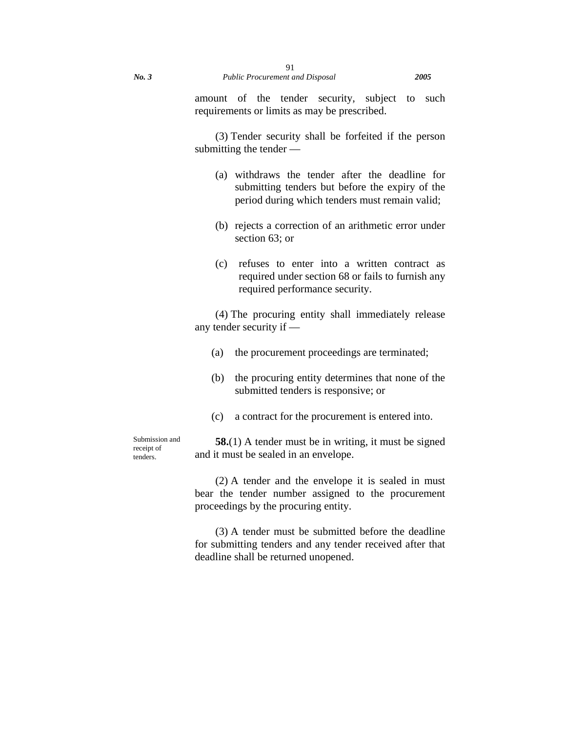amount of the tender security, subject to such requirements or limits as may be prescribed.

(3) Tender security shall be forfeited if the person submitting the tender —

- (a) withdraws the tender after the deadline for submitting tenders but before the expiry of the period during which tenders must remain valid;
- (b) rejects a correction of an arithmetic error under section 63; or
- (c) refuses to enter into a written contract as required under section 68 or fails to furnish any required performance security.

(4) The procuring entity shall immediately release any tender security if —

- (a) the procurement proceedings are terminated;
- (b) the procuring entity determines that none of the submitted tenders is responsive; or
- (c) a contract for the procurement is entered into.

Submission and receipt of tenders.

**58.**(1) A tender must be in writing, it must be signed and it must be sealed in an envelope.

(2) A tender and the envelope it is sealed in must bear the tender number assigned to the procurement proceedings by the procuring entity.

(3) A tender must be submitted before the deadline for submitting tenders and any tender received after that deadline shall be returned unopened.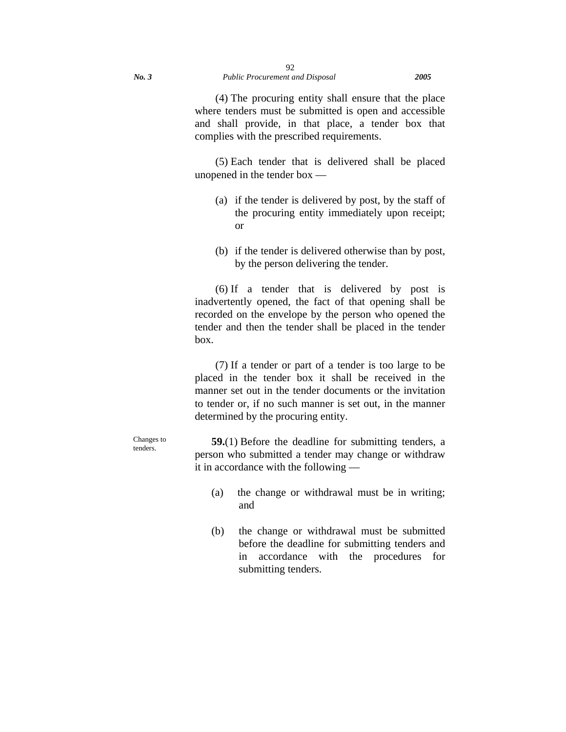(4) The procuring entity shall ensure that the place where tenders must be submitted is open and accessible and shall provide, in that place, a tender box that complies with the prescribed requirements.

(5) Each tender that is delivered shall be placed unopened in the tender box —

- (a) if the tender is delivered by post, by the staff of the procuring entity immediately upon receipt; or
- (b) if the tender is delivered otherwise than by post, by the person delivering the tender.

(6) If a tender that is delivered by post is inadvertently opened, the fact of that opening shall be recorded on the envelope by the person who opened the tender and then the tender shall be placed in the tender box.

(7) If a tender or part of a tender is too large to be placed in the tender box it shall be received in the manner set out in the tender documents or the invitation to tender or, if no such manner is set out, in the manner determined by the procuring entity.

Changes to **59.**(1) Before the deadline for submitting tenders, a person who submitted a tender may change or withdraw

tenders.

(a) the change or withdrawal must be in writing; and

it in accordance with the following —

(b) the change or withdrawal must be submitted before the deadline for submitting tenders and in accordance with the procedures for submitting tenders.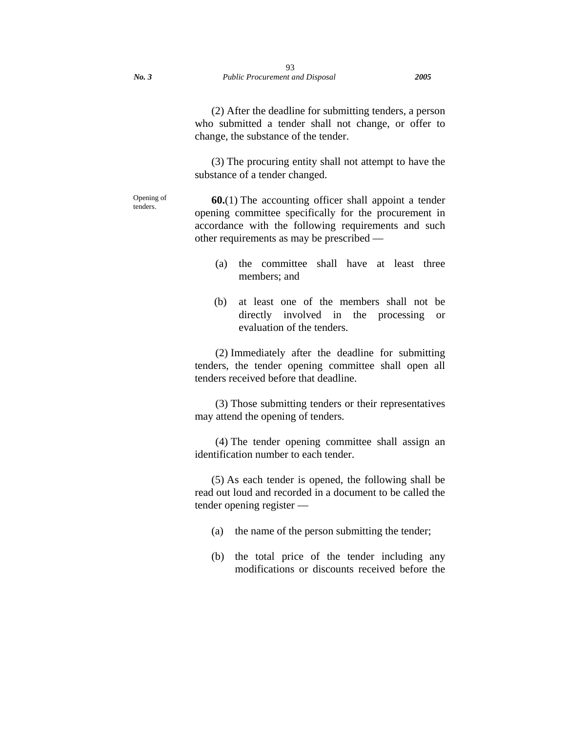(2) After the deadline for submitting tenders, a person who submitted a tender shall not change, or offer to change, the substance of the tender.

(3) The procuring entity shall not attempt to have the substance of a tender changed.

Opening of tenders.

**60.**(1) The accounting officer shall appoint a tender opening committee specifically for the procurement in accordance with the following requirements and such other requirements as may be prescribed —

- (a) the committee shall have at least three members; and
- (b) at least one of the members shall not be directly involved in the processing or evaluation of the tenders.

(2) Immediately after the deadline for submitting tenders, the tender opening committee shall open all tenders received before that deadline.

(3) Those submitting tenders or their representatives may attend the opening of tenders.

(4) The tender opening committee shall assign an identification number to each tender.

(5) As each tender is opened, the following shall be read out loud and recorded in a document to be called the tender opening register —

- (a) the name of the person submitting the tender;
- (b) the total price of the tender including any modifications or discounts received before the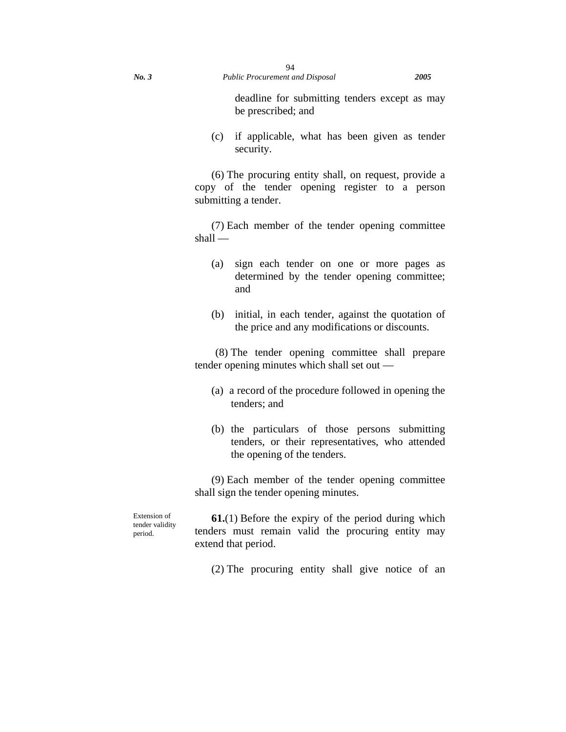deadline for submitting tenders except as may be prescribed; and

(c) if applicable, what has been given as tender security.

(6) The procuring entity shall, on request, provide a copy of the tender opening register to a person submitting a tender.

(7) Each member of the tender opening committee shall —

- (a) sign each tender on one or more pages as determined by the tender opening committee; and
- (b) initial, in each tender, against the quotation of the price and any modifications or discounts.

(8) The tender opening committee shall prepare tender opening minutes which shall set out —

- (a) a record of the procedure followed in opening the tenders; and
- (b) the particulars of those persons submitting tenders, or their representatives, who attended the opening of the tenders.

(9) Each member of the tender opening committee shall sign the tender opening minutes.

Extension of tender validity period.

**61.**(1) Before the expiry of the period during which tenders must remain valid the procuring entity may extend that period.

(2) The procuring entity shall give notice of an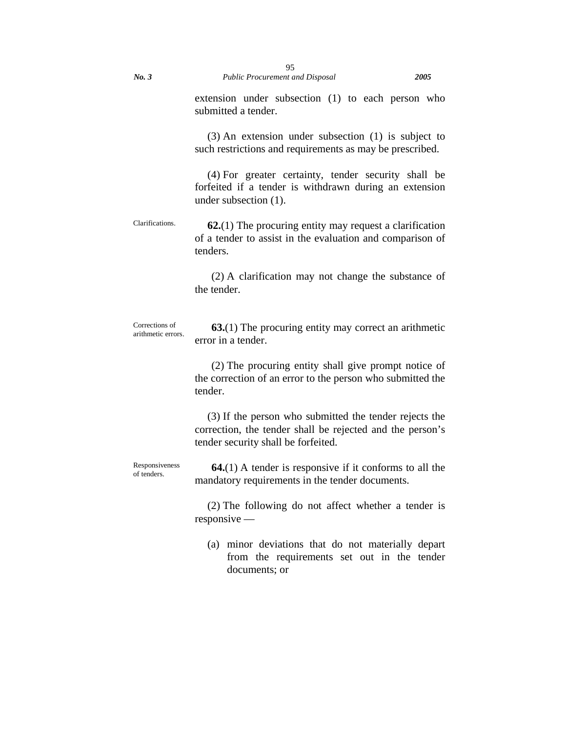extension under subsection (1) to each person who submitted a tender.

(3) An extension under subsection (1) is subject to such restrictions and requirements as may be prescribed.

(4) For greater certainty, tender security shall be forfeited if a tender is withdrawn during an extension under subsection (1).

Clarifications. **62.**(1) The procuring entity may request a clarification of a tender to assist in the evaluation and comparison of tenders.

> (2) A clarification may not change the substance of the tender.

Corrections of arithmetic errors. **63.**(1) The procuring entity may correct an arithmetic error in a tender.

> (2) The procuring entity shall give prompt notice of the correction of an error to the person who submitted the tender.

> (3) If the person who submitted the tender rejects the correction, the tender shall be rejected and the person's tender security shall be forfeited.

Responsiveness of tenders. **64.**(1) A tender is responsive if it conforms to all the mandatory requirements in the tender documents.

> (2) The following do not affect whether a tender is responsive —

(a) minor deviations that do not materially depart from the requirements set out in the tender documents; or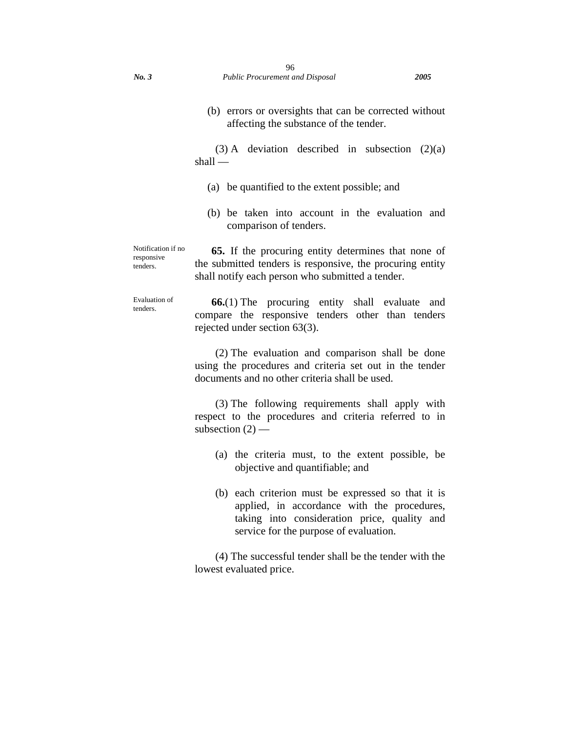(3) A deviation described in subsection  $(2)(a)$ shall —

- (a) be quantified to the extent possible; and
- (b) be taken into account in the evaluation and comparison of tenders.

Notification if no responsive tenders. **65.** If the procuring entity determines that none of the submitted tenders is responsive, the procuring entity shall notify each person who submitted a tender.

Evaluation of tenders. **66.**(1) The procuring entity shall evaluate and compare the responsive tenders other than tenders rejected under section 63(3).

> (2) The evaluation and comparison shall be done using the procedures and criteria set out in the tender documents and no other criteria shall be used.

> (3) The following requirements shall apply with respect to the procedures and criteria referred to in subsection  $(2)$  —

- (a) the criteria must, to the extent possible, be objective and quantifiable; and
- (b) each criterion must be expressed so that it is applied, in accordance with the procedures, taking into consideration price, quality and service for the purpose of evaluation.

(4) The successful tender shall be the tender with the lowest evaluated price.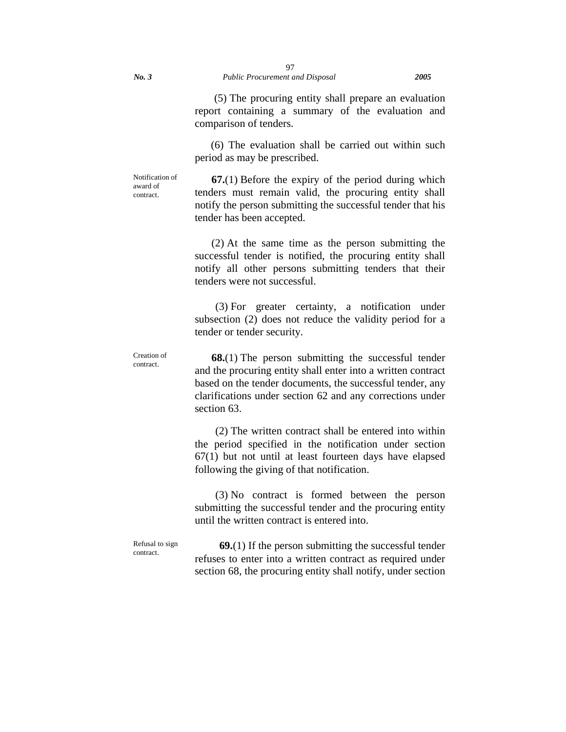(5) The procuring entity shall prepare an evaluation report containing a summary of the evaluation and comparison of tenders.

 (6) The evaluation shall be carried out within such period as may be prescribed.

Notification of award of contract.

Creation of contract.

**67.**(1) Before the expiry of the period during which tenders must remain valid, the procuring entity shall notify the person submitting the successful tender that his tender has been accepted.

(2) At the same time as the person submitting the successful tender is notified, the procuring entity shall notify all other persons submitting tenders that their tenders were not successful.

(3) For greater certainty, a notification under subsection (2) does not reduce the validity period for a tender or tender security.

**68.**(1) The person submitting the successful tender and the procuring entity shall enter into a written contract based on the tender documents, the successful tender, any clarifications under section 62 and any corrections under section 63.

(2) The written contract shall be entered into within the period specified in the notification under section 67(1) but not until at least fourteen days have elapsed following the giving of that notification.

(3) No contract is formed between the person submitting the successful tender and the procuring entity until the written contract is entered into.

Refusal to sign contract.

**69.**(1) If the person submitting the successful tender refuses to enter into a written contract as required under section 68, the procuring entity shall notify, under section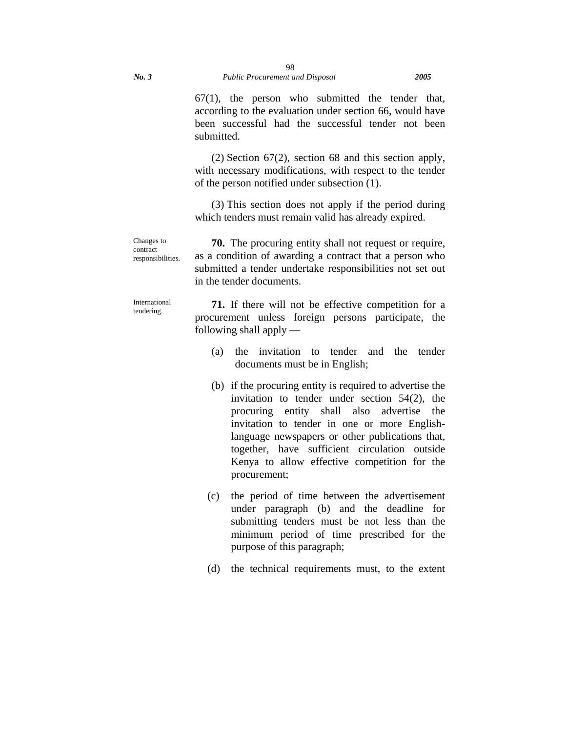67(1), the person who submitted the tender that, according to the evaluation under section 66, would have been successful had the successful tender not been submitted.

(2) Section 67(2), section 68 and this section apply, with necessary modifications, with respect to the tender of the person notified under subsection (1).

(3) This section does not apply if the period during which tenders must remain valid has already expired.

**70.** The procuring entity shall not request or require, as a condition of awarding a contract that a person who submitted a tender undertake responsibilities not set out in the tender documents.

International tendering.

Changes to contract responsibilities.

> **71.** If there will not be effective competition for a procurement unless foreign persons participate, the following shall apply —

- (a) the invitation to tender and the tender documents must be in English;
- (b) if the procuring entity is required to advertise the invitation to tender under section 54(2), the procuring entity shall also advertise the invitation to tender in one or more Englishlanguage newspapers or other publications that, together, have sufficient circulation outside Kenya to allow effective competition for the procurement;
- (c) the period of time between the advertisement under paragraph (b) and the deadline for submitting tenders must be not less than the minimum period of time prescribed for the purpose of this paragraph;
- (d) the technical requirements must, to the extent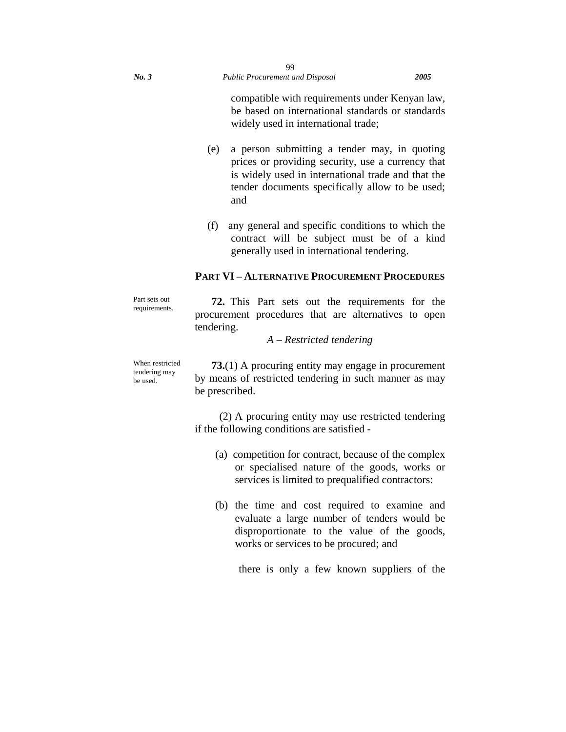compatible with requirements under Kenyan law, be based on international standards or standards widely used in international trade;

- (e) a person submitting a tender may, in quoting prices or providing security, use a currency that is widely used in international trade and that the tender documents specifically allow to be used; and
- (f) any general and specific conditions to which the contract will be subject must be of a kind generally used in international tendering.

## **PART VI – ALTERNATIVE PROCUREMENT PROCEDURES**

Part sets out requirements

**72.** This Part sets out the requirements for the procurement procedures that are alternatives to open tendering.

# *A – Restricted tendering*

When restricted tendering may be used.

**73.**(1) A procuring entity may engage in procurement by means of restricted tendering in such manner as may be prescribed.

(2) A procuring entity may use restricted tendering if the following conditions are satisfied -

- (a) competition for contract, because of the complex or specialised nature of the goods, works or services is limited to prequalified contractors:
- (b) the time and cost required to examine and evaluate a large number of tenders would be disproportionate to the value of the goods, works or services to be procured; and

there is only a few known suppliers of the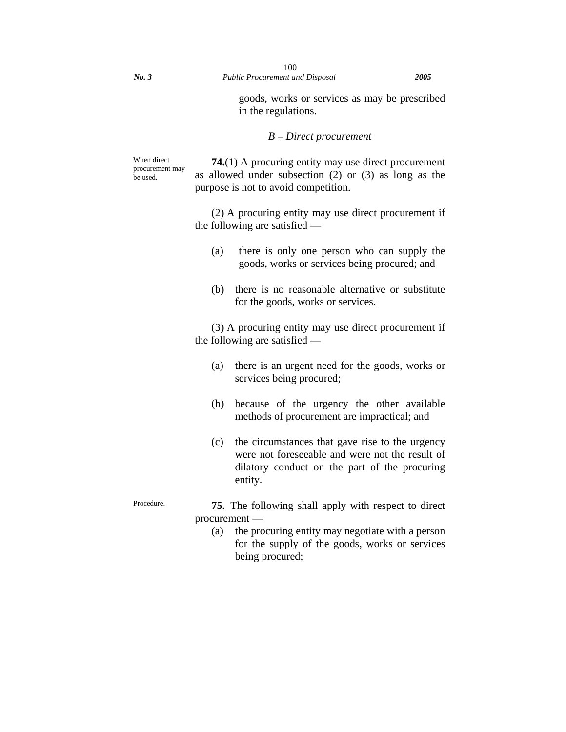goods, works or services as may be prescribed in the regulations.

#### *B – Direct procurement*

When direct procurement may be used.

**74.**(1) A procuring entity may use direct procurement as allowed under subsection (2) or (3) as long as the purpose is not to avoid competition.

(2) A procuring entity may use direct procurement if the following are satisfied —

- (a) there is only one person who can supply the goods, works or services being procured; and
- (b) there is no reasonable alternative or substitute for the goods, works or services.

(3) A procuring entity may use direct procurement if the following are satisfied —

- (a) there is an urgent need for the goods, works or services being procured;
- (b) because of the urgency the other available methods of procurement are impractical; and
- (c) the circumstances that gave rise to the urgency were not foreseeable and were not the result of dilatory conduct on the part of the procuring entity.

- Procedure. **75.** The following shall apply with respect to direct procurement —
	- (a) the procuring entity may negotiate with a person for the supply of the goods, works or services being procured;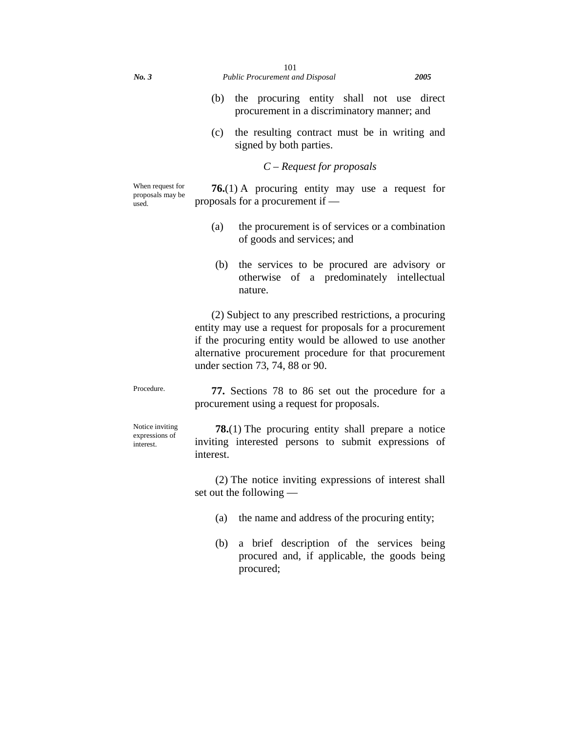(c) the resulting contract must be in writing and signed by both parties.

#### *C – Request for proposals*

When request for proposals may be used.

**76.**(1) A procuring entity may use a request for proposals for a procurement if —

- (a) the procurement is of services or a combination of goods and services; and
- (b) the services to be procured are advisory or otherwise of a predominately intellectual nature.

(2) Subject to any prescribed restrictions, a procuring entity may use a request for proposals for a procurement if the procuring entity would be allowed to use another alternative procurement procedure for that procurement under section 73, 74, 88 or 90.

Procedure. **77.** Sections 78 to 86 set out the procedure for a procurement using a request for proposals.

Notice inviting expressions of interest.

**78.**(1) The procuring entity shall prepare a notice inviting interested persons to submit expressions of interest.

(2) The notice inviting expressions of interest shall set out the following —

- (a) the name and address of the procuring entity;
- (b) a brief description of the services being procured and, if applicable, the goods being procured;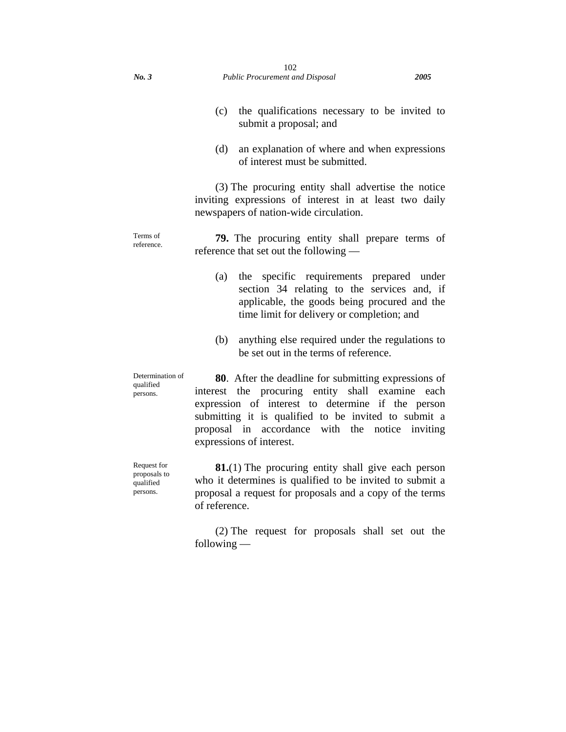- (c) the qualifications necessary to be invited to submit a proposal; and
- (d) an explanation of where and when expressions of interest must be submitted.

(3) The procuring entity shall advertise the notice inviting expressions of interest in at least two daily newspapers of nation-wide circulation.

Terms of reference. **79.** The procuring entity shall prepare terms of reference that set out the following —

- (a) the specific requirements prepared under section 34 relating to the services and, if applicable, the goods being procured and the time limit for delivery or completion; and
- (b) anything else required under the regulations to be set out in the terms of reference.

Determination of qualified persons. **80**. After the deadline for submitting expressions of interest the procuring entity shall examine each expression of interest to determine if the person submitting it is qualified to be invited to submit a proposal in accordance with the notice inviting expressions of interest.

Request for proposals to qualified persons.

**81.**(1) The procuring entity shall give each person who it determines is qualified to be invited to submit a proposal a request for proposals and a copy of the terms of reference.

(2) The request for proposals shall set out the following —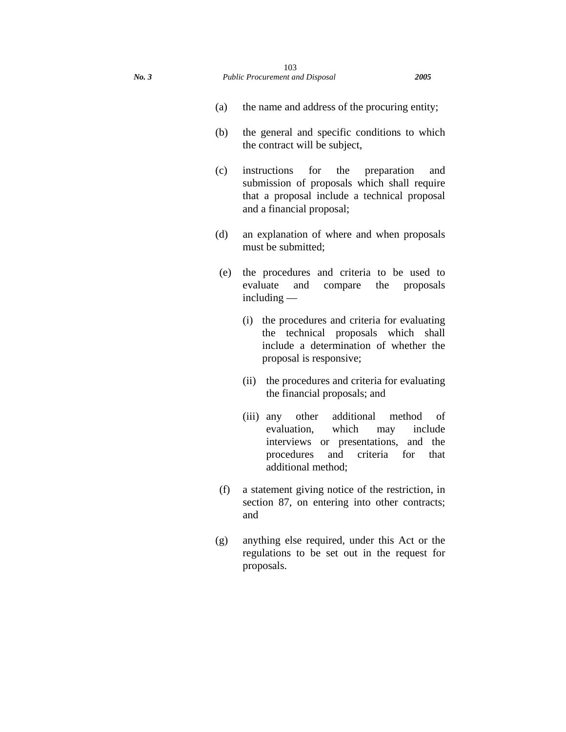- (a) the name and address of the procuring entity;
- (b) the general and specific conditions to which the contract will be subject,
- (c) instructions for the preparation and submission of proposals which shall require that a proposal include a technical proposal and a financial proposal;
- (d) an explanation of where and when proposals must be submitted;
- (e) the procedures and criteria to be used to evaluate and compare the proposals including —
	- (i) the procedures and criteria for evaluating the technical proposals which shall include a determination of whether the proposal is responsive;
	- (ii) the procedures and criteria for evaluating the financial proposals; and
	- (iii) any other additional method of evaluation, which may include interviews or presentations, and the procedures and criteria for that additional method;
- (f) a statement giving notice of the restriction, in section 87, on entering into other contracts; and
- (g) anything else required, under this Act or the regulations to be set out in the request for proposals.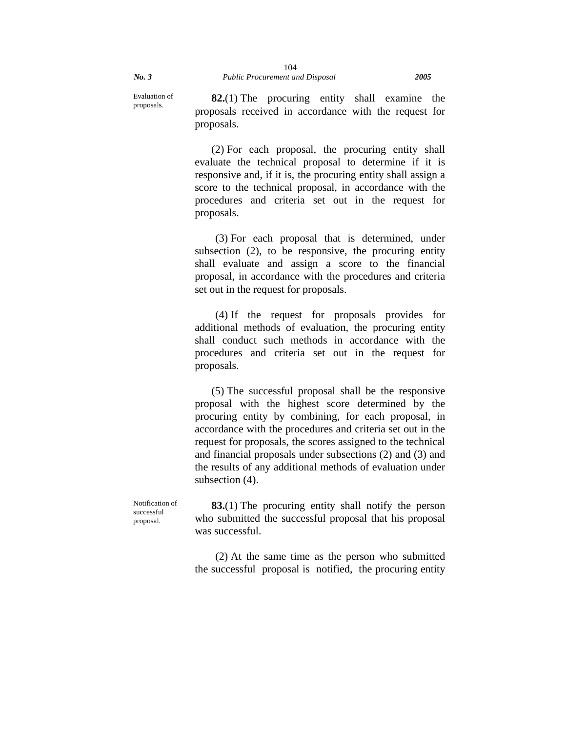Evaluation of proposals.

**82.**(1) The procuring entity shall examine the proposals received in accordance with the request for proposals.

(2) For each proposal, the procuring entity shall evaluate the technical proposal to determine if it is responsive and, if it is, the procuring entity shall assign a score to the technical proposal, in accordance with the procedures and criteria set out in the request for proposals.

(3) For each proposal that is determined, under subsection (2), to be responsive, the procuring entity shall evaluate and assign a score to the financial proposal, in accordance with the procedures and criteria set out in the request for proposals.

(4) If the request for proposals provides for additional methods of evaluation, the procuring entity shall conduct such methods in accordance with the procedures and criteria set out in the request for proposals.

(5) The successful proposal shall be the responsive proposal with the highest score determined by the procuring entity by combining, for each proposal, in accordance with the procedures and criteria set out in the request for proposals, the scores assigned to the technical and financial proposals under subsections (2) and (3) and the results of any additional methods of evaluation under subsection (4).

Notification of successful proposal.

**83.**(1) The procuring entity shall notify the person who submitted the successful proposal that his proposal was successful.

(2) At the same time as the person who submitted the successful proposal is notified, the procuring entity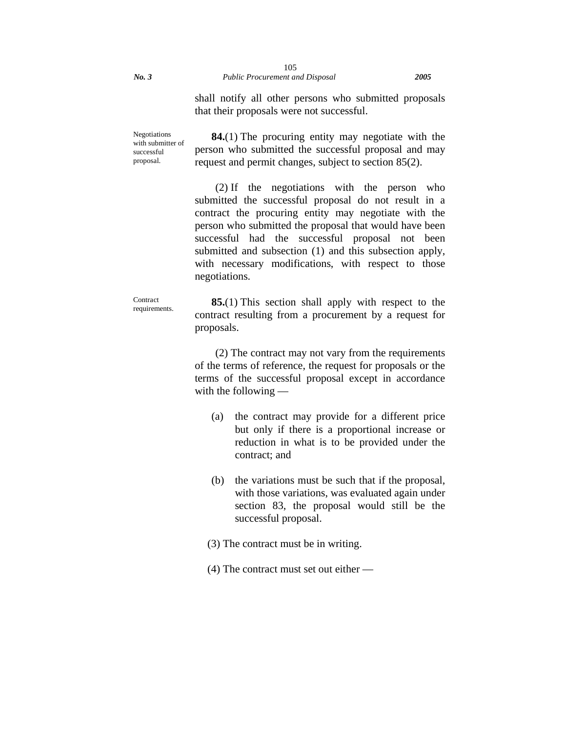shall notify all other persons who submitted proposals that their proposals were not successful.

Negotiations with submitter of successful proposal.

**84.**(1) The procuring entity may negotiate with the person who submitted the successful proposal and may request and permit changes, subject to section 85(2).

(2) If the negotiations with the person who submitted the successful proposal do not result in a contract the procuring entity may negotiate with the person who submitted the proposal that would have been successful had the successful proposal not been submitted and subsection (1) and this subsection apply, with necessary modifications, with respect to those negotiations.

**Contract** requirements.

**85.**(1) This section shall apply with respect to the contract resulting from a procurement by a request for proposals.

(2) The contract may not vary from the requirements of the terms of reference, the request for proposals or the terms of the successful proposal except in accordance with the following —

- (a) the contract may provide for a different price but only if there is a proportional increase or reduction in what is to be provided under the contract; and
- (b) the variations must be such that if the proposal, with those variations, was evaluated again under section 83, the proposal would still be the successful proposal.
- (3) The contract must be in writing.
- (4) The contract must set out either —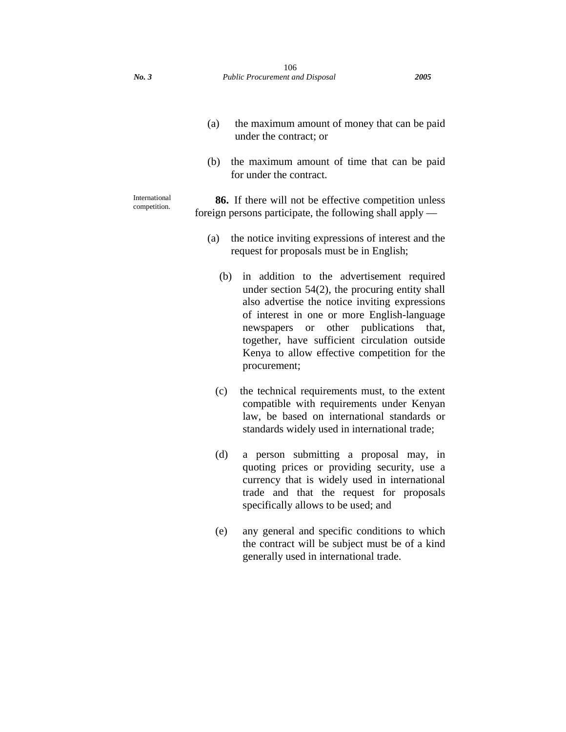- (a) the maximum amount of money that can be paid under the contract; or
- (b) the maximum amount of time that can be paid for under the contract.

International competition.

**86.** If there will not be effective competition unless foreign persons participate, the following shall apply —

- (a) the notice inviting expressions of interest and the request for proposals must be in English;
	- (b) in addition to the advertisement required under section 54(2), the procuring entity shall also advertise the notice inviting expressions of interest in one or more English-language newspapers or other publications that, together, have sufficient circulation outside Kenya to allow effective competition for the procurement;
	- (c) the technical requirements must, to the extent compatible with requirements under Kenyan law, be based on international standards or standards widely used in international trade;
	- (d) a person submitting a proposal may, in quoting prices or providing security, use a currency that is widely used in international trade and that the request for proposals specifically allows to be used; and
	- (e) any general and specific conditions to which the contract will be subject must be of a kind generally used in international trade.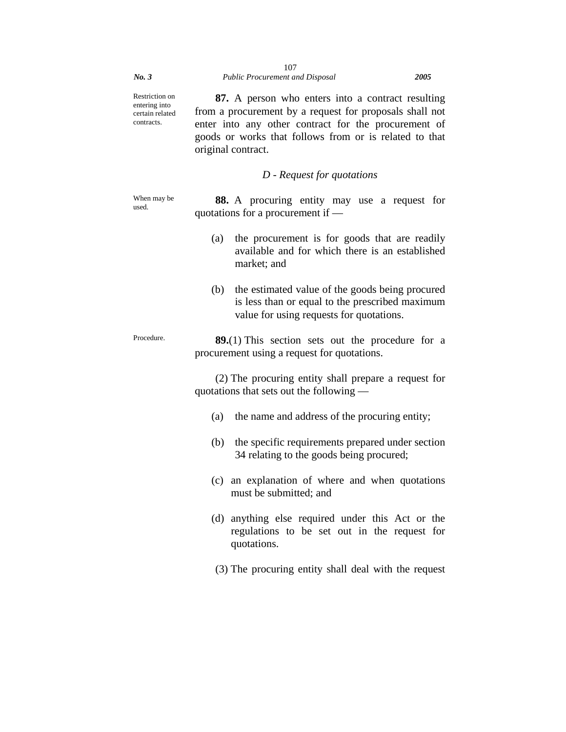Restriction on entering into certain related contracts.

**87.** A person who enters into a contract resulting from a procurement by a request for proposals shall not enter into any other contract for the procurement of goods or works that follows from or is related to that original contract.

## *D - Request for quotations*

When may be used.

**88.** A procuring entity may use a request for quotations for a procurement if —

- (a) the procurement is for goods that are readily available and for which there is an established market; and
- (b) the estimated value of the goods being procured is less than or equal to the prescribed maximum value for using requests for quotations.

Procedure. **89.**(1) This section sets out the procedure for a procurement using a request for quotations.

> (2) The procuring entity shall prepare a request for quotations that sets out the following —

- (a) the name and address of the procuring entity;
- (b) the specific requirements prepared under section 34 relating to the goods being procured;
- (c) an explanation of where and when quotations must be submitted; and
- (d) anything else required under this Act or the regulations to be set out in the request for quotations.
- (3) The procuring entity shall deal with the request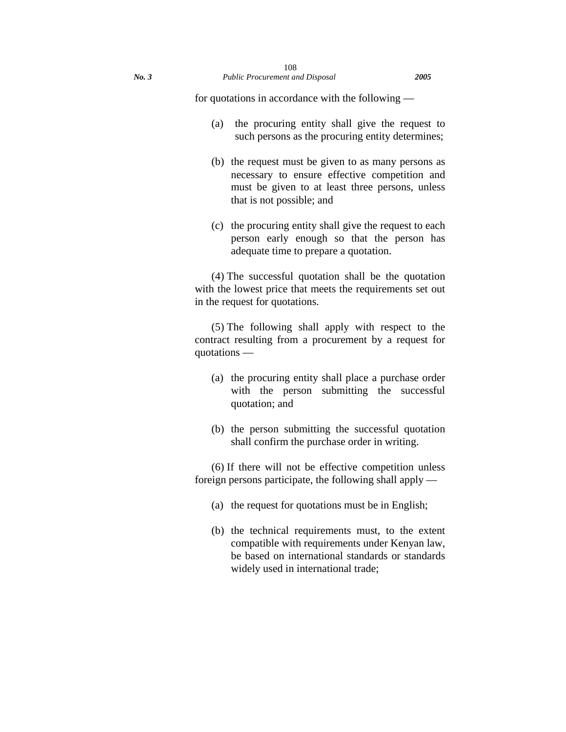for quotations in accordance with the following —

- (a) the procuring entity shall give the request to such persons as the procuring entity determines;
- (b) the request must be given to as many persons as necessary to ensure effective competition and must be given to at least three persons, unless that is not possible; and
- (c) the procuring entity shall give the request to each person early enough so that the person has adequate time to prepare a quotation.

(4) The successful quotation shall be the quotation with the lowest price that meets the requirements set out in the request for quotations.

(5) The following shall apply with respect to the contract resulting from a procurement by a request for quotations —

- (a) the procuring entity shall place a purchase order with the person submitting the successful quotation; and
- (b) the person submitting the successful quotation shall confirm the purchase order in writing.

(6) If there will not be effective competition unless foreign persons participate, the following shall apply —

- (a) the request for quotations must be in English;
- (b) the technical requirements must, to the extent compatible with requirements under Kenyan law, be based on international standards or standards widely used in international trade;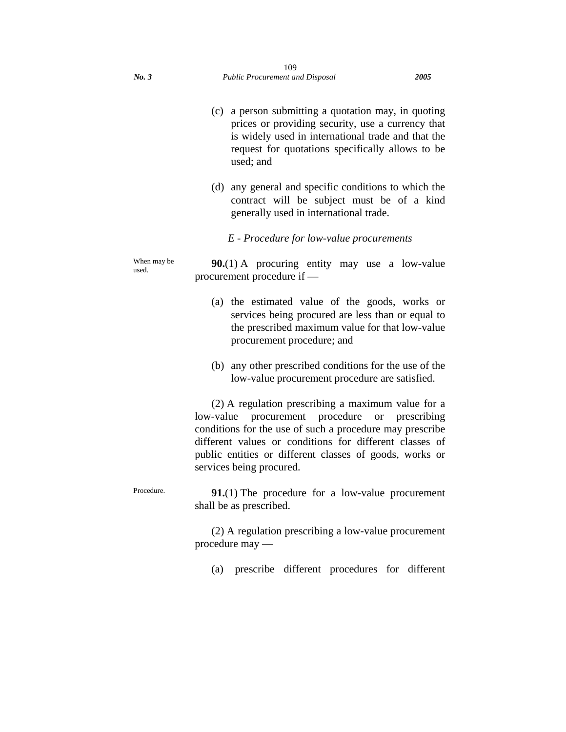- (c) a person submitting a quotation may, in quoting prices or providing security, use a currency that is widely used in international trade and that the request for quotations specifically allows to be used; and
- (d) any general and specific conditions to which the contract will be subject must be of a kind generally used in international trade.

*E - Procedure for low-value procurements* 

When may be used.

**90.**(1) A procuring entity may use a low-value procurement procedure if —

- (a) the estimated value of the goods, works or services being procured are less than or equal to the prescribed maximum value for that low-value procurement procedure; and
- (b) any other prescribed conditions for the use of the low-value procurement procedure are satisfied.

(2) A regulation prescribing a maximum value for a low-value procurement procedure or prescribing conditions for the use of such a procedure may prescribe different values or conditions for different classes of public entities or different classes of goods, works or services being procured.

Procedure. **91.**(1) The procedure for a low-value procurement shall be as prescribed.

> (2) A regulation prescribing a low-value procurement procedure may —

(a) prescribe different procedures for different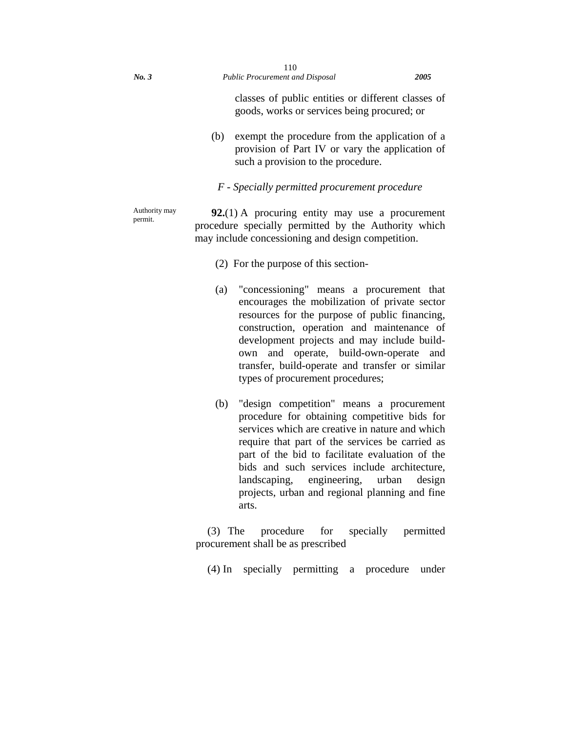classes of public entities or different classes of goods, works or services being procured; or

(b) exempt the procedure from the application of a provision of Part IV or vary the application of such a provision to the procedure.

### *F - Specially permitted procurement procedure*

Authority may permit.

**92.**(1) A procuring entity may use a procurement procedure specially permitted by the Authority which may include concessioning and design competition.

- (2) For the purpose of this section-
- (a) "concessioning" means a procurement that encourages the mobilization of private sector resources for the purpose of public financing, construction, operation and maintenance of development projects and may include buildown and operate, build-own-operate and transfer, build-operate and transfer or similar types of procurement procedures;
- (b) "design competition" means a procurement procedure for obtaining competitive bids for services which are creative in nature and which require that part of the services be carried as part of the bid to facilitate evaluation of the bids and such services include architecture, landscaping, engineering, urban design projects, urban and regional planning and fine arts.

(3) The procedure for specially permitted procurement shall be as prescribed

(4) In specially permitting a procedure under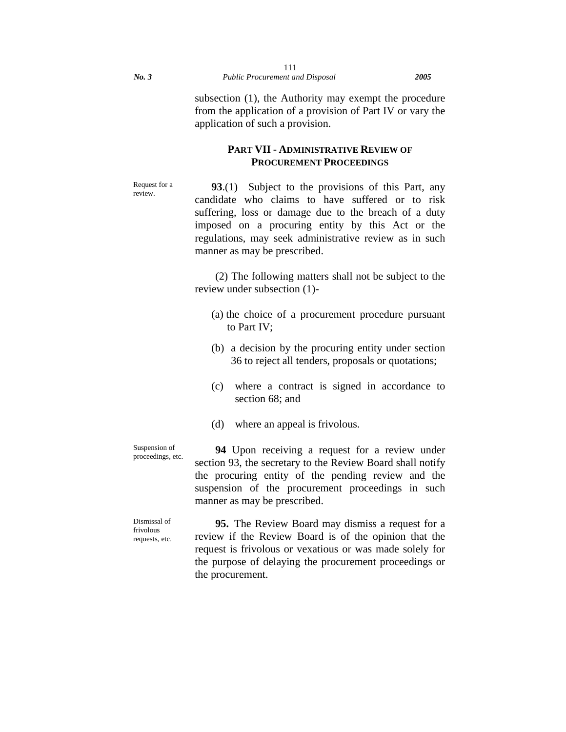subsection (1), the Authority may exempt the procedure from the application of a provision of Part IV or vary the application of such a provision.

# **PART VII - ADMINISTRATIVE REVIEW OF PROCUREMENT PROCEEDINGS**

Request for a review.

**93**.(1) Subject to the provisions of this Part, any candidate who claims to have suffered or to risk suffering, loss or damage due to the breach of a duty imposed on a procuring entity by this Act or the regulations, may seek administrative review as in such manner as may be prescribed.

(2) The following matters shall not be subject to the review under subsection (1)-

- (a) the choice of a procurement procedure pursuant to Part IV;
- (b) a decision by the procuring entity under section 36 to reject all tenders, proposals or quotations;
- (c) where a contract is signed in accordance to section 68; and
- (d) where an appeal is frivolous.

Suspension of proceedings, etc.

**94** Upon receiving a request for a review under section 93, the secretary to the Review Board shall notify the procuring entity of the pending review and the suspension of the procurement proceedings in such manner as may be prescribed.

Dismissal of frivolous requests, etc.

**95.** The Review Board may dismiss a request for a review if the Review Board is of the opinion that the request is frivolous or vexatious or was made solely for the purpose of delaying the procurement proceedings or the procurement.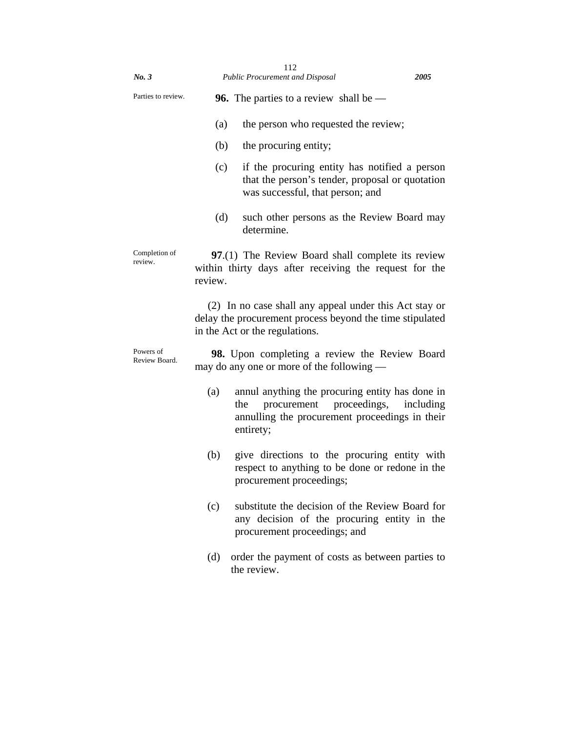| No. 3                      |         | 112<br><b>Public Procurement and Disposal</b>                                                                                                        | 2005      |
|----------------------------|---------|------------------------------------------------------------------------------------------------------------------------------------------------------|-----------|
| Parties to review.         |         | <b>96.</b> The parties to a review shall be $-$                                                                                                      |           |
|                            | (a)     | the person who requested the review;                                                                                                                 |           |
|                            | (b)     | the procuring entity;                                                                                                                                |           |
|                            | (c)     | if the procuring entity has notified a person<br>that the person's tender, proposal or quotation<br>was successful, that person; and                 |           |
|                            | (d)     | such other persons as the Review Board may<br>determine.                                                                                             |           |
| Completion of<br>review.   | review. | 97.(1) The Review Board shall complete its review<br>within thirty days after receiving the request for the                                          |           |
|                            |         | (2) In no case shall any appeal under this Act stay or<br>delay the procurement process beyond the time stipulated<br>in the Act or the regulations. |           |
| Powers of<br>Review Board. |         | 98. Upon completing a review the Review Board<br>may do any one or more of the following —                                                           |           |
|                            | (a)     | annul anything the procuring entity has done in<br>procurement proceedings,<br>the<br>annulling the procurement proceedings in their<br>entirety;    | including |
|                            | (b)     | give directions to the procuring entity with<br>respect to anything to be done or redone in the<br>procurement proceedings;                          |           |
|                            | (c)     | substitute the decision of the Review Board for<br>any decision of the procuring entity in the<br>procurement proceedings; and                       |           |
|                            | (d)     | order the payment of costs as between parties to<br>the review.                                                                                      |           |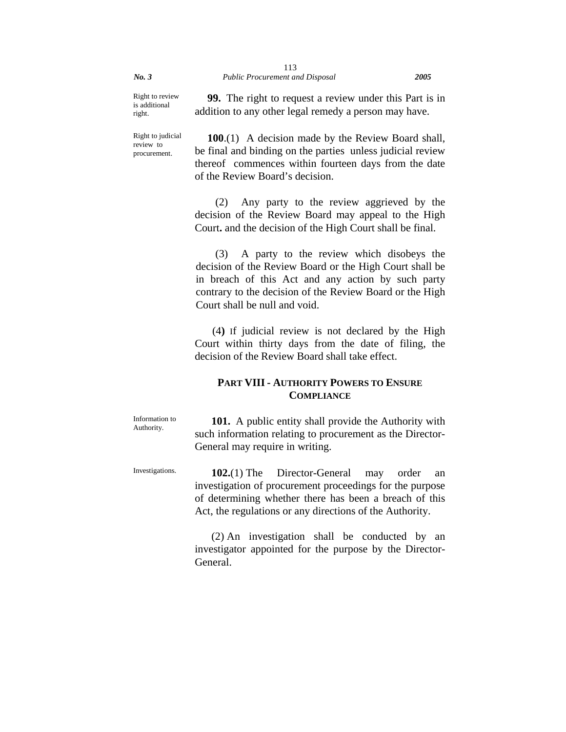Right to review is additional right.

**99.** The right to request a review under this Part is in addition to any other legal remedy a person may have.

Right to judicial review to procurement.

**100**.(1) A decision made by the Review Board shall, be final and binding on the parties unless judicial review thereof commences within fourteen days from the date of the Review Board's decision.

(2) Any party to the review aggrieved by the decision of the Review Board may appeal to the High Court**.** and the decision of the High Court shall be final.

(3) A party to the review which disobeys the decision of the Review Board or the High Court shall be in breach of this Act and any action by such party contrary to the decision of the Review Board or the High Court shall be null and void.

 (4**)** If judicial review is not declared by the High Court within thirty days from the date of filing, the decision of the Review Board shall take effect.

# **PART VIII - AUTHORITY POWERS TO ENSURE COMPLIANCE**

Information to Authority.

**101.** A public entity shall provide the Authority with such information relating to procurement as the Director-General may require in writing.

Investigations. **102.**(1) The Director-General may order an investigation of procurement proceedings for the purpose of determining whether there has been a breach of this Act, the regulations or any directions of the Authority.

> (2) An investigation shall be conducted by an investigator appointed for the purpose by the Director-General.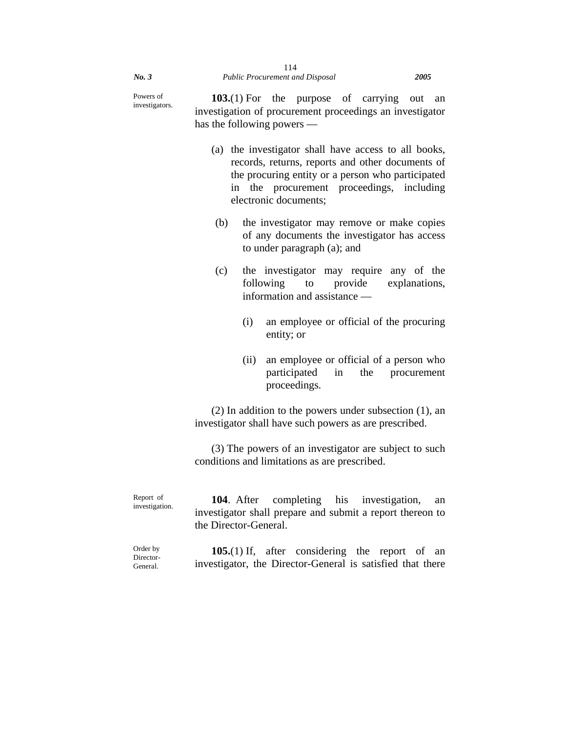Powers of investigators.

**103.**(1) For the purpose of carrying out an investigation of procurement proceedings an investigator has the following powers —

- (a) the investigator shall have access to all books, records, returns, reports and other documents of the procuring entity or a person who participated in the procurement proceedings, including electronic documents;
- (b) the investigator may remove or make copies of any documents the investigator has access to under paragraph (a); and
- (c) the investigator may require any of the following to provide explanations, information and assistance —
	- (i) an employee or official of the procuring entity; or
	- (ii) an employee or official of a person who participated in the procurement proceedings.

(2) In addition to the powers under subsection (1), an investigator shall have such powers as are prescribed.

(3) The powers of an investigator are subject to such conditions and limitations as are prescribed.

Report of investigation. **104**. After completing his investigation, an investigator shall prepare and submit a report thereon to the Director-General.

Order by Director-General.

**105.**(1) If, after considering the report of an investigator, the Director-General is satisfied that there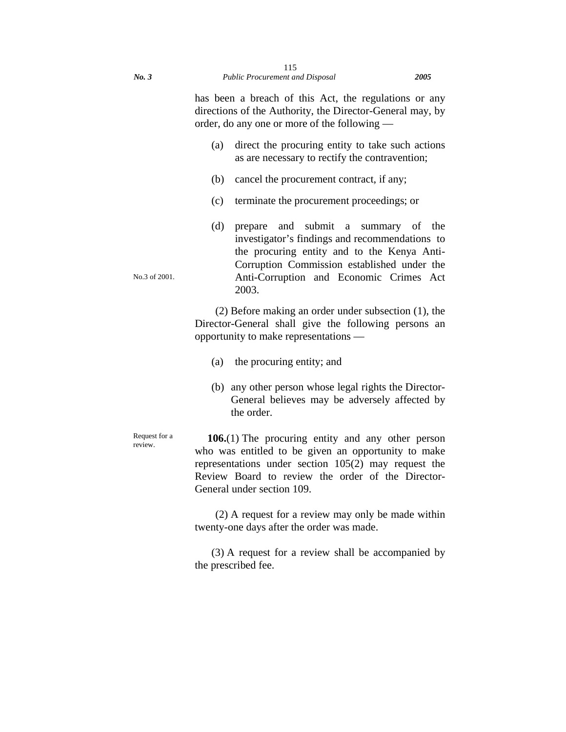has been a breach of this Act, the regulations or any directions of the Authority, the Director-General may, by order, do any one or more of the following —

- (a) direct the procuring entity to take such actions as are necessary to rectify the contravention;
- (b) cancel the procurement contract, if any;
- (c) terminate the procurement proceedings; or
- (d) prepare and submit a summary of the investigator's findings and recommendations to the procuring entity and to the Kenya Anti-Corruption Commission established under the Anti-Corruption and Economic Crimes Act 2003.

(2) Before making an order under subsection (1), the Director-General shall give the following persons an opportunity to make representations —

- (a) the procuring entity; and
- (b) any other person whose legal rights the Director-General believes may be adversely affected by the order.

**106.**(1) The procuring entity and any other person who was entitled to be given an opportunity to make representations under section 105(2) may request the Review Board to review the order of the Director-General under section 109.

(2) A request for a review may only be made within twenty-one days after the order was made.

(3) A request for a review shall be accompanied by the prescribed fee.

No.3 of 2001.

Request for a review.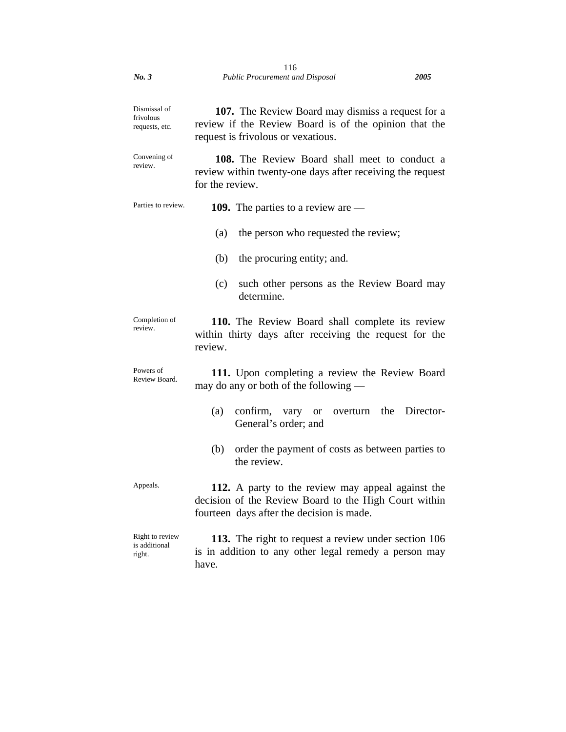| No.3                                        | 116<br><b>Public Procurement and Disposal</b><br><i>2005</i>                                                                                            |
|---------------------------------------------|---------------------------------------------------------------------------------------------------------------------------------------------------------|
| Dismissal of<br>frivolous<br>requests, etc. | 107. The Review Board may dismiss a request for a<br>review if the Review Board is of the opinion that the<br>request is frivolous or vexatious.        |
| Convening of<br>review.                     | <b>108.</b> The Review Board shall meet to conduct a<br>review within twenty-one days after receiving the request<br>for the review.                    |
| Parties to review.                          | <b>109.</b> The parties to a review are $-$                                                                                                             |
|                                             | the person who requested the review;<br>(a)                                                                                                             |
|                                             | (b)<br>the procuring entity; and.                                                                                                                       |
|                                             | (c)<br>such other persons as the Review Board may<br>determine.                                                                                         |
| Completion of<br>review.                    | 110. The Review Board shall complete its review<br>within thirty days after receiving the request for the<br>review.                                    |
| Powers of<br>Review Board.                  | 111. Upon completing a review the Review Board<br>may do any or both of the following —                                                                 |
|                                             | (a)<br>confirm, vary or overturn the Director-<br>General's order; and                                                                                  |
|                                             | order the payment of costs as between parties to<br>(b)<br>the review.                                                                                  |
| Appeals.                                    | 112. A party to the review may appeal against the<br>decision of the Review Board to the High Court within<br>fourteen days after the decision is made. |
| Right to review<br>is additional<br>right.  | 113. The right to request a review under section 106<br>is in addition to any other legal remedy a person may<br>have.                                  |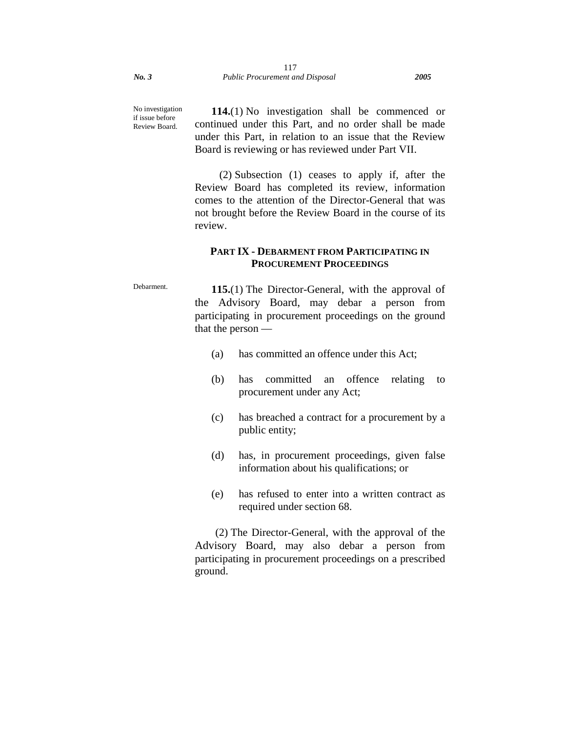No investigation if issue before Review Board.

**114.**(1) No investigation shall be commenced or continued under this Part, and no order shall be made under this Part, in relation to an issue that the Review Board is reviewing or has reviewed under Part VII.

(2) Subsection (1) ceases to apply if, after the Review Board has completed its review, information comes to the attention of the Director-General that was not brought before the Review Board in the course of its review.

# **PART IX - DEBARMENT FROM PARTICIPATING IN PROCUREMENT PROCEEDINGS**

Debarment. **115.**(1) The Director-General, with the approval of the Advisory Board, may debar a person from participating in procurement proceedings on the ground that the person —

- (a) has committed an offence under this Act;
- (b) has committed an offence relating to procurement under any Act;
- (c) has breached a contract for a procurement by a public entity;
- (d) has, in procurement proceedings, given false information about his qualifications; or
- (e) has refused to enter into a written contract as required under section 68.

(2) The Director-General, with the approval of the Advisory Board, may also debar a person from participating in procurement proceedings on a prescribed ground.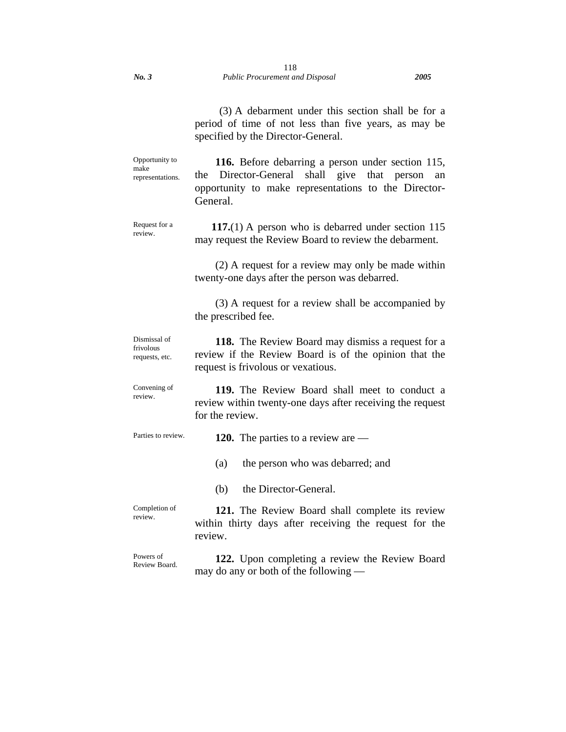(3) A debarment under this section shall be for a period of time of not less than five years, as may be specified by the Director-General. Opportunity to make representations. **116.** Before debarring a person under section 115, the Director-General shall give that person an opportunity to make representations to the Director-General. Request for a review. **117.**(1) A person who is debarred under section 115 may request the Review Board to review the debarment. (2) A request for a review may only be made within twenty-one days after the person was debarred. (3) A request for a review shall be accompanied by the prescribed fee. Dismissal of frivolous requests, etc. **118.** The Review Board may dismiss a request for a review if the Review Board is of the opinion that the request is frivolous or vexatious. Convening of review. **119.** The Review Board shall meet to conduct a review within twenty-one days after receiving the request for the review. Parties to review. **120.** The parties to a review are — (a) the person who was debarred; and (b) the Director-General. Completion of review. **121.** The Review Board shall complete its review within thirty days after receiving the request for the review. Powers of Review Board. **122.** Upon completing a review the Review Board may do any or both of the following —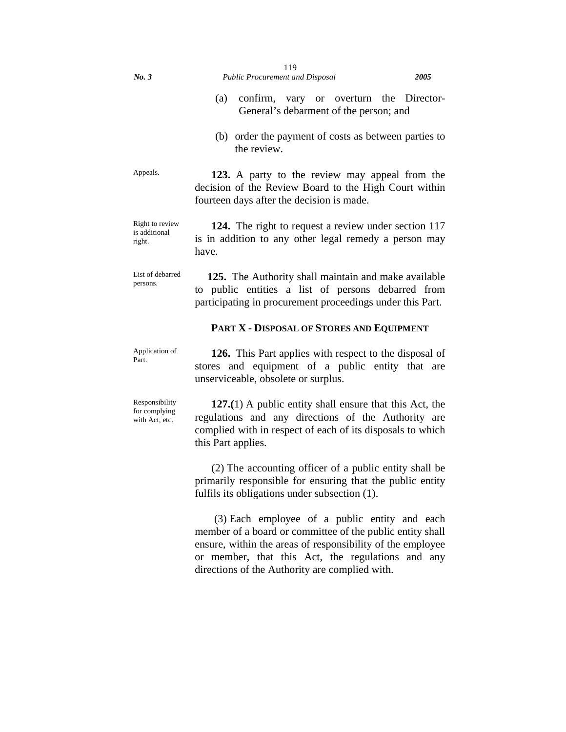(b) order the payment of costs as between parties to the review.

Appeals. **123.** A party to the review may appeal from the decision of the Review Board to the High Court within fourteen days after the decision is made.

Right to review is additional right. **124.** The right to request a review under section 117 is in addition to any other legal remedy a person may have.

List of debarred persons. **125.** The Authority shall maintain and make available to public entities a list of persons debarred from participating in procurement proceedings under this Part.

## **PART X - DISPOSAL OF STORES AND EQUIPMENT**

Application of Part.

**126.** This Part applies with respect to the disposal of stores and equipment of a public entity that are unserviceable, obsolete or surplus.

Responsibility for complying with Act, etc.

**127.(**1) A public entity shall ensure that this Act, the regulations and any directions of the Authority are complied with in respect of each of its disposals to which this Part applies.

(2) The accounting officer of a public entity shall be primarily responsible for ensuring that the public entity fulfils its obligations under subsection (1).

 (3) Each employee of a public entity and each member of a board or committee of the public entity shall ensure, within the areas of responsibility of the employee or member, that this Act, the regulations and any directions of the Authority are complied with.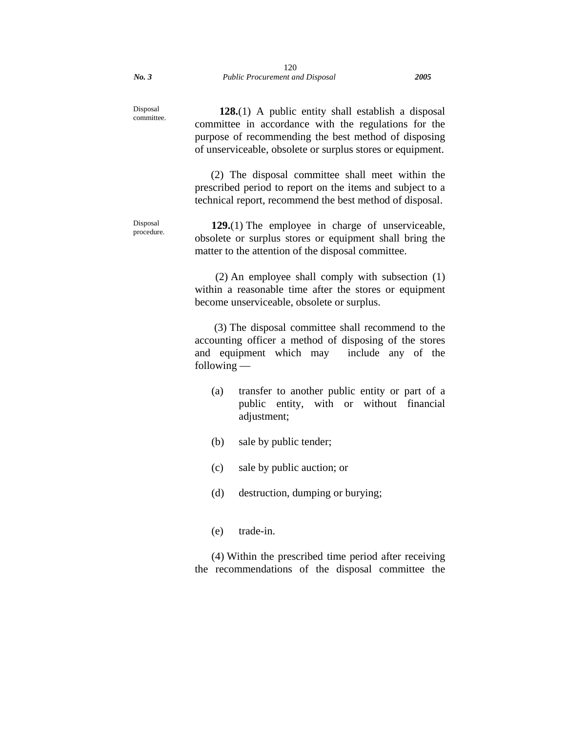Disposal committee.

**128.**(1) A public entity shall establish a disposal committee in accordance with the regulations for the purpose of recommending the best method of disposing of unserviceable, obsolete or surplus stores or equipment.

 (2) The disposal committee shall meet within the prescribed period to report on the items and subject to a technical report, recommend the best method of disposal.

Disposal procedure. **129.**(1) The employee in charge of unserviceable, obsolete or surplus stores or equipment shall bring the matter to the attention of the disposal committee.

> (2) An employee shall comply with subsection (1) within a reasonable time after the stores or equipment become unserviceable, obsolete or surplus.

> (3) The disposal committee shall recommend to the accounting officer a method of disposing of the stores and equipment which may include any of the following —

- (a) transfer to another public entity or part of a public entity, with or without financial adjustment;
- (b) sale by public tender;
- (c) sale by public auction; or
- (d) destruction, dumping or burying;
- (e) trade-in.

(4) Within the prescribed time period after receiving the recommendations of the disposal committee the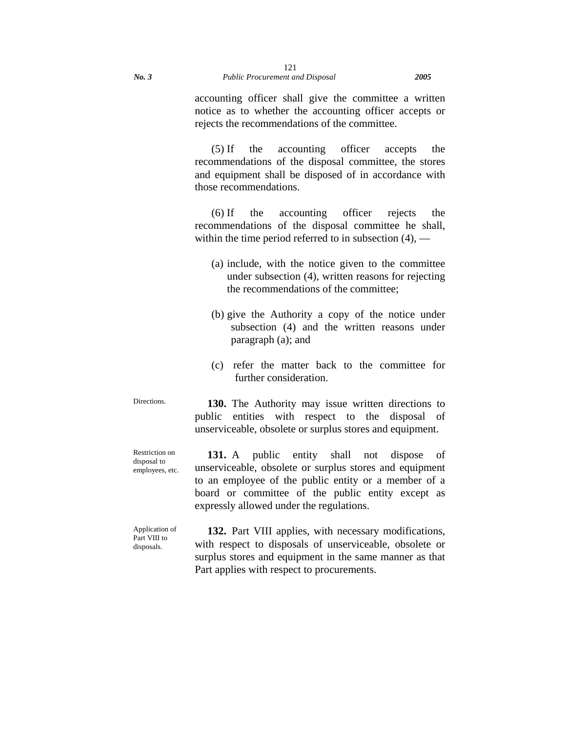accounting officer shall give the committee a written notice as to whether the accounting officer accepts or rejects the recommendations of the committee.

(5) If the accounting officer accepts the recommendations of the disposal committee, the stores and equipment shall be disposed of in accordance with those recommendations.

(6) If the accounting officer rejects the recommendations of the disposal committee he shall, within the time period referred to in subsection  $(4)$ , —

- (a) include, with the notice given to the committee under subsection (4), written reasons for rejecting the recommendations of the committee;
- (b) give the Authority a copy of the notice under subsection (4) and the written reasons under paragraph (a); and
- (c) refer the matter back to the committee for further consideration.

Directions. **130.** The Authority may issue written directions to public entities with respect to the disposal of unserviceable, obsolete or surplus stores and equipment.

Restriction on disposal to employees, etc.

131. A public entity shall not dispose of unserviceable, obsolete or surplus stores and equipment to an employee of the public entity or a member of a board or committee of the public entity except as expressly allowed under the regulations.

Application of Part VIII to disposals.

**132.** Part VIII applies, with necessary modifications, with respect to disposals of unserviceable, obsolete or surplus stores and equipment in the same manner as that Part applies with respect to procurements.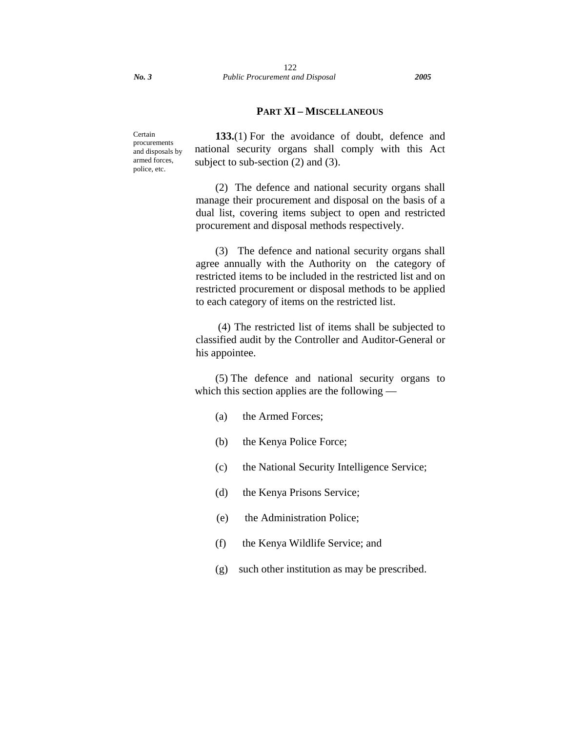## **PART XI – MISCELLANEOUS**

Certain procurements and disposals by armed forces, police, etc.

**133.**(1) For the avoidance of doubt, defence and national security organs shall comply with this Act subject to sub-section (2) and (3).

(2) The defence and national security organs shall manage their procurement and disposal on the basis of a dual list, covering items subject to open and restricted procurement and disposal methods respectively.

(3) The defence and national security organs shall agree annually with the Authority on the category of restricted items to be included in the restricted list and on restricted procurement or disposal methods to be applied to each category of items on the restricted list.

 (4) The restricted list of items shall be subjected to classified audit by the Controller and Auditor-General or his appointee.

(5) The defence and national security organs to which this section applies are the following —

- (a) the Armed Forces;
- (b) the Kenya Police Force;
- (c) the National Security Intelligence Service;
- (d) the Kenya Prisons Service;
- (e) the Administration Police;
- (f) the Kenya Wildlife Service; and
- (g) such other institution as may be prescribed.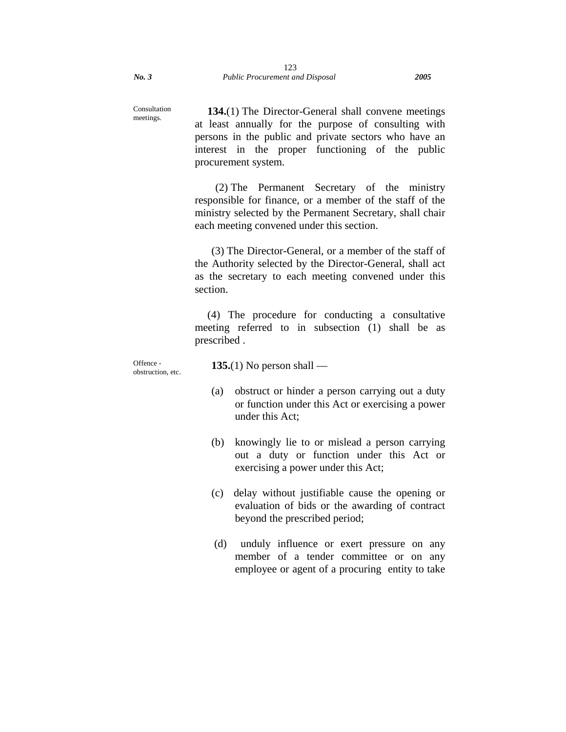meetings.

**134.**(1) The Director-General shall convene meetings at least annually for the purpose of consulting with persons in the public and private sectors who have an interest in the proper functioning of the public procurement system.

(2) The Permanent Secretary of the ministry responsible for finance, or a member of the staff of the ministry selected by the Permanent Secretary, shall chair each meeting convened under this section.

(3) The Director-General, or a member of the staff of the Authority selected by the Director-General, shall act as the secretary to each meeting convened under this section.

(4) The procedure for conducting a consultative meeting referred to in subsection (1) shall be as prescribed .

Offence obstruction, etc. **135.**(1) No person shall —

- (a) obstruct or hinder a person carrying out a duty or function under this Act or exercising a power under this Act;
- (b) knowingly lie to or mislead a person carrying out a duty or function under this Act or exercising a power under this Act;
- (c) delay without justifiable cause the opening or evaluation of bids or the awarding of contract beyond the prescribed period;
- (d) unduly influence or exert pressure on any member of a tender committee or on any employee or agent of a procuring entity to take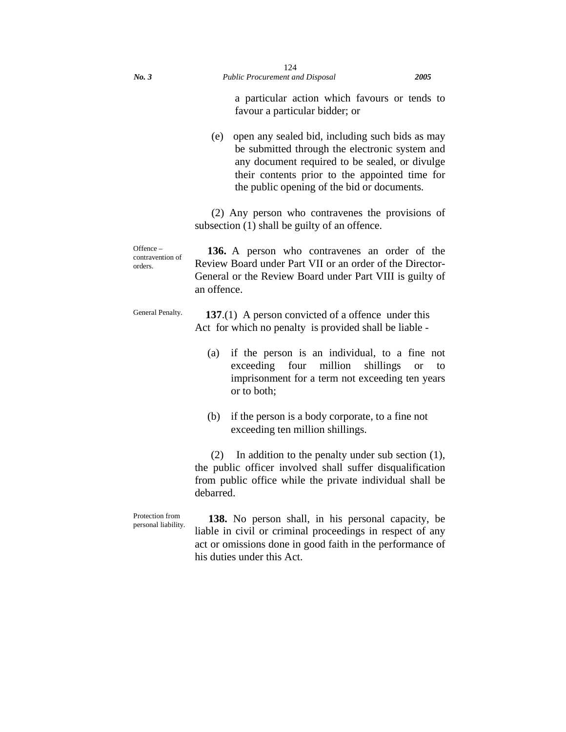a particular action which favours or tends to favour a particular bidder; or

(e) open any sealed bid, including such bids as may be submitted through the electronic system and any document required to be sealed, or divulge their contents prior to the appointed time for the public opening of the bid or documents.

(2) Any person who contravenes the provisions of subsection (1) shall be guilty of an offence.

Offence – contravention of orders. **136.** A person who contravenes an order of the Review Board under Part VII or an order of the Director-General or the Review Board under Part VIII is guilty of an offence.

General Penalty. **137**.(1) A person convicted of a offence under this Act for which no penalty is provided shall be liable -

- (a) if the person is an individual, to a fine not exceeding four million shillings or to imprisonment for a term not exceeding ten years or to both;
- (b) if the person is a body corporate, to a fine not exceeding ten million shillings.

 (2) In addition to the penalty under sub section (1), the public officer involved shall suffer disqualification from public office while the private individual shall be debarred.

Protection from personal liability.

 **138.** No person shall, in his personal capacity, be liable in civil or criminal proceedings in respect of any act or omissions done in good faith in the performance of his duties under this Act.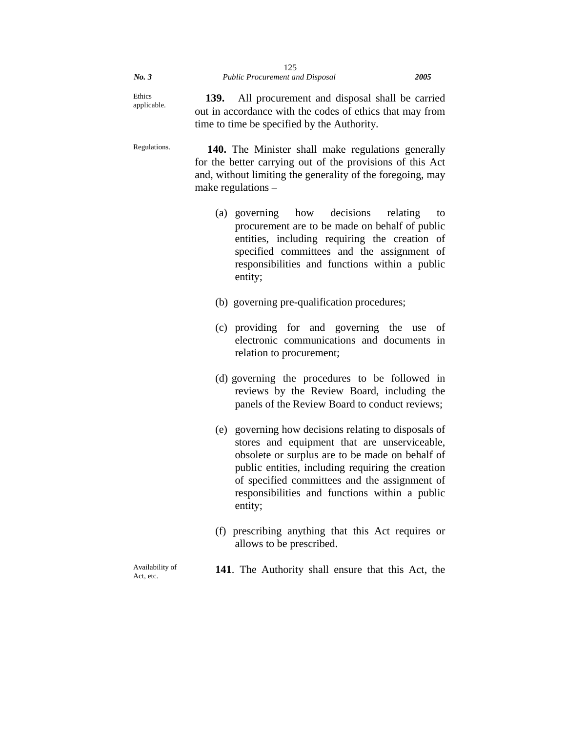| No.3                  |      | 125<br><b>Public Procurement and Disposal</b>                                                                                                                                                                                                                                                                              | 2005 |
|-----------------------|------|----------------------------------------------------------------------------------------------------------------------------------------------------------------------------------------------------------------------------------------------------------------------------------------------------------------------------|------|
| Ethics<br>applicable. | 139. | All procurement and disposal shall be carried<br>out in accordance with the codes of ethics that may from<br>time to time be specified by the Authority.                                                                                                                                                                   |      |
| Regulations.          |      | 140. The Minister shall make regulations generally<br>for the better carrying out of the provisions of this Act<br>and, without limiting the generality of the foregoing, may<br>make regulations $-$                                                                                                                      |      |
|                       |      | (a) governing how decisions<br>relating<br>procurement are to be made on behalf of public<br>entities, including requiring the creation of<br>specified committees and the assignment of<br>responsibilities and functions within a public<br>entity;                                                                      | to   |
|                       |      | (b) governing pre-qualification procedures;                                                                                                                                                                                                                                                                                |      |
|                       |      | (c) providing for and governing the use<br>electronic communications and documents in<br>relation to procurement;                                                                                                                                                                                                          | of   |
|                       |      | (d) governing the procedures to be followed in<br>reviews by the Review Board, including the<br>panels of the Review Board to conduct reviews;                                                                                                                                                                             |      |
|                       |      | (e) governing how decisions relating to disposals of<br>stores and equipment that are unserviceable,<br>obsolete or surplus are to be made on behalf of<br>public entities, including requiring the creation<br>of specified committees and the assignment of<br>responsibilities and functions within a public<br>entity; |      |
|                       |      | (f) prescribing anything that this Act requires or<br>allows to be prescribed.                                                                                                                                                                                                                                             |      |
| $A = 11.1114$         |      |                                                                                                                                                                                                                                                                                                                            |      |

Availability of Act, etc.

**141**. The Authority shall ensure that this Act, the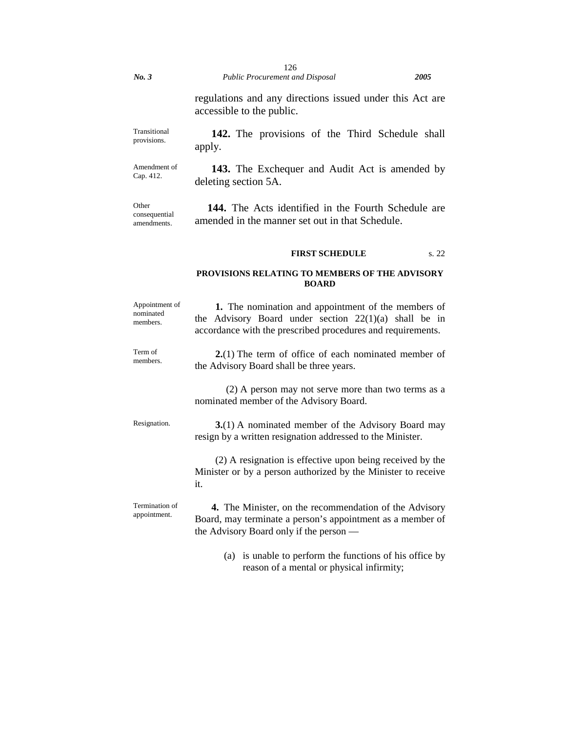regulations and any directions issued under this Act are accessible to the public.

Transitional provisions. **142.** The provisions of the Third Schedule shall apply.

Amendment of Cap. 412. **143.** The Exchequer and Audit Act is amended by deleting section 5A.

Other consequential amendments.

**144.** The Acts identified in the Fourth Schedule are amended in the manner set out in that Schedule.

### **FIRST SCHEDULE** s. 22

### **PROVISIONS RELATING TO MEMBERS OF THE ADVISORY BOARD**

| Appointment of<br>nominated<br>members. | 1. The nomination and appointment of the members of<br>the Advisory Board under section $22(1)(a)$ shall be in<br>accordance with the prescribed procedures and requirements. |  |  |
|-----------------------------------------|-------------------------------------------------------------------------------------------------------------------------------------------------------------------------------|--|--|
| Term of<br>members.                     | $2(1)$ The term of office of each nominated member of<br>the Advisory Board shall be three years.                                                                             |  |  |
|                                         | (2) A person may not serve more than two terms as a<br>nominated member of the Advisory Board.                                                                                |  |  |
| Resignation.                            | <b>3.</b> (1) A nominated member of the Advisory Board may<br>resign by a written resignation addressed to the Minister.                                                      |  |  |
|                                         | (2) A resignation is effective upon being received by the<br>Minister or by a person authorized by the Minister to receive<br>it.                                             |  |  |
| Termination of<br>appointment.          | 4. The Minister, on the recommendation of the Advisory<br>Board, may terminate a person's appointment as a member of<br>the Advisory Board only if the person —               |  |  |
|                                         | (a) is unable to perform the functions of his office by<br>reason of a mental or physical infirmity;                                                                          |  |  |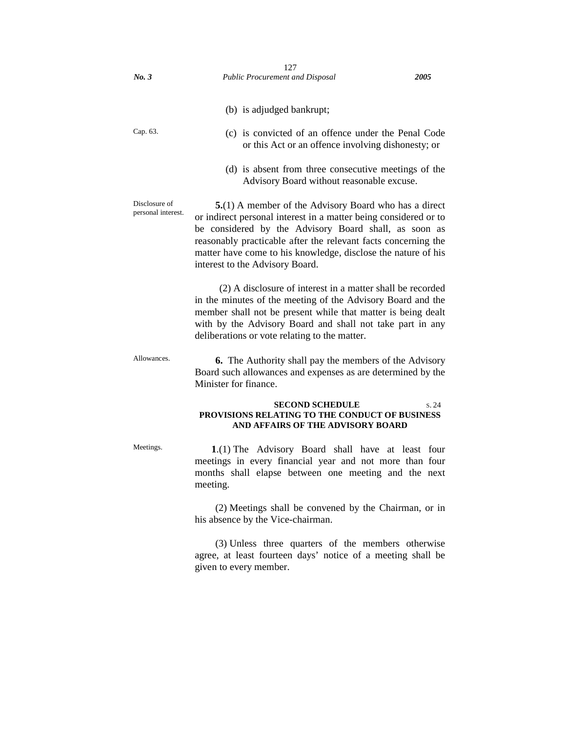| No.3                                | 127<br><b>Public Procurement and Disposal</b>                                                                                                                                                                                                                                                                                                            | 2005 |
|-------------------------------------|----------------------------------------------------------------------------------------------------------------------------------------------------------------------------------------------------------------------------------------------------------------------------------------------------------------------------------------------------------|------|
|                                     |                                                                                                                                                                                                                                                                                                                                                          |      |
|                                     | (b) is adjudged bankrupt;                                                                                                                                                                                                                                                                                                                                |      |
| Cap. 63.                            | (c) is convicted of an offence under the Penal Code<br>or this Act or an offence involving dishonesty; or                                                                                                                                                                                                                                                |      |
|                                     | (d) is absent from three consecutive meetings of the<br>Advisory Board without reasonable excuse.                                                                                                                                                                                                                                                        |      |
| Disclosure of<br>personal interest. | 5.(1) A member of the Advisory Board who has a direct<br>or indirect personal interest in a matter being considered or to<br>be considered by the Advisory Board shall, as soon as<br>reasonably practicable after the relevant facts concerning the<br>matter have come to his knowledge, disclose the nature of his<br>interest to the Advisory Board. |      |
|                                     | (2) A disclosure of interest in a matter shall be recorded<br>in the minutes of the meeting of the Advisory Board and the<br>member shall not be present while that matter is being dealt<br>with by the Advisory Board and shall not take part in any<br>deliberations or vote relating to the matter.                                                  |      |
| Allowances.                         | <b>6.</b> The Authority shall pay the members of the Advisory<br>Board such allowances and expenses as are determined by the<br>Minister for finance.                                                                                                                                                                                                    |      |
|                                     | <b>SECOND SCHEDULE</b><br>PROVISIONS RELATING TO THE CONDUCT OF BUSINESS<br>AND AFFAIRS OF THE ADVISORY BOARD                                                                                                                                                                                                                                            | s.24 |
| Meetings.                           | 1.(1) The Advisory Board shall have at least four<br>meetings in every financial year and not more than four<br>months shall elapse between one meeting and the next<br>meeting.                                                                                                                                                                         |      |
|                                     | (2) Meetings shall be convened by the Chairman, or in<br>his absence by the Vice-chairman.                                                                                                                                                                                                                                                               |      |
|                                     | (3) Unless three quarters of the members otherwise<br>agree, at least fourteen days' notice of a meeting shall be<br>given to every member.                                                                                                                                                                                                              |      |
|                                     |                                                                                                                                                                                                                                                                                                                                                          |      |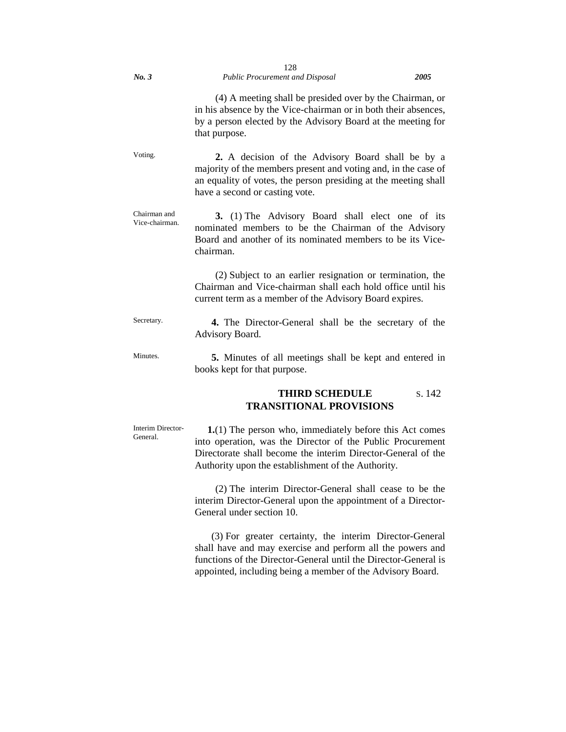| No.3                           | 128<br>Public Procurement and Disposal                                                                                                                                                                                                      | 2005   |
|--------------------------------|---------------------------------------------------------------------------------------------------------------------------------------------------------------------------------------------------------------------------------------------|--------|
|                                | (4) A meeting shall be presided over by the Chairman, or<br>in his absence by the Vice-chairman or in both their absences,<br>by a person elected by the Advisory Board at the meeting for<br>that purpose.                                 |        |
| Voting.                        | 2. A decision of the Advisory Board shall be by a<br>majority of the members present and voting and, in the case of<br>an equality of votes, the person presiding at the meeting shall<br>have a second or casting vote.                    |        |
| Chairman and<br>Vice-chairman. | 3. (1) The Advisory Board shall elect one of its<br>nominated members to be the Chairman of the Advisory<br>Board and another of its nominated members to be its Vice-<br>chairman.                                                         |        |
|                                | (2) Subject to an earlier resignation or termination, the<br>Chairman and Vice-chairman shall each hold office until his<br>current term as a member of the Advisory Board expires.                                                         |        |
| Secretary.                     | 4. The Director-General shall be the secretary of the<br>Advisory Board.                                                                                                                                                                    |        |
| Minutes.                       | 5. Minutes of all meetings shall be kept and entered in<br>books kept for that purpose.                                                                                                                                                     |        |
|                                | <b>THIRD SCHEDULE</b><br><b>TRANSITIONAL PROVISIONS</b>                                                                                                                                                                                     | s. 142 |
| Interim Director-<br>General.  | 1.(1) The person who, immediately before this Act comes<br>into operation, was the Director of the Public Procurement<br>Directorate shall become the interim Director-General of the<br>Authority upon the establishment of the Authority. |        |
|                                | (2) The interim Director-General shall cease to be the<br>interim Director-General upon the appointment of a Director-<br>General under section 10.                                                                                         |        |

(3) For greater certainty, the interim Director-General shall have and may exercise and perform all the powers and functions of the Director-General until the Director-General is appointed, including being a member of the Advisory Board.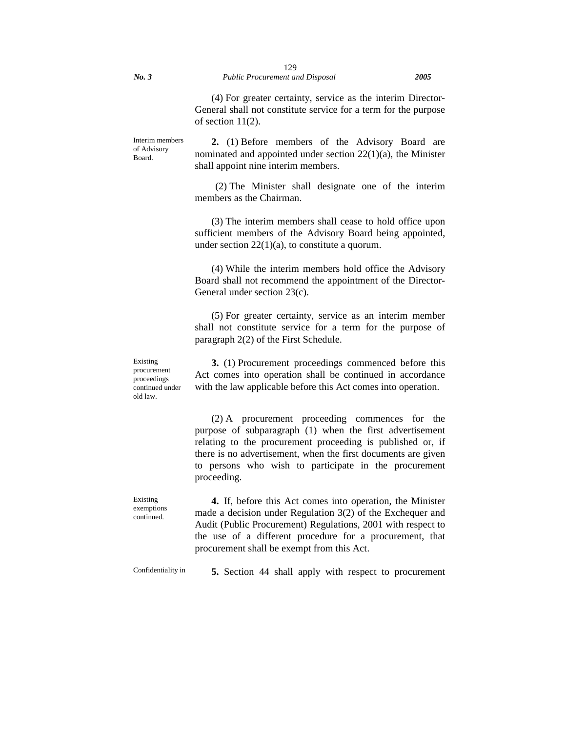(4) For greater certainty, service as the interim Director-General shall not constitute service for a term for the purpose of section 11(2).

Interim members of Advisory Board.

**2.** (1) Before members of the Advisory Board are nominated and appointed under section 22(1)(a), the Minister shall appoint nine interim members.

(2) The Minister shall designate one of the interim members as the Chairman.

(3) The interim members shall cease to hold office upon sufficient members of the Advisory Board being appointed, under section  $22(1)(a)$ , to constitute a quorum.

(4) While the interim members hold office the Advisory Board shall not recommend the appointment of the Director-General under section 23(c).

(5) For greater certainty, service as an interim member shall not constitute service for a term for the purpose of paragraph 2(2) of the First Schedule.

**3.** (1) Procurement proceedings commenced before this Act comes into operation shall be continued in accordance with the law applicable before this Act comes into operation.

(2) A procurement proceeding commences for the purpose of subparagraph (1) when the first advertisement relating to the procurement proceeding is published or, if there is no advertisement, when the first documents are given to persons who wish to participate in the procurement proceeding.

**4.** If, before this Act comes into operation, the Minister made a decision under Regulation 3(2) of the Exchequer and Audit (Public Procurement) Regulations, 2001 with respect to the use of a different procedure for a procurement, that procurement shall be exempt from this Act.

Existing exemptions continued.

Confidentiality in **5.** Section 44 shall apply with respect to procurement

Existing procurement proceedings continued under old law.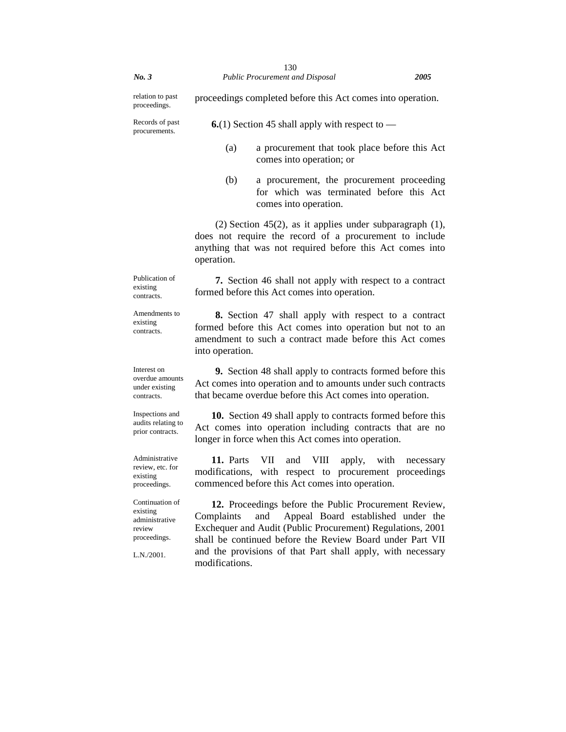| No.3                                                                                  | 130<br><b>Public Procurement and Disposal</b><br>2005                                                                                                                                                                                                                                                                        |  |  |
|---------------------------------------------------------------------------------------|------------------------------------------------------------------------------------------------------------------------------------------------------------------------------------------------------------------------------------------------------------------------------------------------------------------------------|--|--|
| relation to past<br>proceedings.                                                      | proceedings completed before this Act comes into operation.                                                                                                                                                                                                                                                                  |  |  |
| Records of past<br>procurements.                                                      | <b>6.</b> (1) Section 45 shall apply with respect to $-$                                                                                                                                                                                                                                                                     |  |  |
|                                                                                       | (a)<br>a procurement that took place before this Act<br>comes into operation; or                                                                                                                                                                                                                                             |  |  |
|                                                                                       | (b)<br>a procurement, the procurement proceeding<br>for which was terminated before this Act<br>comes into operation.                                                                                                                                                                                                        |  |  |
|                                                                                       | $(2)$ Section 45 $(2)$ , as it applies under subparagraph $(1)$ ,<br>does not require the record of a procurement to include<br>anything that was not required before this Act comes into<br>operation.                                                                                                                      |  |  |
| Publication of<br>existing<br>contracts.                                              | <b>7.</b> Section 46 shall not apply with respect to a contract<br>formed before this Act comes into operation.                                                                                                                                                                                                              |  |  |
| Amendments to<br>existing<br>contracts.                                               | 8. Section 47 shall apply with respect to a contract<br>formed before this Act comes into operation but not to an<br>amendment to such a contract made before this Act comes<br>into operation.                                                                                                                              |  |  |
| Interest on<br>overdue amounts<br>under existing<br>contracts.                        | 9. Section 48 shall apply to contracts formed before this<br>Act comes into operation and to amounts under such contracts<br>that became overdue before this Act comes into operation.                                                                                                                                       |  |  |
| Inspections and<br>audits relating to<br>prior contracts.                             | 10. Section 49 shall apply to contracts formed before this<br>Act comes into operation including contracts that are no<br>longer in force when this Act comes into operation.                                                                                                                                                |  |  |
| Administrative<br>review, etc. for<br>existing<br>proceedings.                        | 11. Parts<br>VII<br>VIII<br>and<br>apply,<br>with<br>necessary<br>modifications,<br>with<br>procurement proceedings<br>respect to<br>commenced before this Act comes into operation.                                                                                                                                         |  |  |
| Continuation of<br>existing<br>administrative<br>review<br>proceedings.<br>L.N./2001. | 12. Proceedings before the Public Procurement Review,<br>Complaints<br>Appeal Board established under the<br>and<br>Exchequer and Audit (Public Procurement) Regulations, 2001<br>shall be continued before the Review Board under Part VII<br>and the provisions of that Part shall apply, with necessary<br>modifications. |  |  |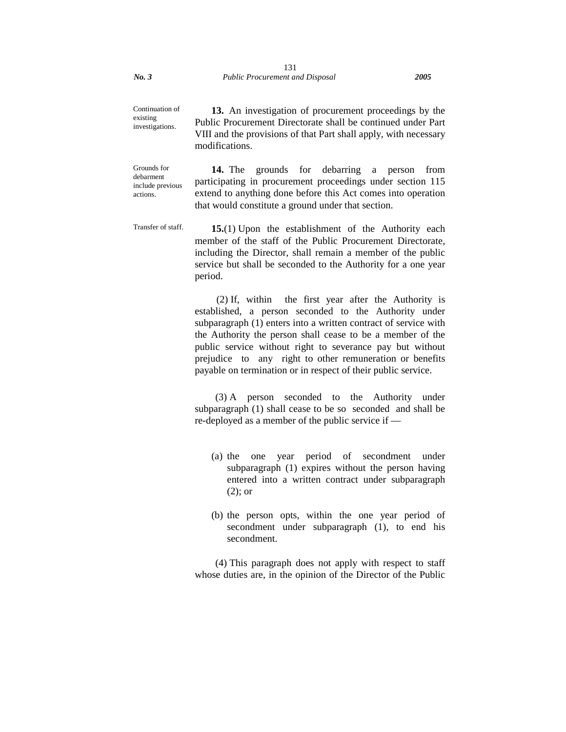Continuation of existing

investigations. **13.** An investigation of procurement proceedings by the Public Procurement Directorate shall be continued under Part VIII and the provisions of that Part shall apply, with necessary modifications.

Grounds for debarment include previous actions. **14.** The grounds for debarring a person from participating in procurement proceedings under section 115 extend to anything done before this Act comes into operation that would constitute a ground under that section.

Transfer of staff. **15.**(1) Upon the establishment of the Authority each member of the staff of the Public Procurement Directorate, including the Director, shall remain a member of the public service but shall be seconded to the Authority for a one year period.

> (2) If, within the first year after the Authority is established, a person seconded to the Authority under subparagraph (1) enters into a written contract of service with the Authority the person shall cease to be a member of the public service without right to severance pay but without prejudice to any right to other remuneration or benefits payable on termination or in respect of their public service.

> (3) A person seconded to the Authority under subparagraph (1) shall cease to be so seconded and shall be re-deployed as a member of the public service if —

- (a) the one year period of secondment under subparagraph (1) expires without the person having entered into a written contract under subparagraph (2); or
- (b) the person opts, within the one year period of secondment under subparagraph (1), to end his secondment.

(4) This paragraph does not apply with respect to staff whose duties are, in the opinion of the Director of the Public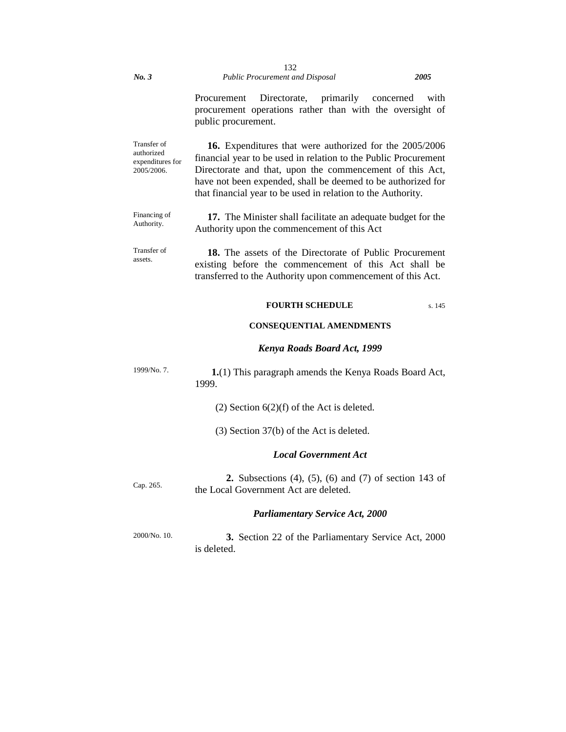#### *No. 3 Public Procurement and Disposal 2005* 132

Procurement Directorate, primarily concerned with procurement operations rather than with the oversight of public procurement.

Transfer of authorized expenditures for 2005/2006. **16.** Expenditures that were authorized for the 2005/2006 financial year to be used in relation to the Public Procurement Directorate and that, upon the commencement of this Act, have not been expended, shall be deemed to be authorized for that financial year to be used in relation to the Authority.

Financing of Authority. **17.** The Minister shall facilitate an adequate budget for the Authority upon the commencement of this Act

Transfer of assets. **18.** The assets of the Directorate of Public Procurement existing before the commencement of this Act shall be transferred to the Authority upon commencement of this Act.

### **FOURTH SCHEDULE** s. 145

### **CONSEQUENTIAL AMENDMENTS**

#### *Kenya Roads Board Act, 1999*

1999/No. 7. **1.**(1) This paragraph amends the Kenya Roads Board Act, 1999.

(2) Section  $6(2)(f)$  of the Act is deleted.

(3) Section 37(b) of the Act is deleted.

### *Local Government Act*

Cap. 265. **2.** Subsections (4), (5), (6) and (7) of section 143 of the Local Government Act are deleted.

### *Parliamentary Service Act, 2000*

2000/No. 10. **3.** Section 22 of the Parliamentary Service Act, 2000 is deleted.